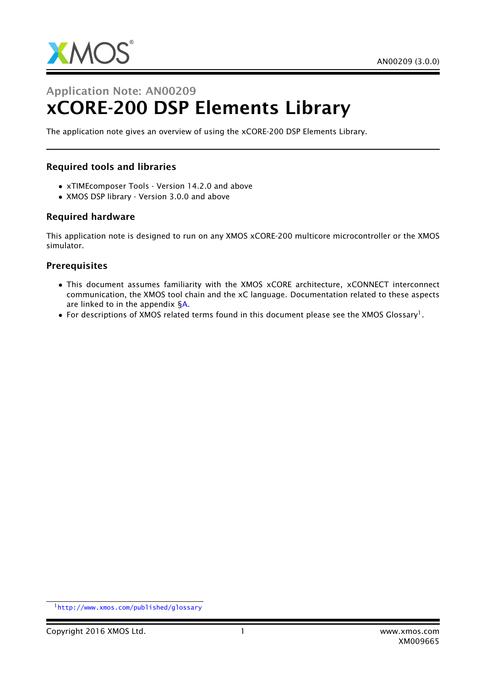

# Application Note: AN00209 xCORE-200 DSP Elements Library

The application note gives an overview of using the xCORE-200 DSP Elements Library.

## Required tools and libraries

- xTIMEcomposer Tools Version 14.2.0 and above
- XMOS DSP library Version 3.0.0 and above

### Required hardware

This application note is designed to run on any XMOS xCORE-200 multicore microcontroller or the XMOS simulator.

#### **Prerequisites**

- This document assumes familiarity with the XMOS xCORE architecture, xCONNECT interconnect communication, the XMOS tool chain and the xC language. Documentation related to these aspects are linked to in the appendix [§A.](#page-4-0)
- $\bullet$  For descriptions of XMOS related terms found in this document please see the XMOS Glossary<sup>1</sup>.

<sup>1</sup><http://www.xmos.com/published/glossary>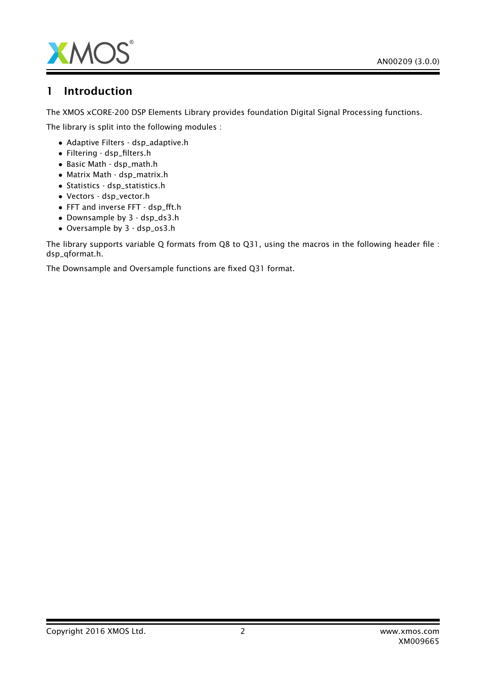

## 1 Introduction

The XMOS xCORE-200 DSP Elements Library provides foundation Digital Signal Processing functions.

The library is split into the following modules :

- Adaptive Filters dsp\_adaptive.h
- Filtering dsp\_filters.h
- Basic Math dsp\_math.h
- Matrix Math dsp\_matrix.h
- Statistics dsp\_statistics.h
- Vectors dsp\_vector.h
- FFT and inverse FFT dsp\_fft.h
- Downsample by 3 dsp\_ds3.h
- Oversample by 3 dsp\_os3.h

The library supports variable Q formats from Q8 to Q31, using the macros in the following header file : dsp\_qformat.h.

The Downsample and Oversample functions are fixed Q31 format.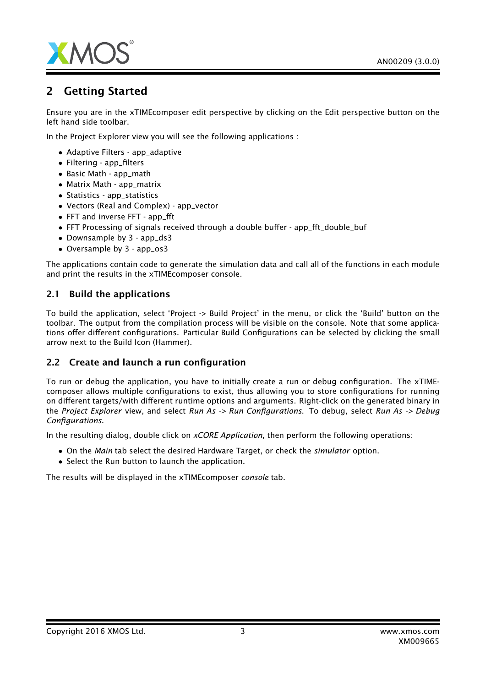

## 2 Getting Started

Ensure you are in the xTIMEcomposer edit perspective by clicking on the Edit perspective button on the left hand side toolbar.

In the Project Explorer view you will see the following applications :

- Adaptive Filters app\_adaptive
- Filtering app\_filters
- Basic Math app\_math
- Matrix Math app\_matrix
- Statistics app\_statistics
- Vectors (Real and Complex) app\_vector
- FFT and inverse FFT app\_fft
- FFT Processing of signals received through a double buffer app\_fft\_double\_buf
- Downsample by 3 app\_ds3
- Oversample by 3 app\_os3

The applications contain code to generate the simulation data and call all of the functions in each module and print the results in the xTIMEcomposer console.

### 2.1 Build the applications

To build the application, select 'Project -> Build Project' in the menu, or click the 'Build' button on the toolbar. The output from the compilation process will be visible on the console. Note that some applications offer different configurations. Particular Build Configurations can be selected by clicking the small arrow next to the Build Icon (Hammer).

## 2.2 Create and launch a run configuration

To run or debug the application, you have to initially create a run or debug configuration. The xTIMEcomposer allows multiple configurations to exist, thus allowing you to store configurations for running on different targets/with different runtime options and arguments. Right-click on the generated binary in the *Project Explorer* view, and select *Run As -> Run Configurations*. To debug, select *Run As -> Debug Configurations*.

In the resulting dialog, double click on *xCORE Application*, then perform the following operations:

- On the *Main* tab select the desired Hardware Target, or check the *simulator* option.
- Select the Run button to launch the application.

The results will be displayed in the xTIMEcomposer *console* tab.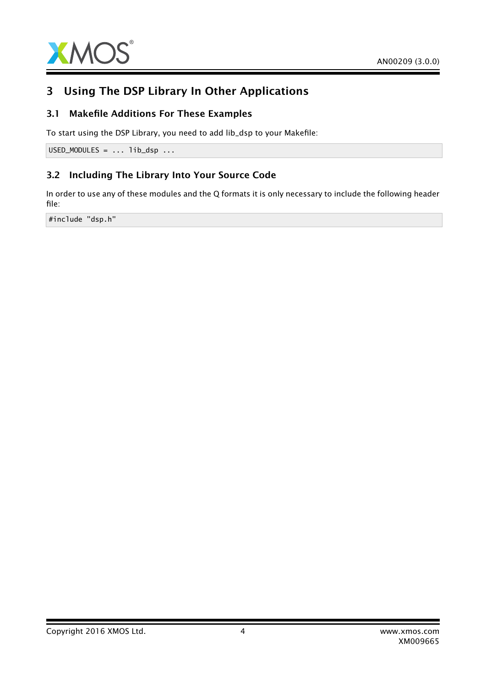

## 3 Using The DSP Library In Other Applications

## 3.1 Makefile Additions For These Examples

To start using the DSP Library, you need to add lib\_dsp to your Makefile:

 $USED_MODULES = ... lib_dsp ...$ 

## 3.2 Including The Library Into Your Source Code

In order to use any of these modules and the Q formats it is only necessary to include the following header file:

#include "dsp.h"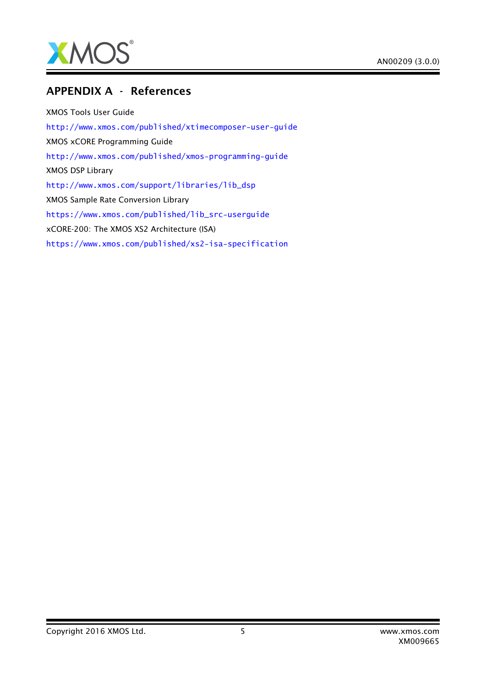

## <span id="page-4-0"></span>APPENDIX A - References

XMOS Tools User Guide <http://www.xmos.com/published/xtimecomposer-user-guide> XMOS xCORE Programming Guide <http://www.xmos.com/published/xmos-programming-guide> XMOS DSP Library [http://www.xmos.com/support/libraries/lib\\_dsp](http://www.xmos.com/support/libraries/lib_dsp) XMOS Sample Rate Conversion Library [https://www.xmos.com/published/lib\\_src-userguide](https://www.xmos.com/published/lib_src-userguide) xCORE-200: The XMOS XS2 Architecture (ISA) <https://www.xmos.com/published/xs2-isa-specification>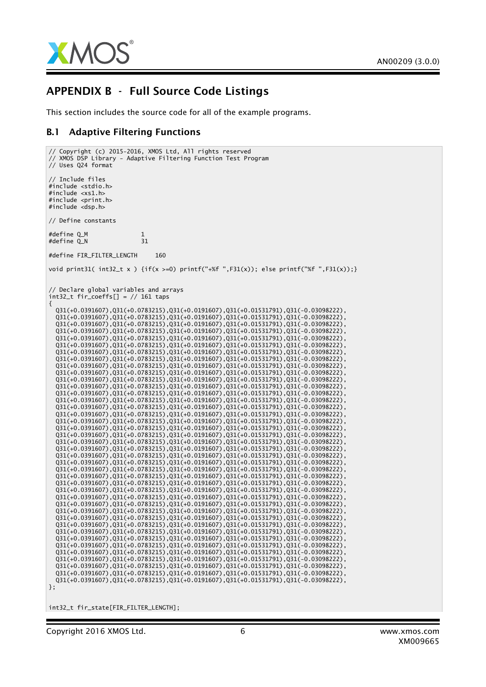

## APPENDIX B - Full Source Code Listings

This section includes the source code for all of the example programs.

### B.1 Adaptive Filtering Functions

```
// Copyright (c) 2015-2016, XMOS Ltd, All rights reserved
// XMOS DSP Library - Adaptive Filtering Function Test Program
// Uses Q24 format
// Include files
#include <stdio.h>
#include <xs1.h>
#include <print.h>
#include <dsp.h>
// Define constants
#define Q_M 1<br>#define Q_N 31
#define \cap N#define FIR FILTER LENGTH 160
void print31( int32_t x) {if(x >=0) printf("+%f",F31(x)); else printf("%f",F31(x));}
// Declare global variables and arrays
int32_t fir_coeffs[] = // 161 taps
{
 Q31(+0.0391607),Q31(+0.0783215),Q31(+0.0191607),Q31(+0.01531791),Q31(-0.03098222),
 Q31(+0.0391607),Q31(+0.0783215),Q31(+0.0191607),Q31(+0.01531791),Q31(-0.03098222),
 Q31(+0.0391607),Q31(+0.0783215),Q31(+0.0191607),Q31(+0.01531791),Q31(-0.03098222),
  Q31(+0.0391607),Q31(+0.0783215),Q31(+0.0191607),Q31(+0.01531791),Q31(-0.03098222),
  Q31(+0.0391607),Q31(+0.0783215),Q31(+0.0191607),Q31(+0.01531791),Q31(-0.03098222),
 Q31(+0.0391607),Q31(+0.0783215),Q31(+0.0191607),Q31(+0.01531791),Q31(-0.03098222),
 Q31(+0.0391607),Q31(+0.0783215),Q31(+0.0191607),Q31(+0.01531791),Q31(-0.03098222),
 Q31(+0.0391607),Q31(+0.0783215),Q31(+0.0191607),Q31(+0.01531791),Q31(-0.03098222),
 Q31(+0.0391607),Q31(+0.0783215),Q31(+0.0191607),Q31(+0.01531791),Q31(-0.03098222),
 Q31(+0.0391607),Q31(+0.0783215),Q31(+0.0191607),Q31(+0.01531791),Q31(-0.03098222),
 Q31(+0.0391607),Q31(+0.0783215),Q31(+0.0191607),Q31(+0.01531791),Q31(-0.03098222),
 Q31(+0.0391607),Q31(+0.0783215),Q31(+0.0191607),Q31(+0.01531791),Q31(-0.03098222),
 Q31(+0.0391607),Q31(+0.0783215),Q31(+0.0191607),Q31(+0.01531791),Q31(-0.03098222),
 Q31(+0.0391607),Q31(+0.0783215),Q31(+0.0191607),Q31(+0.01531791),Q31(-0.03098222),
 Q31(+0.0391607),Q31(+0.0783215),Q31(+0.0191607),Q31(+0.01531791),Q31(-0.03098222),
 Q31(+0.0391607),Q31(+0.0783215),Q31(+0.0191607),Q31(+0.01531791),Q31(-0.03098222),
 Q31(+0.0391607),Q31(+0.0783215),Q31(+0.0191607),Q31(+0.01531791),Q31(-0.03098222),
 Q31(+0.0391607),Q31(+0.0783215),Q31(+0.0191607),Q31(+0.01531791),Q31(-0.03098222),
 Q31(+0.0391607),Q31(+0.0783215),Q31(+0.0191607),Q31(+0.01531791),Q31(-0.03098222),
 Q31(+0.0391607),Q31(+0.0783215),Q31(+0.0191607),Q31(+0.01531791),Q31(-0.03098222),
 Q31(+0.0391607),Q31(+0.0783215),Q31(+0.0191607),Q31(+0.01531791),Q31(-0.03098222),
 Q31(+0.0391607),Q31(+0.0783215),Q31(+0.0191607),Q31(+0.01531791),Q31(-0.03098222),
 Q31(+0.0391607),Q31(+0.0783215),Q31(+0.0191607),Q31(+0.01531791),Q31(-0.03098222),
 Q31(+0.0391607),Q31(+0.0783215),Q31(+0.0191607),Q31(+0.01531791),Q31(-0.03098222),
 Q31(+0.0391607),Q31(+0.0783215),Q31(+0.0191607),Q31(+0.01531791),Q31(-0.03098222),
  Q31(+0.0391607),Q31(+0.0783215),Q31(+0.0191607),Q31(+0.01531791),Q31(-0.03098222),
  Q31(+0.0391607),Q31(+0.0783215),Q31(+0.0191607),Q31(+0.01531791),Q31(-0.03098222),
  Q31(+0.0391607),Q31(+0.0783215),Q31(+0.0191607),Q31(+0.01531791),Q31(-0.03098222),
 Q31(+0.0391607),Q31(+0.0783215),Q31(+0.0191607),Q31(+0.01531791),Q31(-0.03098222),
  Q31(+0.0391607),Q31(+0.0783215),Q31(+0.0191607),Q31(+0.01531791),Q31(-0.03098222),
  Q31(+0.0391607),Q31(+0.0783215),Q31(+0.0191607),Q31(+0.01531791),Q31(-0.03098222),
  Q31(+0.0391607),Q31(+0.0783215),Q31(+0.0191607),Q31(+0.01531791),Q31(-0.03098222),
  Q31(+0.0391607),Q31(+0.0783215),Q31(+0.0191607),Q31(+0.01531791),Q31(-0.03098222),
  Q31(+0.0391607),Q31(+0.0783215),Q31(+0.0191607),Q31(+0.01531791),Q31(-0.03098222),
  Q31(+0.0391607),Q31(+0.0783215),Q31(+0.0191607),Q31(+0.01531791),Q31(-0.03098222),
  Q31(+0.0391607),Q31(+0.0783215),Q31(+0.0191607),Q31(+0.01531791),Q31(-0.03098222),
  Q31(+0.0391607),Q31(+0.0783215),Q31(+0.0191607),Q31(+0.01531791),Q31(-0.03098222),
  Q31(+0.0391607),Q31(+0.0783215),Q31(+0.0191607),Q31(+0.01531791),Q31(-0.03098222),
  Q31(+0.0391607),Q31(+0.0783215),Q31(+0.0191607),Q31(+0.01531791),Q31(-0.03098222),
 Q31(+0.0391607),Q31(+0.0783215),Q31(+0.0191607),Q31(+0.01531791),Q31(-0.03098222),
};
```
int32\_t fir\_state[FIR\_FILTER\_LENGTH];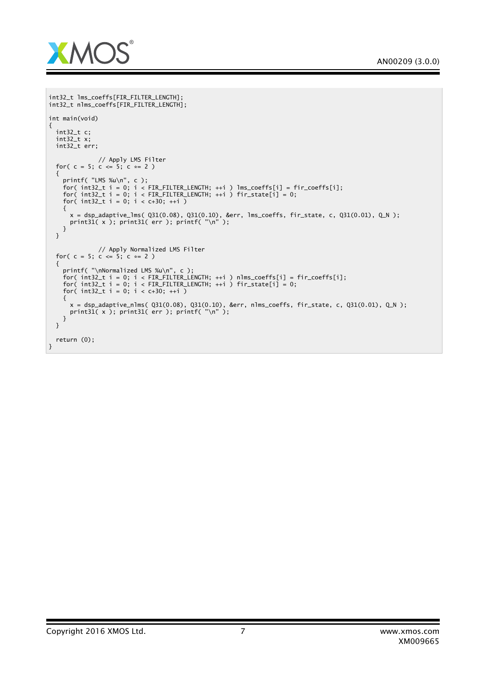

```
int32_t lms_coeffs[FIR_FILTER_LENGTH];
int32_t nlms_coeffs[FIR_FILTER_LENGTH];
int main(void)
{
  int32_t c;
  int32_t x;
  int32_t err;
              // Apply LMS Filter
  for( c = 5; c \le 5; c \le 2)
  {
    printf( "LMS %u\n", c );
    for( int32_t i = 0; i < FIR_FILTER_LENGTH; ++i ) lms_coeffs[i] = fir_coeffs[i];
    for( int32_t i = 0; i < FIR_FILTERLENGTH; ++i ) fir\_state[i] = 0;for( int32_t i = 0; i < c+30; ++i)
    {
      x = dsp_adaptive_lms( Q31(0.08), Q31(0.10), &err, lms_coeffs, fir_state, c, Q31(0.01), Q_N );
      print31( x ); print31( err ); printf( "\n" );
   }
 }
              // Apply Normalized LMS Filter
  for( c = 5; c \le 5; c \le 2)
  {
    printf( "\nNormalized LMS %u\n", c );
    for( int32_t i = 0; i < FIR_FILTER_LENGTH; ++i ) nlms_coeffs[i] = fir_coeffs[i];
    for( int32_t i = 0; i < FIR_FILTER_LENGTH; ++i ) fir\_state[i] = 0;for( int32_t i = 0; i < c+30; ++i )
   {
      x = dsp_adaptive_nlms( Q31(0.08), Q31(0.10), &err, nlms_coeffs, fir_state, c, Q31(0.01), Q_N );
      print31( x ); print31( err ); printf( "\n" );
    }
  }
  return (0);
}
```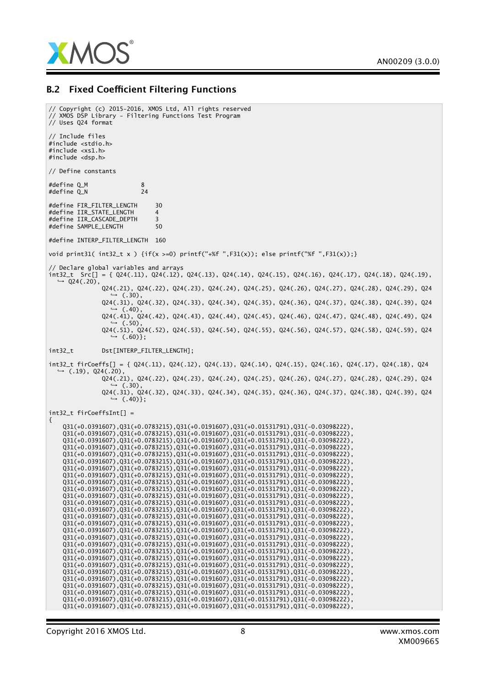

#### B.2 Fixed Coefficient Filtering Functions

// Copyright (c) 2015-2016, XMOS Ltd, All rights reserved // XMOS DSP Library - Filtering Functions Test Program // Uses Q24 format // Include files #include <stdio.h> #include <xs1.h> #include <dsp.h> // Define constants  $#define Q_M$  8<br> $#define O N$  24 #define  $Q_N$ #define FIR\_FILTER\_LENGTH 30 #define IIR\_STATE\_LENGTH 4<br>#define IIR CASCADE DEPTH 3 #define IIR\_CASCADE\_DEPTH 3 #define SAMPLE\_LENGTH #define INTERP\_FILTER\_LENGTH 160 void print31(  $int32_t x$ ) { $if(x >=0)$  printf("+%f",F31(x)); else printf("%f",F31(x));} // Declare global variables and arrays int32\_t Src[] = { Q24(.11), Q24(.12), Q24(.13), Q24(.14), Q24(.15), Q24(.16), Q24(.17), Q24(.18), Q24(.19),  $ightharpoonup$  Q24(.20), Q24(.21), Q24(.22), Q24(.23), Q24(.24), Q24(.25), Q24(.26), Q24(.27), Q24(.28), Q24(.29), Q24 *,*→ (.30), Q24(.31), Q24(.32), Q24(.33), Q24(.34), Q24(.35), Q24(.36), Q24(.37), Q24(.38), Q24(.39), Q24  $(.40)$ , Q24(.41), Q24(.42), Q24(.43), Q24(.44), Q24(.45), Q24(.46), Q24(.47), Q24(.48), Q24(.49), Q24 *,*→ (.50), Q24(.51), Q24(.52), Q24(.53), Q24(.54), Q24(.55), Q24(.56), Q24(.57), Q24(.58), Q24(.59), Q24 *,*→ (.60)}; int32\_t Dst[INTERP\_FILTER\_LENGTH]; int32\_t firCoeffs[] = { Q24(.11), Q24(.12), Q24(.13), Q24(.14), Q24(.15), Q24(.16), Q24(.17), Q24(.18), Q24 *,*→ (.19), Q24(.20), Q24(.21), Q24(.22), Q24(.23), Q24(.24), Q24(.25), Q24(.26), Q24(.27), Q24(.28), Q24(.29), Q24 *,*→ (.30), Q24(.31), Q24(.32), Q24(.33), Q24(.34), Q24(.35), Q24(.36), Q24(.37), Q24(.38), Q24(.39), Q24 *,*→ (.40)}; int32\_t firCoeffsInt[] = { Q31(+0.0391607),Q31(+0.0783215),Q31(+0.0191607),Q31(+0.01531791),Q31(-0.03098222), Q31(+0.0391607),Q31(+0.0783215),Q31(+0.0191607),Q31(+0.01531791),Q31(-0.03098222), Q31(+0.0391607),Q31(+0.0783215),Q31(+0.0191607),Q31(+0.01531791),Q31(-0.03098222), Q31(+0.0391607),Q31(+0.0783215),Q31(+0.0191607),Q31(+0.01531791),Q31(-0.03098222), Q31(+0.0391607),Q31(+0.0783215),Q31(+0.0191607),Q31(+0.01531791),Q31(-0.03098222), Q31(+0.0391607),Q31(+0.0783215),Q31(+0.0191607),Q31(+0.01531791),Q31(-0.03098222), Q31(+0.0391607),Q31(+0.0783215),Q31(+0.0191607),Q31(+0.01531791),Q31(-0.03098222), Q31(+0.0391607),Q31(+0.0783215),Q31(+0.0191607),Q31(+0.01531791),Q31(-0.03098222), Q31(+0.0391607),Q31(+0.0783215),Q31(+0.0191607),Q31(+0.01531791),Q31(-0.03098222), Q31(+0.0391607),Q31(+0.0783215),Q31(+0.0191607),Q31(+0.01531791),Q31(-0.03098222), Q31(+0.0391607),Q31(+0.0783215),Q31(+0.0191607),Q31(+0.01531791),Q31(-0.03098222), Q31(+0.0391607),Q31(+0.0783215),Q31(+0.0191607),Q31(+0.01531791),Q31(-0.03098222), Q31(+0.0391607),Q31(+0.0783215),Q31(+0.0191607),Q31(+0.01531791),Q31(-0.03098222), Q31(+0.0391607),Q31(+0.0783215),Q31(+0.0191607),Q31(+0.01531791),Q31(-0.03098222), Q31(+0.0391607),Q31(+0.0783215),Q31(+0.0191607),Q31(+0.01531791),Q31(-0.03098222), Q31(+0.0391607),Q31(+0.0783215),Q31(+0.0191607),Q31(+0.01531791),Q31(-0.03098222), Q31(+0.0391607),Q31(+0.0783215),Q31(+0.0191607),Q31(+0.01531791),Q31(-0.03098222), Q31(+0.0391607),Q31(+0.0783215),Q31(+0.0191607),Q31(+0.01531791),Q31(-0.03098222), Q31(+0.0391607),Q31(+0.0783215),Q31(+0.0191607),Q31(+0.01531791),Q31(-0.03098222), Q31(+0.0391607),Q31(+0.0783215),Q31(+0.0191607),Q31(+0.01531791),Q31(-0.03098222), Q31(+0.0391607),Q31(+0.0783215),Q31(+0.0191607),Q31(+0.01531791),Q31(-0.03098222), Q31(+0.0391607),Q31(+0.0783215),Q31(+0.0191607),Q31(+0.01531791),Q31(-0.03098222), Q31(+0.0391607),Q31(+0.0783215),Q31(+0.0191607),Q31(+0.01531791),Q31(-0.03098222), Q31(+0.0391607),Q31(+0.0783215),Q31(+0.0191607),Q31(+0.01531791),Q31(-0.03098222), Q31(+0.0391607),Q31(+0.0783215),Q31(+0.0191607),Q31(+0.01531791),Q31(-0.03098222), Q31(+0.0391607),Q31(+0.0783215),Q31(+0.0191607),Q31(+0.01531791),Q31(-0.03098222),

Q31(+0.0391607),Q31(+0.0783215),Q31(+0.0191607),Q31(+0.01531791),Q31(-0.03098222),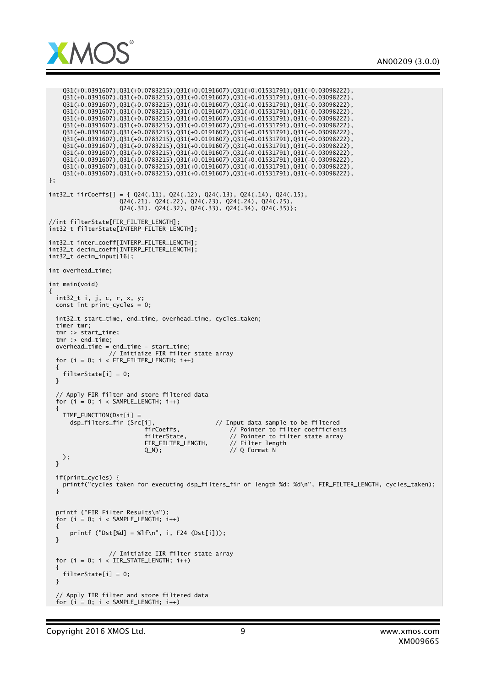

```
Q31(+0.0391607),Q31(+0.0783215),Q31(+0.0191607),Q31(+0.01531791),Q31(-0.03098222),
    Q31(+0.0391607),Q31(+0.0783215),Q31(+0.0191607),Q31(+0.01531791),Q31(-0.03098222),
    Q31(+0.0391607),Q31(+0.0783215),Q31(+0.0191607),Q31(+0.01531791),Q31(-0.03098222),
    Q31(+0.0391607),Q31(+0.0783215),Q31(+0.0191607),Q31(+0.01531791),Q31(-0.03098222),
    Q31(+0.0391607),Q31(+0.0783215),Q31(+0.0191607),Q31(+0.01531791),Q31(-0.03098222),
    Q31(+0.0391607),Q31(+0.0783215),Q31(+0.0191607),Q31(+0.01531791),Q31(-0.03098222),
    Q31(+0.0391607),Q31(+0.0783215),Q31(+0.0191607),Q31(+0.01531791),Q31(-0.03098222),
    Q31(+0.0391607),Q31(+0.0783215),Q31(+0.0191607),Q31(+0.01531791),Q31(-0.03098222),
    Q31(+0.0391607),Q31(+0.0783215),Q31(+0.0191607),Q31(+0.01531791),Q31(-0.03098222),
    Q31(+0.0391607),Q31(+0.0783215),Q31(+0.0191607),Q31(+0.01531791),Q31(-0.03098222),
    Q31(+0.0391607),Q31(+0.0783215),Q31(+0.0191607),Q31(+0.01531791),Q31(-0.03098222),
    Q31(+0.0391607),Q31(+0.0783215),Q31(+0.0191607),Q31(+0.01531791),Q31(-0.03098222),
    Q31(+0.0391607),Q31(+0.0783215),Q31(+0.0191607),Q31(+0.01531791),Q31(-0.03098222),
};
int32_t iirCoeffs[] = { Q24(.11), Q24(.12), Q24(.13), Q24(.14), Q24(.15),
                    Q24(.21), Q24(.22), Q24(.23), Q24(.24), Q24(.25),
                    Q24(.31), Q24(.32), Q24(.33), Q24(.34), Q24(.35)};
//int filterState[FIR_FILTER_LENGTH];
int32_t filterState[INTERP_FILTER_LENGTH];
int32_t inter_coeff[INTERP_FILTER_LENGTH];
int32_t decim_coeff[INTERP_FILTER_LENGTH];
int32_t decim_input[16];
int overhead_time;
int main(void)
{
  int32_t i, j, c, r, x, y;
  const int print_cycles = 0;
 int32_t start_time, end_time, overhead_time, cycles_taken;
 timer tmr;
 tmr :> start_time;
 tmr :> end_time;
  overhead_time = end_time - start_time;
                 // Initiaize FIR filter state array
 for (i = 0; i < FIR_FILTER_LENGTH; i++){
   filterState[i] = 0;
 }
  // Apply FIR filter and store filtered data
  for (i = 0; i < SAMPLE_LENGTH; i++)
  {
   TIME_FUNCTION(Dst[i] =
      dsp_filters_fir (Src[i], // Input data sample to be filtered
                           firCoeffs, // Pointer to filter coefficients
                           filterState, // Pointer to filter state array<br>FIR_FILTER_LENGTH, // Filter length
                           FIR_FILTER_LENGTH,<br>Q_N);
                                                    // Q Format N
   );
 }
 if(print_cycles) {
   printf("cycles taken for executing dsp_filters_fir of length %d: %d\n", FIR_FILTER_LENGTH, cycles_taken);
  }
 printf ("FIR Filter Results\n");
  for (i = 0; i < SAMPLE_LENGTH; i++){
      printf ("Dst[%d] = %lf\n", i, F24 (Dst[i]));
 }
                 // Initiaize IIR filter state array
 for (i = 0; i < IIR_STATE_LENGTH; i++){
    filterState[i] = 0;
 }
  // Apply IIR filter and store filtered data
 for (i = 0; i < SAMPLE_LENGTH; i++)
```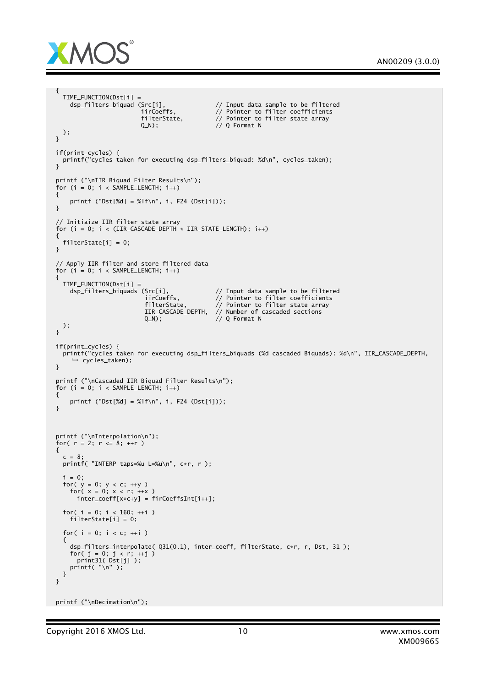

```
{
   TIME_FUNCTION(Dst[i] =<br>dsp_filters_biquad (Src[i],
                              \text{C}src[i], \text{C}/ Input data sample to be filtered in Coefficients
                              iirCoeffs, // Pointer to filter coefficients
                              filterState, // Pointer to filter state array
                              Q_N; \frac{1}{2} \frac{1}{2} \frac{1}{2} \frac{1}{2} \frac{1}{2} \frac{1}{2} \frac{1}{2} \frac{1}{2} \frac{1}{2} \frac{1}{2} \frac{1}{2} \frac{1}{2} \frac{1}{2} \frac{1}{2} \frac{1}{2} \frac{1}{2} \frac{1}{2} \frac{1}{2} \frac{1}{2} \frac{1}{2} \frac{1}{2} \frac{1);
  }
 if(print_cycles) {
   printf("cycles taken for executing dsp_filters_biquad: %d\n", cycles_taken);
 }
 printf ("\nIIR Biquad Filter Results\n");
  for (i = 0; i < SAMPLE_LENGTH; i++){
      printf ("Dst[%d] = %lf\n", i, F24 (Dst[i]));
 }
 // Initiaize IIR filter state array
 for (i = 0; i < (IIR_CASCADE_DEPTH \times IIR_STATE_LENGTH); i++){
    filterState[i] = 0;
 }
 // Apply IIR filter and store filtered data
 for (i = 0; i < SAMPLE_LENGTH; i++){
   TIME_FUNCTION(Dst[i] =<br>dsp_filters_biquads (Src[i],
                               \frac{dS}{dt} (Src[i], \frac{dV}{dt} )/ Input data sample to be filtered irCoeffs.
                                iirCoeffs, // Pointer to filter coefficients
                                filterState, // Pointer to filter state array
                               IIR_CASCADE_DEPTH, // Number of cascaded sections
                               Q_N); \frac{1}{\sqrt{Q}} Format N
    );
  }
  if(print_cycles) {
    printf("cycles taken for executing dsp_filters_biquads (%d cascaded Biquads): %d\n", IIR_CASCADE_DEPTH,
       ,→ cycles_taken);
 }
 printf ("\nCascaded IIR Biquad Filter Results\n");
 for (i = 0; i < SAMPLE_LENGTH; i++){
      printf ("Dst[%d] = %lf\n", i, F24 (Dst[i]));
 }
 printf ("\nInterpolation\n");
 for( r = 2; r \le 8; +r)
 {
   c = 8;printf( "INTERP taps=%u L=%u\n", c*r, r );
   i = 0;for( y = 0; y < c; \leftrightarrowy )
      for( x = 0; x < r; ++x )
         inter_coeff[x*c+y] = firCoeffsInt[i++];
    for( i = 0; i < 160; +i)
      filterState[i] = 0;
    for( i = 0; i < c; ++i )
    {
      dsp_filters_interpolate( Q31(0.1), inter_coeff, filterState, c*r, r, Dst, 31 );
      for( j = 0; j < r; ++j )
         print31( Dst[j] );
      printf( "\n\rangle^n );
   }
 }
printf ("\nDecimation\n");
```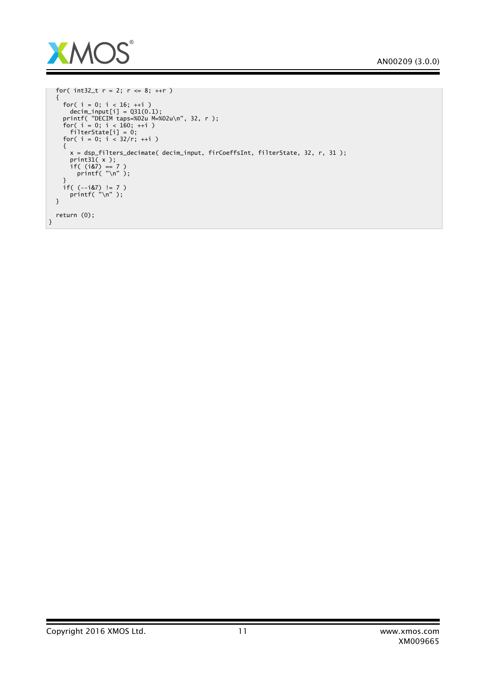

```
for( int32_t r = 2; r \le 8; ++r)
  {
    for( i = 0; i < 16; ++i )
      decim\_input[i] = Q31(0.1);printf( "DECIM taps=%02u M=%02u\n", 32, r );
    for( i = 0; i < 160; ++i )
      filterState[i] = 0;
    for( i = 0; i < 32/r; ++i )
    {
      x = dsp_filters_decimate( decim_input, firCoeffsInt, filterState, 32, r, 31 );
      print31( x );
      if( (i&7) == 7 )
        printf( "\n" );
    }
    if( (--i&7) != 7 )
      printf( "\n" );
 }
 return (0);
}
```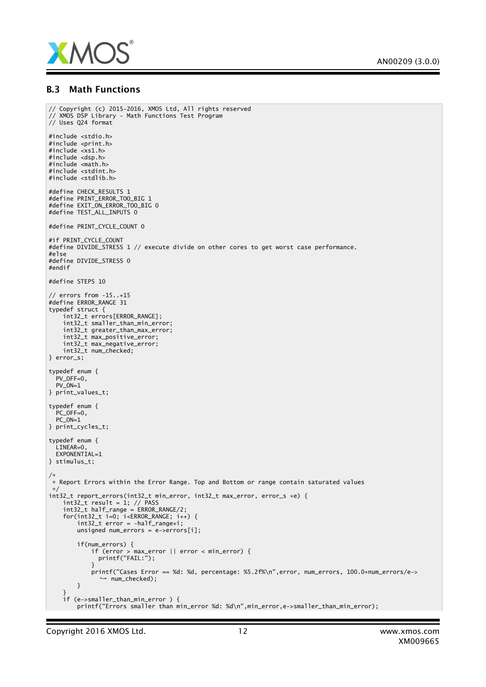

#### B.3 Math Functions

```
// Copyright (c) 2015-2016, XMOS Ltd, All rights reserved
// XMOS DSP Library - Math Functions Test Program
// Uses Q24 format
#include <stdio.h>
#include <print.h>
#include <xs1.h>
#include <dsp.h>
#include <math.h>
#include <stdint.h>
#include <stdlib.h>
#define CHECK_RESULTS 1
#define PRINT_ERROR_TOO_BIG 1
#define EXIT_ON_ERROR_TOO_BIG 0
#define TEST_ALL_INPUTS 0
#define PRINT_CYCLE_COUNT 0
#if PRINT_CYCLE_COUNT
#define DIVIDE_STRESS 1 // execute divide on other cores to get worst case performance.
#else
#define DIVIDE_STRESS 0
#endif
#define STEPS 10
// errors from -15..+15
#define ERROR_RANGE 31
typedef struct {
    int32_t errors[ERROR_RANGE];
    int32_t smaller_than_min_error;
    int32_t greater_than_max_error;
    int32_t max_positive_error;
    int32_t max_negative_error;
    int32_t num_checked;
} error_s;
typedef enum {
 PV_OFF=0,
 PV ON=1} print_values_t;
typedef enum {
 PC_OFF=0.
 PC ON=1} print_cycles_t;
typedef enum {
 I TNFAR=0.
 EYPONENTTAL-1} stimulus_t;
/*
* Report Errors within the Error Range. Top and Bottom or range contain saturated values
 */
int32_t report_errors(int32_t min_error, int32_t max_error, error_s *e) {
int32_t result = 1; // PASS
    int32_t half_range = ERROR_RANGE/2;
    for(int32_t i=0; i<ERROR_RANGE; i++) {
        int32_t error = -half_range+i;
        unsigned num_errors = e->errors[i];
        if(num_errors) {
            if (error > max_error || error < min_error) {
              printf("FAIL:");
            }
            printf("Cases Error == %d: %d, percentage: %5.2f%\n",error, num_errors, 100.0*num_errors/e->
              ,→ num_checked);
        }
    }
    if (e->smaller_than_min_error ) {
        printf("Errors smaller than min_error %d: %d\n",min_error,e->smaller_than_min_error);
```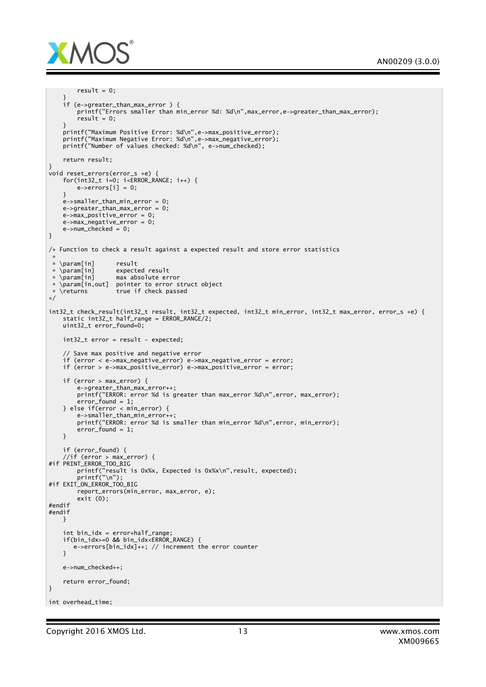

```
result = 0;
     }
     if (e->greater_than_max_error ) {
        printf("Errors smaller than min_error %d: %d\n",max_error,e->greater_than_max_error);
         result = 0;}
     printf("Maximum Positive Error: %d\n",e->max_positive_error);
     printf("Maximum Negative Error: %d\n",e->max_negative_error);
     printf("Number of values checked: %d\n", e->num_checked);
    return result;
}
void reset_errors(error_s *e) {
     for(int32_t i=0; i<ERROR_RANGE; i++) {
         e->errors[i] = 0;}
    e->smaller_than_min_error = 0;
    e->greater_than_max_error = 0;
    e\rightarrow max\_positive\_error = 0;e->max_negative_error = 0;
    e->num_checked = 0;
}
/* Function to check a result against a expected result and store error statistics
 *
* \param[in] result
 * \param[in] expected result
 * \param[in] max absolute error
 * \param[in,out] pointer to error struct object
 * \returns true if check passed
*/
int32 t check result(int32 t result, int32 t expected, int32 t min error, int32 t max error, error s *e) {
    static int32_t half_range = ERROR_RANGE/2;
    uint32_t error_found=0;
    int32_t error = result - expected;
     // Save max positive and negative error
     if (error < e->max_negative_error) e->max_negative_error = error;
    if (error > e->max_positive_error) e->max_positive_error = error;
    if (error > max_error) {
        e->greater_than_max_error++;
        printf("ERROR: error %d is greater than max_error %d\n",error, max_error);
        error found = 1:
    } else if(error < min_error) {
        e->smaller_than_min_error++;
        printf("ERROR: error %d is smaller than min_error %d\n",error, min_error);
        error_found = 1;
    }
    if (error_found) {
     //if (error > max_error) {
#if PRINT_ERROR_TOO_BIG
         printf("result is 0x%x, Expected is 0x%x\n",result, expected);
         printf("\n");
#if EXIT_ON_ERROR_TOO_BIG
        report_errors(min_error, max_error, e);
        exit (0);
#endif
#endif
    }
    int bin_idx = error+half_range;
    if(bin_idx>=0 && bin_idx<ERROR_RANGE) {
       e->errors[bin_idx]++; // increment the error counter
    }
    e->num_checked++;
    return error_found;
}
int overhead_time;
```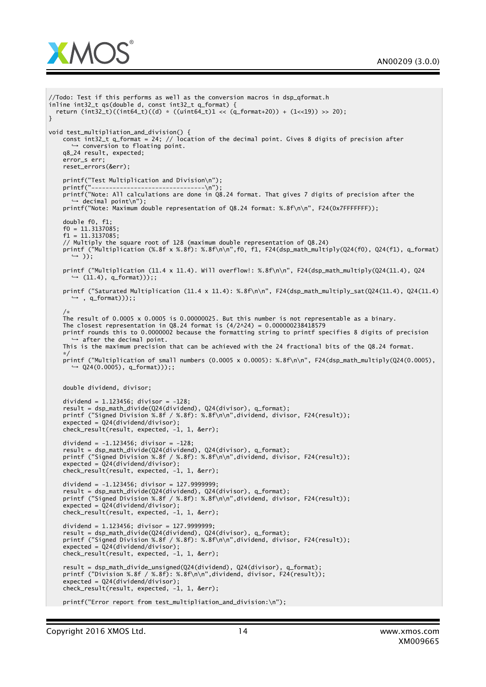

```
//Todo: Test if this performs as well as the conversion macros in dsp_qformat.h
inline int32_t qs(double d, const int32_t q_format) {
 return (int32_t)((int64_t)((d) * ((uint64_t)1 << (q_format+20)) + (1<<19)) >> 20);
}
void test_multipliation_and_division() {
   const int32_t q_format = 24; // location of the decimal point. Gives 8 digits of precision after
      → conversion to floating point.
    q8_24 result, expected;
    error_s err;
   reset_errors(&err);
   printf("Test Multiplication and Division\n");
    printf("--------------------------------\n");
    printf("Note: All calculations are done in Q8.24 format. That gives 7 digits of precision after the
      → decimal point\n");
   printf("Note: Maximum double representation of Q8.24 format: %.8f\n\n", F24(0x7FFFFFFF));
    double f0, f1;
    f0 = 11.3137085;f1 = 11.3137085;// Multiply the square root of 128 (maximum double representation of Q8.24)
   printf ("Multiplication (%.8f x %.8f): %.8f\n\n",f0, f1, F24(dsp_math_multiply(Q24(f0), Q24(f1), q_format)
      ,→ ));
   printf ("Multiplication (11.4 x 11.4). Will overflow!: %.8f\n\n", F24(dsp_math_multiply(Q24(11.4), Q24
      \hookrightarrow (11.4), a format)))::
   printf ("Saturated Multiplication (11.4 x 11.4): %.8f\n\n", F24(dsp_math_multiply_sat(Q24(11.4), Q24(11.4)
      ,→ , q_format)));;
    / \cdotThe result of 0.0005 x 0.0005 is 0.00000025. But this number is not representable as a binary.
   The closest representation in Q8.24 format is (4/2 \land 24) = 0.000000238418579printf rounds this to 0.0000002 because the formatting string to printf specifies 8 digits of precision
      → after the decimal point.
    This is the maximum precision that can be achieved with the 24 fractional bits of the Q8.24 format.
    */
   printf ("Multiplication of small numbers (0.0005 x 0.0005): %.8f\n\n", F24(dsp_math_multiply(Q24(0.0005),
      ,→ Q24(0.0005), q_format)));;
   double dividend, divisor;
    dividend = 1.123456; divisor = -128;
    result = dsp_math_divide(Q24(dividend), Q24(divisor), q_format);
    printf ("Signed Division %.8f / %.8f): %.8f\n\n",dividend, divisor, F24(result));
    expected = Q24(dividend/divisor);
   check_result(result, expected, -1, 1, &err);
   dividend = -1.123456; divisor = -128;
    result = dsp_math_divide(Q24(dividend), Q24(divisor), q_format);
    printf ("Signed Division %.8f / %.8f): %.8f\n\n",dividend, divisor, F24(result));
    expected = Q24(dividend/divisor);
   check_result(result, expected, -1, 1, &err);
    dividend = -1.123456; divisor = 127.9999999;
    result = dsp_math_divide(Q24(dividend), Q24(divisor), q_format);
    printf ("Signed Division %.8f / %.8f): %.8f\n\n",dividend, divisor, F24(result));
    expected = Q24(dividend/divisor);
    check_result(result, expected, -1, 1, &err);
    dividend = 1.123456; divisor = 127.9999999;
    result = dsp_math_divide(Q24(dividend), Q24(divisor), q_format);
    printf ("Signed Division %.8f / %.8f): %.8f\n\n",dividend, divisor, F24(result));
    expected = Q24(dividend/divisor);
   check_result(result, expected, -1, 1, &err);
    result = dsp_math_divide_unsigned(Q24(dividend), Q24(divisor), q_format);
   printf ("Division %.8f / %.8f): %.8f\n\n",dividend, divisor, F24(result));
    expected = Q24(dividend/divisor);
    check_result(result, expected, -1, 1, &err);
   printf("Error report from test_multipliation_and_division:\n");
```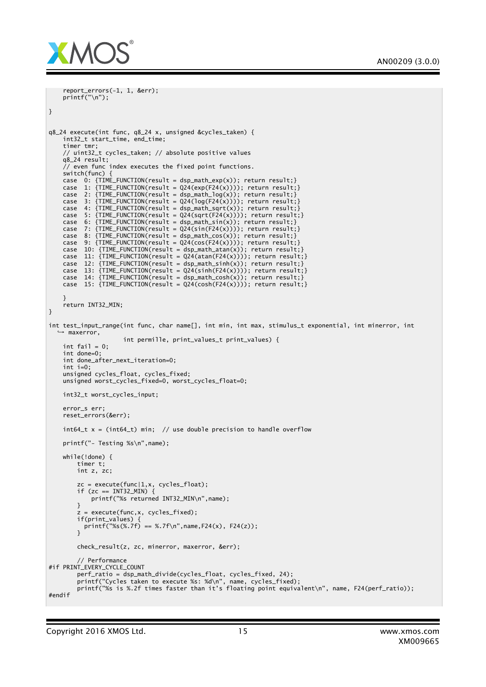

```
report_errors(-1, 1, &err);
    printf("\n");
}
q8_24 execute(int func, q8_24 x, unsigned &cycles_taken) {
    int32_t start_time, end_time;
    timer tmr;
    // uint32_t cycles_taken; // absolute positive values
    q8_24 result;
    // even func index executes the fixed point functions.
    switch(func) {
    case 0: {TIME_FUNCTION(result = dsp_math_exp(x)); return result;}
    case 1: \{TIME_FUNCTION(result = 024(exp(F24(x)))); return result;\}case 2: \{TIME\_FUNCTION(result = dsp\_math\_path\_log(x)); return result; \}case 3: \{TIME_FUNCTION(result = Q24(log(F24(x))))); return result;\}case 4: {TIME_FUNCTION(result = dsp_math_sqrt(x)); return result;}<br>case 5: {TIME FUNCTION(result = 024(sqrt(F24(x)))); return result;
          5: \{TIME_FUNCTION(result = Q24(sqrt(F24(x))))\}; return result;}
    case 6: \{TIME\_FUNCTION(result = dsp\_math, x); return result;}
    case 7: \{TIME_FUNCTION(result = Q24(sin(F24(x))))\}; return result;}
    case 8: {TIME_FUNCTION(result = dsp_math_cos(x)); return result;}<br>case 9: {TIME FUNCTION(result = 024(cos(F24(x)))); return result;}
          9: \{TIME_FUNCTION(result = Q24(cos(F24(x))))\}; return result;}
    case 10: {TIME_FUNCTION(result = dsp_math_atan(x)); return result;}
    case 11: {TIME_FUNCTION(result = Q24(atan(F24(x)))); return result;}
    case 12: {TIME_FUNCTION(result = dsp_math_sinh(x)); return result;}
    case 13: {TIME_FUNCTION(result = Q24(\sinh(F24(x)))); return result;}
    case 14: {TIME_FUNCTION(result = dsp_math_cosh(x)); return result;}
    case 15: {TIME_FUNCTION(result = Q24(cosh(F24(x)))); return result;}
    }
    return INT32_MIN;
}
int test_input_range(int func, char name[], int min, int max, stimulus_t exponential, int minerror, int
   ,→ maxerror,
                      int permille, print_values_t print_values) {
    int fail = 0;
    int done=0;
    int done_after_next_iteration=0;
    int i=0;
    unsigned cycles_float, cycles_fixed;
    unsigned worst_cycles_fixed=0, worst_cycles_float=0;
    int32_t worst_cycles_input;
    error_s err;
    reset_errors(&err);
    int64_t x = (int64_t) min; // use double precision to handle overflow
    printf("- Testing %s\n",name);
    while(!done) {
        timer t;
        int z, zc;
        zc = execute(func|1,x, cycles_float);
        if (zc == INT32_MIN) {
            printf("%s returned INT32_MIN\n",name);
        }
          = execute(func,x, cycles_fixed);
        if(print_values) {
          printf("%s(%.7f) == %.7f\n", name, F24(x), F24(z));
        }
        check_result(z, zc, minerror, maxerror, &err);
        // Performance
#if PRINT_EVERY_CYCLE_COUNT
        perf_ratio = dsp_math_divide(cycles_float, cycles_fixed, 24);
        printf("Cycles taken to execute %s: %d\n", name, cycles_fixed);
        printf("%s is %.2f times faster than it's floating point equivalent\n", name, F24(perf_ratio));
#endif
```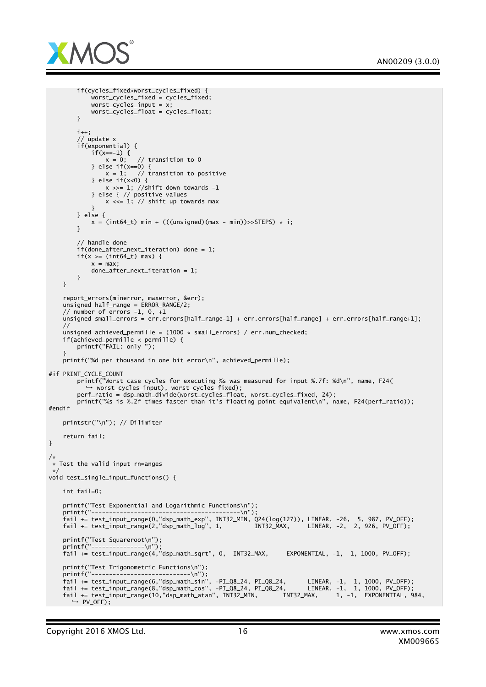

```
if(cycles_fixed>worst_cycles_fixed) {
            worst_cycles_fixed = cycles_fixed;
            worst_cycles\_input = x;worst_cycles_float = cycles_float;
       }
        i++;
        // update x
        if(exponential) {
            if(x==-1) {<br>x = 0;
                         // transition to 0} else if(x == 0) {
               x = 1; // transition to positive
            } else if(x<0) {
                x \gg= 1; //shift down towards -1
            } else { // positive values
               x <<= 1; // shift up towards max
            }
        } else {
           x = (int64_t t) min + (((unsigned)(max - min)) >> STEPS) * i;}
        // handle done
        if(done_after_next_iteration) done = 1;
        if(x) = (int64_t) max {
            x = max;done_after_next_iteration = 1;
       }
   }
    report_errors(minerror, maxerror, &err);
    unsigned half_range = ERROR_RANGE/2;
    // number of errors -1, 0, +1
   unsigned small_errors = err.errors[half_range-1] + err.errors[half_range] + err.errors[half_range+1];
    //
   unsigned achieved_permille = (1000 * small\_errors) / err.num\_checked;if(achieved_permille < permille) {
        printf("FAIL: only ");
    }
    printf("%d per thousand in one bit error\n", achieved_permille);
#if PRINT CYCLE COUNT
       printf("Worst case cycles for executing %s was measured for input %.7f: %d\n", name, F24(
        ,   → worst_cycles_input), worst_cycles_fixed);<br>perf_ratio = dsp_math_divide(worst_cycles_float, worst_cycles_fixed, 24);
       printf("%s is %.2f times faster than it's floating point equivalent\n", name, F24(perf_ratio));
#endif
    printstr("\n"); // Dilimiter
    return fail;
/*
* Test the valid input rn=anges
*/
void test_single_input_functions() {
   int fail=0;
   printf("Test Exponential and Logarithmic Functions\n");
    printf("------------------------------------------\n");
    fail += test_input_range(0,"dsp_math_exp", INT32_MIN, Q24(log(127)), LINEAR, -26, 5, 987, PV_OFF);
    fail += test_input_range(2,"dsp_math_log", 1, INT32_MAX, LINEAR, -2, 2, 926, PV_OFF);
    printf("Test Squareroot\n");
    printf("---------------\n");
    fail += test_input_range(4,"dsp_math_sqrt", 0, INT32_MAX, EXPONENTIAL, -1, 1, 1000, PV_OFF);
    printf("Test Trigonometric Functions\n");
    printf("----------------------------\n");
    fail += test_input_range(6,"dsp_math_sin", -PI_Q8_24, PI_Q8_24, LINEAR, -1, 1, 1000, PV_OFF);
    fail += test_input_range(8,"dsp_math_cos", -PI_Q8_24, PI_Q8_24, LINEAR, -1, 1, 1000, PV_OFF);
    fail += test_input_range(10,"dsp_math_atan", INT32_MIN, INT32_MAX, 1, -1, EXPONENTIAL, 984,
      ,→ PV_OFF);
```
}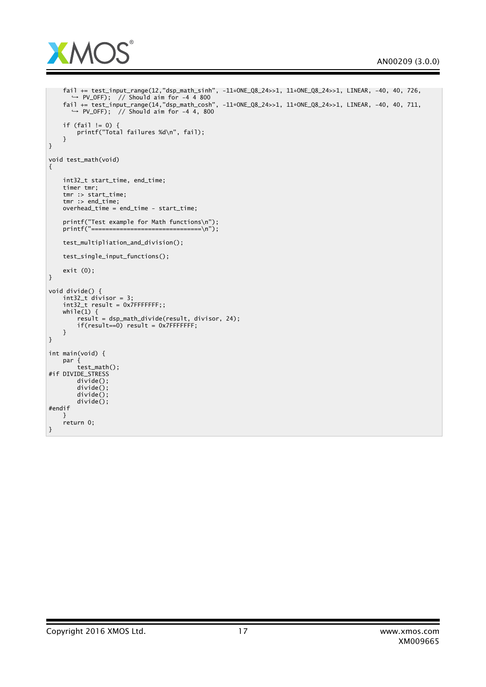

```
fail += test_input_range(12,"dsp_math_sinh", -11*ONE_Q8_24>>1, 11*ONE_Q8_24>>1, LINEAR, -40, 40, 726,
       → PV_OFF); // Should aim for -4 4 800
    fail += test_input_range(14,"dsp_math_cosh", -11*ONE_Q8_24>>1, 11*ONE_Q8_24>>1, LINEAR, -40, 40, 711,
      ,→ PV_OFF); // Should aim for -4 4, 800
    if (fail != 0) {
        printf("Total failures %d\n", fail);
    }
}
void test_math(void)
{
    int32_t start_time, end_time;
    timer tmr;
   tmr :> start_time;
    tmr :> end_time;
   overhead_time = end_time - start_time;
   printf("Test example for Math functions\n");<br>printf("===============================\n");
                                 =============\n");
    test_multipliation_and_division();
   test_single_input_functions();
   exit (0);
}
void divide() {
    int32_t divisor = 3;
    int32_t result = 0x7FFFFFFF;;
   while(1) {
        result = dsp_math_divide(result, divisor, 24);
        if(result==0) result = 0x7FFFFFFF;
   }
}
int main(void) {
   par {
        test_math();
#if DIVIDE_STRESS
        divide();
        divide();
        divide();
        divide();
#endif
    }
    return 0;
}
```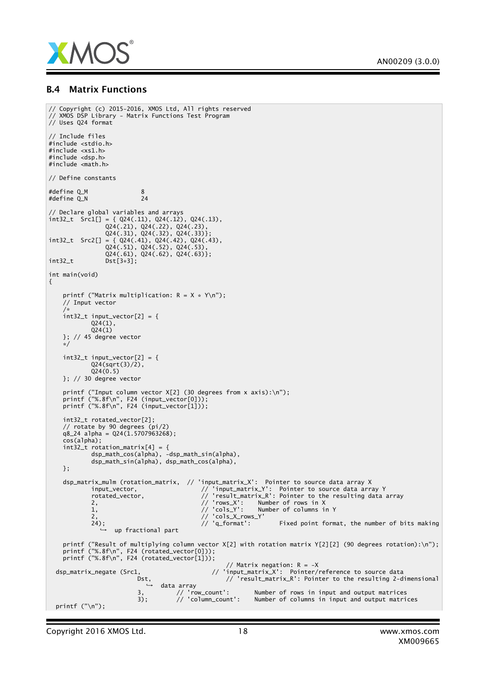

#### B.4 Matrix Functions

```
// Copyright (c) 2015-2016, XMOS Ltd, All rights reserved
// XMOS DSP Library - Matrix Functions Test Program
// Uses Q24 format
// Include files
#include <stdio.h>
#include <xs1.h>
#include <dsp.h>
#include <math.h>
// Define constants
#define Q_M 8<br>#define Q_N 24
#define Q_N 24
// Declare global variables and arrays
int32_t Src1[] = { Q24(.11), Q24(.12), Q24(.13),
                 Q24(.21), Q24(.22), Q24(.23),
                 Q24(.31), Q24(.32), Q24(.33)};
int32_t Src2[] = { Q24(.41), Q24(.42), Q24(.43),
                 Q24(.51), Q24(.52), Q24(.53),
                 Q24(.61), Q24(.62), Q24(.63)};
int32_t Dst\left[3*3\right];int main(void)
{
    printf ("Matrix multiplication: R = X * Y\(n");
    // Input vector
    /*
int32_t input_vector[2] = {
             Q24(1),
             Q24(1)}; // 45 degree vector
    */
    int32 + input vector[2] = {Q24(sqrt(3)/2),
            024(0.5)}; // 30 degree vector
    printf ("Input column vector X[2] (30 degrees from x axis):\n");
    printf ("%.8f\n", F24 (input_vector[0]));
    printf ("%.8f\n", F24 (input_vector[1]));
    int32_t rotated_vector[2];
    // rotate by 90 degrees (pi/2)
    q8_24 alpha = Q24(1.5707963268);
    cos(alpha);
    int32_t rotation_matrix[4] = {
             dsp_math_cos(alpha), -dsp_math_sin(alpha),
             dsp_math_sin(alpha), dsp_math_cos(alpha),
   };
    dsp_matrix_mulm (rotation_matrix, // 'input_matrix_X': Pointer to source data array X
             input_vector, // 'input_matrix_Y': Pointer to source data array Y
             rotated_vector, // 'result_matrix_R': Pointer to the resulting data array
             2, // 'rows_X': Number of rows in X
            \frac{1}{1}, \frac{1}{2} \frac{1}{2} \frac{1}{2} \frac{1}{2} \frac{1}{2} \frac{1}{2} \frac{1}{2} \frac{1}{2} \frac{1}{2} \frac{1}{2} \frac{1}{2} \frac{1}{2} \frac{1}{2} \frac{1}{2} \frac{1}{2} \frac{1}{2} \frac{1}{2} \frac{1}{2} \frac{1}{2} \frac{1}{2} \frac{1}{2} 
             2,<br>24); // 'cols_X_rows_Y'<br>24); // 'q_format':
                                                                      Fixed point format, the number of bits making
                   up fractional part
    printf ("Result of multiplying column vector X[2] with rotation matrix Y[2][2] (90 degrees rotation):\n");
    printf ("%.8f\n", F24 (rotated_vector[0]));
    printf ("%.8f\n", F24 (rotated_vector[1]));
                                                      // Matrix negation: R = -X
  dsp_matrix_negate (Src1, // 'input_matrix_X': Pointer/reference to source data
                           Dst, // 'result_matrix_R': Pointer to the resulting 2-dimensionaldata array<br>// 'row_count':
                           3, \frac{1}{2} // 'row_count': Number of rows in input and output matrices<br>3); // 'column_count': Number of columns in input and output matri
                           3); // 'column_count': Number of columns in input and output matrices
printf ("\n");
```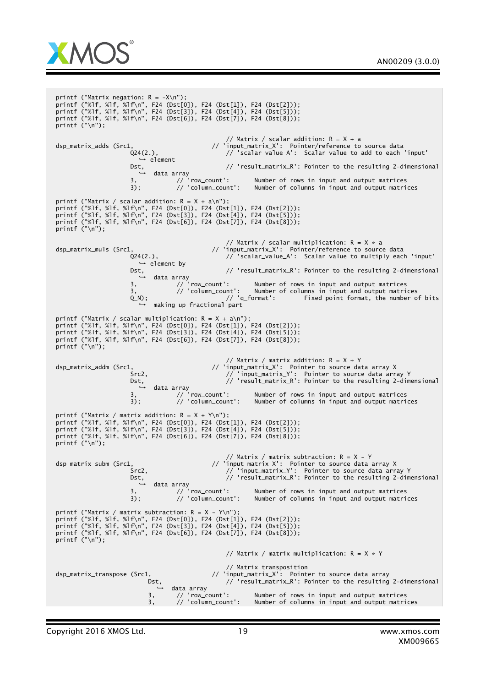



printf ("Matrix negation: R = -X\n"); printf ("%lf, %lf, %lf\n", F24 (Dst[0]), F24 (Dst[1]), F24 (Dst[2])); printf ("%lf, %lf, %lf\n", F24 (Dst[3]), F24 (Dst[4]), F24 (Dst[5])); printf ("%lf, %lf, %lf\n", F24 (Dst[6]), F24 (Dst[7]), F24 (Dst[8])); printf ("\n"); // Matrix / scalar addition: R = X + a dsp\_matrix\_adds (Src1, // 'input\_matrix\_X': Pointer/reference to source data Q24(2.),  $\frac{1}{2}$  'scalar\_value\_A': Scalar value to add to each 'input'  $\leftrightarrow$  element Dst, // 'result\_matrix\_R': Pointer to the resulting 2-dimensional<br>→ data array // 'row\_count': Number of rows in input and output matrices 3); // 'column\_count': Number of columns in input and output matrices printf ("Matrix / scalar addition: R = X + a\n"); printf ("%lf, %lf, %lf\n", F24 (Dst[0]), F24 (Dst[1]), F24 (Dst[2])); printf ("%lf, %lf, %lf\n", F24 (Dst[3]), F24 (Dst[4]), F24 (Dst[5])); printf ("%lf, %lf, %lf\n", F24 (Dst[6]), F24 (Dst[7]), F24 (Dst[8])); printf  $(''\n'')$ ; // Matrix / scalar multiplication:  $R = X * a$ dsp\_matrix\_muls (Src1,  $\frac{1}{2}$  // 'input\_matrix\_X': Pointer/reference to source data<br>24(2.),  $\frac{1}{2}$  / 'scalar\_value\_A': Scalar value to multiply eacl Q24(2.), // 'scalar\_value\_A': Scalar value to multiply each 'input' *→* element by<br>Dst. // 'result\_matrix\_R': Pointer to the resulting 2-dimensional Dst,<br>
→ data array<br> *1*/ 'row\_count':<br>
/ 'talumn\_count' 3, // 'row\_count': Number of rows in input and output matrices 3, // 'column\_count': Number of columns in input and output matrices // 'q\_format': Fixed point format, the number of bits o,<br>
(∩);<br>
→ making up fractional part printf ("Matrix / scalar multiplication: R = X + a\n"); printf ("%lf, %lf, %lf\n", F24 (Dst[0]), F24 (Dst[1]), F24 (Dst[2])); printf ("%lf, %lf, %lf\n", F24 (Dst[3]), F24 (Dst[4]), F24 (Dst[5])); printf ("%lf, %lf, %lf\n", F24 (Dst[6]), F24 (Dst[7]), F24 (Dst[8])); printf ("\n"); // Matrix / matrix addition:  $R = X + Y$ dsp\_matrix\_addm (Src1, // 'input\_matrix\_X': Pointer to source data array X Src2, // 'input\_matrix\_Y': Pointer to source data array Y Dst, // 'result\_matrix\_R': Pointer to the resulting 2-dimensional<br>→ data array // 'row\_count': Number of rows in input and output matrices 3); // 'column\_count': Number of columns in input and output matrices printf ("Matrix / matrix addition: R = X + Y\n"); printf ("%lf, %lf, %lf\n", F24 (Dst[0]), F24 (Dst[1]), F24 (Dst[2])); printf ("%lf, %lf, %lf\n", F24 (Dst[3]), F24 (Dst[4]), F24 (Dst[5])); printf ("%lf, %lf, %lf\n", F24 (Dst[6]), F24 (Dst[7]), F24 (Dst[8])); printf ("\n"); // Matrix / matrix subtraction: R = X - Y dsp\_matrix\_subm (Src1, // 'input\_matrix\_X': Pointer to source data array X Src2, // 'input\_matrix\_Y': Pointer to source data array Y Dst, // 'result\_matrix\_R': Pointer to the resulting 2-dimensional → data array<br>3, // 'row\_count': Number of rows in input and output matrices 3); // 'column\_count': Number of columns in input and output matrices printf ("Matrix / matrix subtraction: R = X - Y\n"); printf ("%lf, %lf, %lf\n", F24 (Dst[0]), F24 (Dst[1]), F24 (Dst[2])); printf ("%lf, %lf, %lf\n", F24 (Dst[3]), F24 (Dst[4]), F24 (Dst[5])); printf ("%lf, %lf, %lf\n", F24 (Dst[6]), F24 (Dst[7]), F24 (Dst[8])); printf ("\n"); // Matrix / matrix multiplication:  $R = X * Y$ // Matrix transposition dsp\_matrix\_transpose (Src1,  $\frac{1}{\sqrt{2}}$  'input\_matrix\_X': Pointer to source data array Dst,  $// 'result_matrix_R': Pointer to the resulting 2-dimensional$ → data array<br>3, // 'row\_count': Number of rows in input and output matrices 3, // 'column\_count': Number of columns in input and output matrices

Copyright 2016 XMOS Ltd. 19 www.xmos.com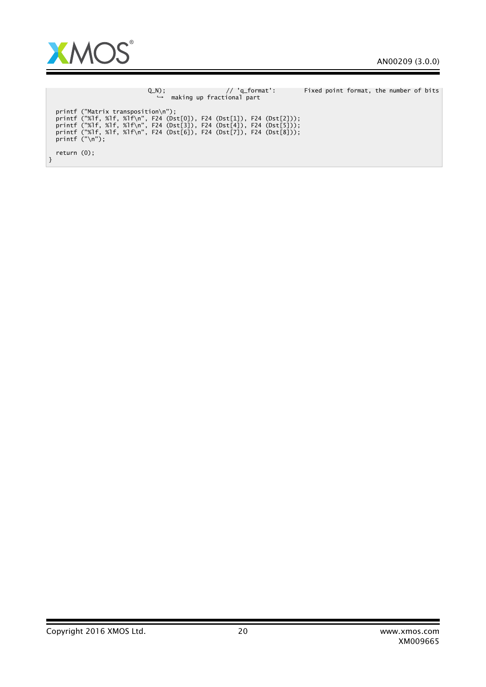

|                                                                                                                                                                                                                                                                                     | $Q_N$ );<br>$\rightarrow$ making up fractional part | // 'q_format': | Fixed point format, the number of bits |
|-------------------------------------------------------------------------------------------------------------------------------------------------------------------------------------------------------------------------------------------------------------------------------------|-----------------------------------------------------|----------------|----------------------------------------|
| $printf$ ("Matrix transposition\n");<br>printf ("%1f, %1f, %1f\n", F24 (Dst[0]), F24 (Dst[1]), F24 (Dst[2]));<br>printf ("%1f, %1f, %1f\n", F24 (Dst[3]), F24 (Dst[4]), F24 (Dst[5]));<br>printf ("%1f, %1f, %1f\n", F24 (Dst[6]), F24 (Dst[7]), F24 (Dst[8]));<br>printf $("n")$ : |                                                     |                |                                        |
| return $(0)$ ;                                                                                                                                                                                                                                                                      |                                                     |                |                                        |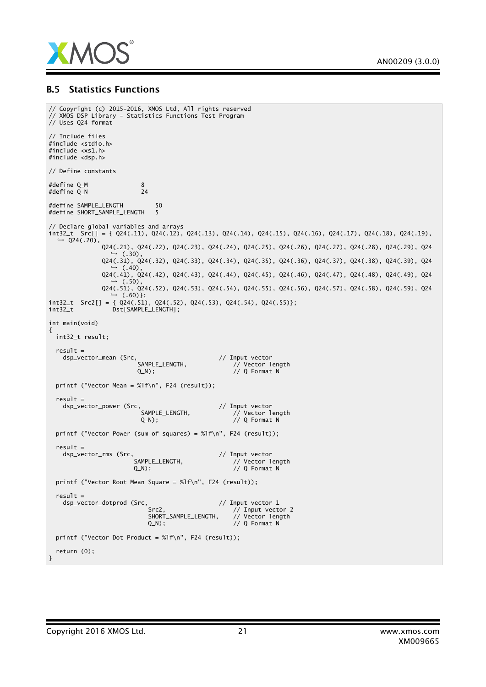

#### B.5 Statistics Functions

```
// Copyright (c) 2015-2016, XMOS Ltd, All rights reserved
// XMOS DSP Library - Statistics Functions Test Program
// Uses Q24 format
// Include files
#include <stdio.h>
#include <xs1.h>
#include <dsp.h>
// Define constants
#define Q_M 8<br>#define O N 24
#define Q_N#define SAMPLE_LENGTH 50
#define SHORT_SAMPLE_LENGTH 5
// Declare global variables and arrays
int32_t Src[] = { Q24(.11), Q24(.12), Q24(.13), Q24(.14), Q24(.15), Q24(.16), Q24(.17), Q24(.18), Q24(.19),
  \rightarrow Q24(.20),
              Q24(.21), Q24(.22), Q24(.23), Q24(.24), Q24(.25), Q24(.26), Q24(.27), Q24(.28), Q24(.29), Q24
                   (.30),
              Q24(.31), Q24(.32), Q24(.33), Q24(.34), Q24(.35), Q24(.36), Q24(.37), Q24(.38), Q24(.39), Q24
                 \leftrightarrow (.40),
              Q24(.41), Q24(.42), Q24(.43), Q24(.44), Q24(.45), Q24(.46), Q24(.47), Q24(.48), Q24(.49), Q24
                    (.50),
              Q24(.51), Q24(.52), Q24(.53), Q24(.54), Q24(.55), Q24(.56), Q24(.57), Q24(.58), Q24(.59), Q24
\rightarrow (.60)};<br>
int32_t Src2[] = { Q24(.51), Q24(.52), Q24(.53), Q24(.54), Q24(.55)};
int32_t Dst[SAMPLE_LENGTH];
int main(void)
{
 int32_t result;
 result =dsp_vector_mean (Src, // Input vector<br>SAMPLE_LENGTH, // Vector 1
                        SAMPLE_LENGTH, // Vector length
                        Q_N); // Q Format N
 printf ("Vector Mean = %1f\n", F24 (result));
  result =
    dsp_vector_power (Src, // Input vector
                         SAMPLE_LENGTH, // Vector length
                         Q_N); // Q Format N
 printf ("Vector Power (sum of squares) = %lf\n", F24 (result));
  result =
    dsp_vector_rms (Src, // Input vector
                                                   // Vector length
                       Q_N); \qquad \qquad \qquad // Q Format N
 printf ("Vector Root Mean Square = %lf\n", F24 (result));
 result =dsp_vector_dotprod (Src, \frac{1}{2} // Input vector 1
                                                  // Input vector 2<br>// Vector length
                           SHORT_SAMPLE_LENGTH,<br>Q_N);
                                                   // Q Format N
 printf ("Vector Dot Product = %lf\n", F24 (result));
 return (0);
}
```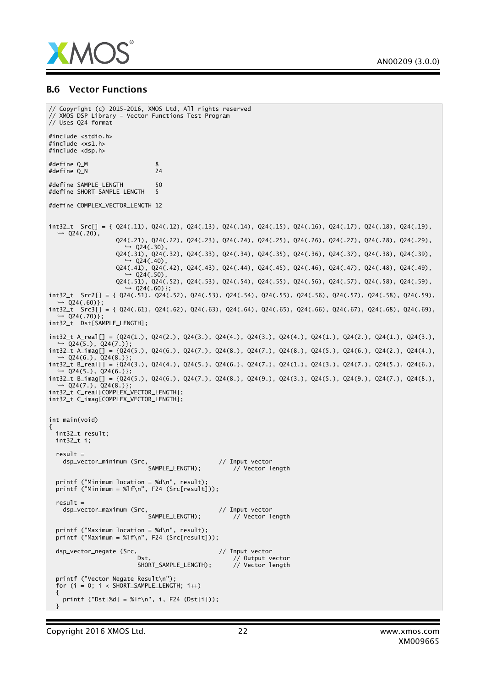

#### B.6 Vector Functions

```
// Copyright (c) 2015-2016, XMOS Ltd, All rights reserved
// XMOS DSP Library - Vector Functions Test Program
// Uses Q24 format
#include <stdio.h>
#include <xs1.h>
#include <dsp.h>
#define Q_M 8<br>#define Q_N 8
#define Q_N 24
#define SAMPLE_LENGTH 50
#define SHORT_SAMPLE_LENGTH 5
#define COMPLEX_VECTOR_LENGTH 12
int32_t Src[] = { Q24(.11), Q24(.12), Q24(.13), Q24(.14), Q24(.15), Q24(.16), Q24(.17), Q24(.18), Q24(.19),
   → Q24(.20),
                   Q24(.21), Q24(.22), Q24(.23), Q24(.24), Q24(.25), Q24(.26), Q24(.27), Q24(.28), Q24(.29),
                        ,→ Q24(.30),
                   Q24(.31), Q24(.32), Q24(.33), Q24(.34), Q24(.35), Q24(.36), Q24(.37), Q24(.38), Q24(.39),
                         Q24(.40),
                   Q24(.41), Q24(.42), Q24(.43), Q24(.44), Q24(.45), Q24(.46), Q24(.47), Q24(.48), Q24(.49),
                        \sqrt{0.24(0.50)}Q24(.51), Q24(.52), Q24(.53), Q24(.54), Q24(.55), Q24(.56), Q24(.57), Q24(.58), Q24(.59),
                      \rightarrow Q24(.60)};
int32_t Src2[] = { Q24(.51), Q24(.52), Q24(.53), Q24(.54), Q24(.55), Q24(.56), Q24(.57), Q24(.58), Q24(.59),
    ,→ Q24(.60)};
int32_t Src3[] = { Q24(.61), Q24(.62), Q24(.63), Q24(.64), Q24(.65), Q24(.66), Q24(.67), Q24(.68), Q24(.69),
  \rightarrow Q24(.70) };
int32_t Dst[SAMPLE_LENGTH];
int32_t A_real[] = {Q24(1.), Q24(2.), Q24(3.), Q24(4.), Q24(3.), Q24(4.), Q24(1.), Q24(2.), Q24(1.), Q24(3.),
,→ Q24(5.), Q24(7.)};
int32_t A_imag[] = {Q24(5.), Q24(6.), Q24(7.), Q24(8.), Q24(7.), Q24(8.), Q24(5.), Q24(6.), Q24(2.), Q24(4.),
   ,→ Q24(6.), Q24(8.)};
int32_t B_real[] = {Q24(3.), Q24(4.), Q24(5.), Q24(6.), Q24(7.), Q24(1.), Q24(3.), Q24(7.), Q24(5.), Q24(6.),
  ightharpoonup Q24(5.), Q24(6.)};
int32_t B_imag[] = {Q24(5.), Q24(6.), Q24(7.), Q24(8.), Q24(9.), Q24(3.), Q24(5.), Q24(9.), Q24(7.), Q24(8.),
→ Q24(7.), Q24(8.)};<br>int32_t C_real[COMPLEX_VECTOR_LENGTH];
int32_t C_imag[COMPLEX_VECTOR_LENGTH];
int main(void)
{
 int32_t result;
 int32 t i:
  result =
    dsp_vector_minimum (Src, // Input vector
                             SAMPLE_LENGTH); // Vector length
  printf ("Minimum location = %d\n", result);
  printf ("Minimum = %lf\n", F24 (Src[result]));
  result =
    dsp_vector_maximum (Src, // Input vector
                                                     // Vector length
 printf ("Maximum location = %d\n", result)
 printf ("Maximum = %1f\n", F24 (Src[result]));
 dsp_vector_negate (Src,<br>Dst. // Output vector // Output v
                                                     // Output vector<br>// Vector length
                         SHORT_SAMPLE_LENGTH);
 printf ("Vector Negate Result\n");
  for (i = 0; i < SHORT\_SAMPLE\_LENGTH; i++){
   printf ("Dst[%d] = %lf\n", i, F24 (Dst[i]));
}
```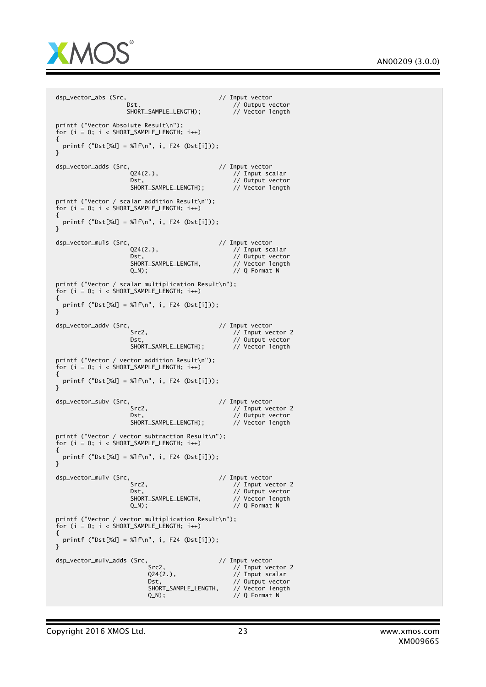

dsp\_vector\_abs (Src,  $\frac{1}{\sqrt{2}}$  // Input vector // Output vector<br>// Vector length SHORT\_SAMPLE\_LENGTH); printf ("Vector Absolute Result\n");  $for (i = 0; i < SHORT_SAMPLE_LENGTH; i++)$ { printf ("Dst[%d] = %lf\n", i, F24 (Dst[i])); } dsp\_vector\_adds (Src,  $Q24(2.)$ , // Input vector  $\dot{1}$  Input scalar Dst, // Output vector<br>SHORT\_SAMPLE\_LENGTH); // Vector length SHORT\_SAMPLE\_LENGTH); printf ("Vector / scalar addition Result\n"); for  $(i = 0; i <$  SHORT\_SAMPLE\_LENGTH;  $i++)$ { printf (" $Dst[$ %d] = % $1f\n$ , i, F24 ( $Dst[i])$ ); } dsp\_vector\_muls (Src,<br>
Q24(2.), // Input vector<br>
// Input sc  $\dot{1}$  Input scalar Dst, // Output vector<br>Dst, // Output vector<br>SHORT\_SAMPLE\_LENGTH, // Vector length SHORT\_SAMPLE\_LENGTH,<br>Q\_N);  $// Q$  Format N printf ("Vector / scalar multiplication Result\n"); for  $(i = 0; i <$  SHORT\_SAMPLE\_LENGTH;  $i++$ ) { printf ("Dst[%d] = %lf\n", i, F24 (Dst[i])); } dsp\_vector\_addv (Src, 2002) // Input vector // Input vector // Input vector  $//$  Input vector 2 Dst,  $\frac{7}{2}$  Output vector<br>SHORT\_SAMPLE\_LENGTH); // Vector length SHORT\_SAMPLE\_LENGTH): printf ("Vector / vector addition Result\n"); for  $(i = 0; i <$  SHORT\_SAMPLE\_LENGTH;  $i+1$ ) { printf ("Dst[%d] = %lf\n", i, F24 (Dst[i])); } dsp\_vector\_subv (Src, // // Input vector // Input vector // Input vector // Input vector Src2, // Input vector 2 Dst, // Output vector SHORT\_SAMPLE\_LENGTH); // Vector length printf ("Vector / vector subtraction Result\n"); for  $(i = 0; i < SHORT_SAMPLE_LENGTH; i++)$ { printf ("Dst[%d] = %lf\n", i, F24 (Dst[i])); } dsp\_vector\_mulv (Src,  $\frac{1}{2}$  // Input vector  $\frac{1}{2}$  // Input vector  $\frac{1}{2}$  // Input vector  $//$  Input vector 2 Dst, // Output vector<br>SHORT\_SAMPLE\_LENGTH, // Vector length SHORT\_SAMPLE\_LENGTH,<br>Q\_N);  $// Q$  Format N printf ("Vector / vector multiplication Result\n"); for  $(i = 0; i <$  SHORT\_SAMPLE\_LENGTH;  $i++$ ) { printf ("Dst[%d] = %lf\n", i, F24 (Dst[i])); } dsp\_vector\_mulv\_adds (Src, // Input vector // Input vector<br>// Input ve Src2,  $\frac{7}{7}$  Input vector 2<br>Q24(2.),  $\frac{7}{7}$  Input scalar  $\frac{1}{4}$  Input scalar Dst,  $\frac{1}{2}$  Dst,  $\frac{1}{2}$  Dutput vector<br>SHORT\_SAMPLE\_LENGTH,  $\frac{1}{2}$  Vector length SHORT\_SAMPLE\_LENGTH,<br>0 N):  $// Q$  Format N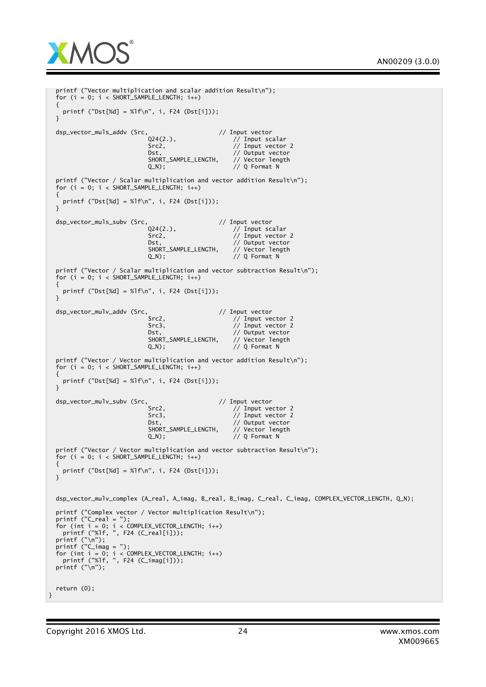

```
printf ("Vector multiplication and scalar addition Result\n");
  for (i = 0; i < SHORT_SAMPLE_LENGTH; i++)
  {
    printf ("Dst[%d] = %lf\n", i, F24 (Dst[i]));
  }
  dsp_vector_muls_addv (Src, Q24(2.), // Input vector<br>(// Input sc
                               Q24(2.), // Input scalar
                               Src2, // Input vector 2
                               Dst, // Output vector<br>SHORT_SAMPLE_LENGTH, // Vector length
                               SHORT_SAMPLE_LENGTH,
                               Q_N); \frac{1}{2} \frac{1}{2} \frac{1}{2} \frac{1}{2} \frac{1}{2} \frac{1}{2} \frac{1}{2} \frac{1}{2} \frac{1}{2} \frac{1}{2} \frac{1}{2} \frac{1}{2} \frac{1}{2} \frac{1}{2} \frac{1}{2} \frac{1}{2} \frac{1}{2} \frac{1}{2} \frac{1}{2} \frac{1}{2} \frac{1}{2} \frac{printf ("Vector / Scalar multiplication and vector addition Result\n");
  for (i = 0; i < SHORT_SAMPLE_LENATH; i++){
    printf ("Dst[%d] = %lf\n", i, F24 (Dst[i]));
  }
  dsp_vector_muls_subv (Src, \frac{024(2.)}{100} // Input vector
                               Q24(2.), // Input scalar
                               Src2, // Input vector 2
                               Dst, \frac{1}{2} // Output vector<br>SHORT_SAMPLE_LENGTH, // Vector length
                               SHORT_SAMPLE_LENGTH,<br>Q_N);
                                                          // Q Format N
  printf ("Vector / Scalar multiplication and vector subtraction Result\n");
  for (i = 0; i < SHORT_SAMPLE_LENGTH; i++){
    printf ("Dst[%d] = %1f\n, i, F24 (Dst[i]));
  }
  dsp_vector_mulv_addv (Src,<br>Src2. // Input vector
                                                          // Input vector 2
                               Src3, // Input vector 2<br>Dst. // Output vector 2
                                                          // Output vector<br>// Output vector<br>// Vector length
                               SHORT_SAMPLE_LENGTH,
                               Q_N); \frac{1}{\sqrt{Q}} Format N
  printf ("Vector / Vector multiplication and vector addition Result\n");
  for (i = 0; i < SHORT_SAMPLE_LENGTH; i++)
  {
    printf ("Dst[%d] = %1f\n, i, F24 (Dst[i]));
  }
 dsp_vector_mulv_subv (Src, // Input vector // Input vector
                               Src2, \sqrt{2} // Input vector 2
                               Src3, // Input vector 2
                               Dst, // Output vector<br>SHORT_SAMPLE_LENGTH, // Vector length
                               SHORT_SAMPLE_LENGTH,
                               Q_N); // Q Format N
  printf ("Vector / Vector multiplication and vector subtraction Result\n");
  for (i = 0; i < SHORT_SAMPLE_LENGTH; i++)
  {
    printf ("Dst[%d] = %1f\n, i, F24 (Dst[i]));
 }
  dsp_vector_mulv_complex (A_real, A_imag, B_real, B_imag, C_real, C_imag, COMPLEX_VECTOR_LENGTH, Q_N);
  printf ("Complex vector / Vector multiplication Result\n");
  printf ("C_real = ");
  for (int i = 0; i < COMPLEX_VECTOR_LENGTH; i++)
    printf ("%lf, ", F24 (C_real[i]));
  printf ("\n");
  printf ("C_imag = ");
  for (int i = 0; i < COMPLEX_VECTOR_LENGTH; i++)
    printf ("%lf, ", F24 (C_imag[i]));
  printf ("\n");
  return (0);
}
```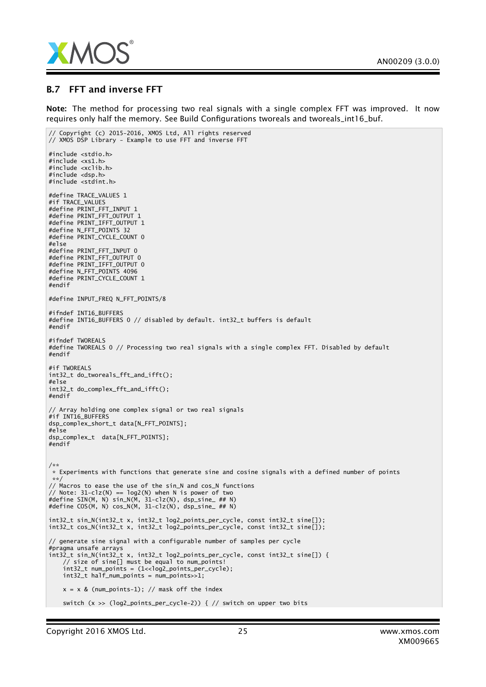

#### B.7 FFT and inverse FFT

Note: The method for processing two real signals with a single complex FFT was improved. It now requires only half the memory. See Build Configurations tworeals and tworeals\_int16\_buf.

```
// Copyright (c) 2015-2016, XMOS Ltd, All rights reserved
// XMOS DSP Library - Example to use FFT and inverse FFT
#include <stdio.h>
#include <xs1.h>
#include <xclib.h>
#include <dsp.h>
#include <stdint.h>
#define TRACE_VALUES 1
#if TRACE_VALUES
#define PRINT_FFT_INPUT 1
#define PRINT_FFT_OUTPUT 1
#define PRINT_IFFT_OUTPUT 1
#define N_FFT_POINTS 32
#define PRINT_CYCLE_COUNT 0
#else
#define PRINT_FFT_INPUT 0
#define PRINT_FFT_OUTPUT 0
#define PRINT_IFFT_OUTPUT 0
#define N_FFT_POINTS 4096
#define PRINT_CYCLE_COUNT 1
#endif
#define INPUT_FREQ N_FFT_POINTS/8
#ifndef INT16_BUFFERS
#define INT16_BUFFERS 0 // disabled by default. int32_t buffers is default
#endif
#ifndef TWOREALS
#define TWOREALS 0 // Processing two real signals with a single complex FFT. Disabled by default
#endif
#if TWOREALS
int32_t do_tworeals_fft_and_ifft();
#else
int32_t do_complex_fft_and_ifft();
#endif
// Array holding one complex signal or two real signals
#if INT16_BUFFERS
dsp_complex_short_t data[N_FFT_POINTS];
#else
dsp_complex_t data[N_FFT_POINTS];
#endif
/**
* Experiments with functions that generate sine and cosine signals with a defined number of points
**/
// Macros to ease the use of the sin_N and cos_N functions
// Note: 31-clz(N) == log2(N) when N is power of two
#define SIN(M, N) sin_N(M, 31-clz(N), dsp_sine_ ## N)
#define COS(M, N) cos_N(M, 31-clz(N), dsp_sine_ ## N)
int32_t sin_N(int32_t x, int32_t log2_points_per_cycle, const int32_t sine[]);
int32_t cos_N(int32_t x, int32_t log2_points_per_cycle, const int32_t sine[]);
// generate sine signal with a configurable number of samples per cycle
#pragma unsafe arrays
int32_t sin_N(int32_t x, int32_t log2_points_per_cycle, const int32_t sine[]) {
    // size of sine[] must be equal to num_points!
    int32_t num_points = (1<<log2_points_per_cycle);
    int32_t half_num_points = num_points>>1;
   x = x \& (num\_points-1); // mask off the indexswitch (x >> (log2_points_per_cycle-2)) { // switch on upper two bits
```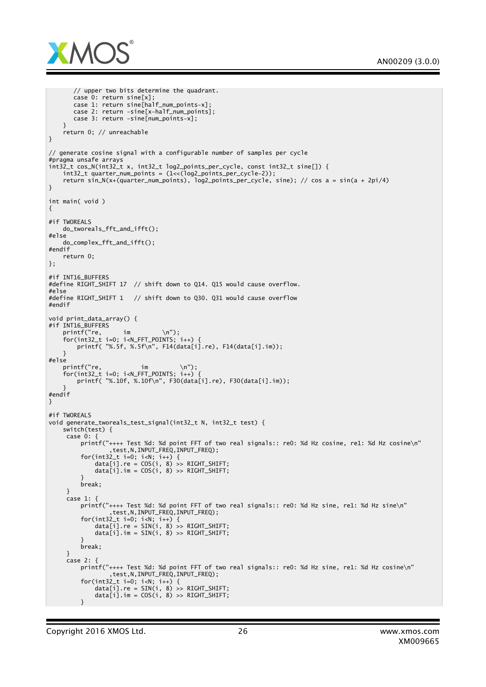

```
// upper two bits determine the quadrant.
       case 0: return sine[x];
      case 1: return sine[half_num_points-x];
      case 2: return -sine[x-half_num_points];
      case 3: return -sine[num_points-x];
   }
   return 0; // unreachable
}
// generate cosine signal with a configurable number of samples per cycle
#pragma unsafe arrays
int32_t cos_N(int32_t x, int32_t log2_points_per_cycle, const int32_t sine[]) {
   int32_t quarter_num_points = (1<<(log2_points_per_cycle-2));
   return sin_N(x+(quarter_num_points), log2_points_per_cycle, sine); // cos a = sin(a + 2pi/4)
}
int main( void )
{
#if TWOREALS
   do_tworeals_fft_and_ifft();
#else
   do_complex_fft_and_ifft();
#endif
   return 0;
};
#if INT16_BUFFERS
#define RIGHT_SHIFT 17 // shift down to Q14. Q15 would cause overflow.
#else
#define RIGHT_SHIFT 1 // shift down to Q30. Q31 would cause overflow
#endif
void print_data_array() {
#if INT16 BUFFERS
   printf("re, im \n");
    for(int32_t i=0; i<N_FFT_POINTS; i++) {
        printf( "%.5f, %.5f\n", F14(data[i].re), F14(data[i].im));
   }
#else
    printf("re, im \n");
    for(int32_t i=0; i<N_FFT_POINTS; i++) {
       printf( "%.10f, %.10f\n", F30(data[i].re), F30(data[i].im));
    }
#endif
}
#if TWOREALS
void generate_tworeals_test_signal(int32_t N, int32_t test) {
   switch(test) {
    case 0: {
         printf("++++ Test %d: %d point FFT of two real signals:: re0: %d Hz cosine, re1: %d Hz cosine\n"
                 ,test,N,INPUT_FREQ,INPUT_FREQ);
         for(int32_t i=0; i<N; i++) {
             data[i].re = COS(i, 8) >> RIGHT_SHIFT;
             data[i].im = COS(i, 8) >> RIGHT_SHIFT;
         }
        break;
     }
     case 1: 4printf("++++ Test %d: %d point FFT of two real signals:: re0: %d Hz sine, re1: %d Hz sine\n"
                 ,test,N,INPUT_FREQ,INPUT_FREQ);
         for(int32_t i=0; i<N; i++) {
             data[i].re = SIN(i, 8) >> RIGHT_SHIFT;
            data[i].im = SIN(i, 8) >> RIGHT_SHIFT;
         }
         break;
     }
     case 2: {
        printf("++++ Test %d: %d point FFT of two real signals:: re0: %d Hz sine, re1: %d Hz cosine\n"
                 ,test,N,INPUT_FREQ,INPUT_FREQ);
         for(int32_t i=0; i<N; i++) {
             data[i].re = SIN(i, 8) >> RIGHT_SHIFT;
             data[i].im = COS(i, 8) >> RIGHT_SHIFT;
         }
```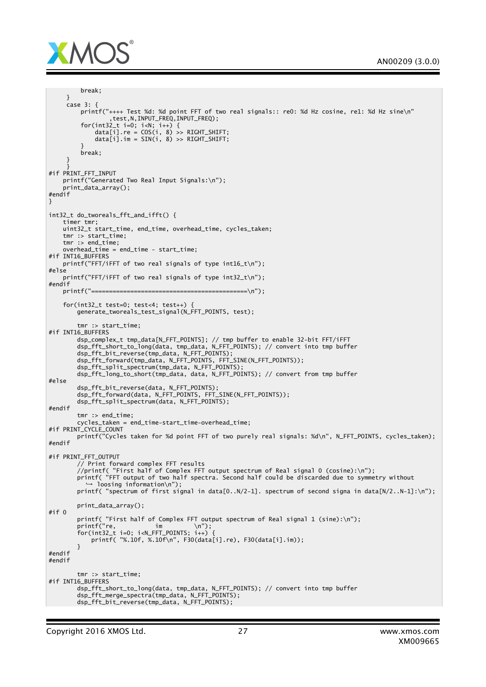

```
break;
     }
     case 3: {
        printf("++++ Test %d: %d point FFT of two real signals:: re0: %d Hz cosine, re1: %d Hz sine\n"
                 ,test,N,INPUT_FREQ,INPUT_FREQ);
         for(int32_t i=0; i<N; i++) {
             data[i].re = COS(i, 8) >> RIGHT_SHIFT;
            data[i] . im = SIN(i, 8) >> RIGHT\_SHIFT;}
        break;
     }
     }
#if PRINT_FFT_INPUT
   printf("Generated Two Real Input Signals:\n");
    print_data_array();
#endif
}
int32_t do_tworeals_fft_and_ifft() {
    timer tmr;
    uint32_t start_time, end_time, overhead_time, cycles_taken;
    tmr :> start_time;
    tmr :> end_time;
    overhead_time = end_time - start_time;
#if INT16_BUFFERS
   printf("FFT/iFFT of two real signals of type int16_t\n");
#else
   printf("FFT/iFFT of two real signals of type int32_t\n");
#endif
   printf("============================================\n");
    for(int32 t test=0; test<4; test++) {
       enerate tworeals test signal(N FFT POINTS, test);
       tmr :> start_time:
#if INT16_BUFFERS
        dsp_complex_t tmp_data[N_FFT_POINTS]; // tmp buffer to enable 32-bit FFT/iFFT
        dsp_fft_short_to_long(data, tmp_data, N_FFT_POINTS); // convert into tmp buffer
        dsp_fft_bit_reverse(tmp_data, N_FFT_POINTS);
        dsp_fft_forward(tmp_data, N_FFT_POINTS, FFT_SINE(N_FFT_POINTS));
        dsp_fft_split_spectrum(tmp_data, N_FFT_POINTS);
        dsp_fft_long_to_short(tmp_data, data, N_FFT_POINTS); // convert from tmp buffer
#else
        dsp_fft_bit_reverse(data, N_FFT_POINTS);
        dsp_fft_forward(data, N_FFT_POINTS, FFT_SINE(N_FFT_POINTS));
        dsp_fft_split_spectrum(data, N_FFT_POINTS);
#endif
        tmr :> end_time;
        cycles_taken = end_time-start_time-overhead_time;
#if PRINT_CYCLE_COUNT
       printf("Cycles taken for %d point FFT of two purely real signals: %d\n", N_FFT_POINTS, cycles_taken);
#endif
#if PRINT_FFT_OUTPUT
        // Print forward complex FFT results
        //printf( "First half of Complex FFT output spectrum of Real signal 0 (cosine):\n");
        printf( "FFT output of two half spectra. Second half could be discarded due to symmetry without
         ,→ loosing information\n");
        printf( "spectrum of first signal in data[0..N/2-1]. spectrum of second signa in data[N/2..N-1]:\n");
       print_data_array();
#if 0
        printf( "First half of Complex FFT output spectrum of Real signal 1 (sine):\n");
        printf("re, im \n");
        for(int32_t i=0; i<N_FFT_POINTS; i++) {
            printf( "%.10f, %.10f\n", F30(data[i].re), F30(data[i].im));
        }
#endif
#endif
        tmr :> start_time;
#if INT16_BUFFERS
        dsp_fft_short_to_long(data, tmp_data, N_FFT_POINTS); // convert into tmp buffer
        dsp_fft_merge_spectra(tmp_data, N_FFT_POINTS);
       dsp_fft_bit_reverse(tmp_data, N_FFT_POINTS);
```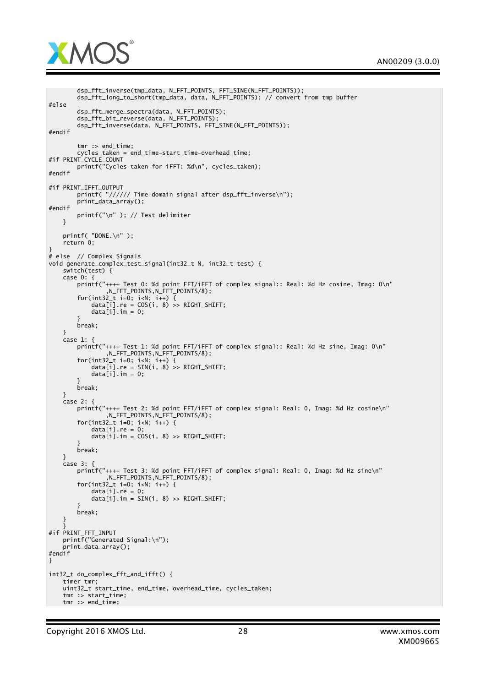

```
dsp_fft_inverse(tmp_data, N_FFT_POINTS, FFT_SINE(N_FFT_POINTS));
        dsp_fft_long_to_short(tmp_data, data, N_FFT_POINTS); // convert from tmp buffer
#else
        dsp_fft_merge_spectra(data, N_FFT_POINTS);
        dsp_fft_bit_reverse(data, N_FFT_POINTS);
        dsp_fft_inverse(data, N_FFT_POINTS, FFT_SINE(N_FFT_POINTS));
#endif
        tmr :> end_time;
        cycles_taken = end_time-start_time-overhead_time;
#if PRINT_CYCLE_COUNT
        printf("Cycles taken for iFFT: %d\n", cycles_taken);
#endif
#if PRINT_IFFT_OUTPUT
        printf( "////// Time domain signal after dsp_fft_inverse\n");
        print_data_array();
#endif
        printf("\n" ); // Test delimiter
   }
   printf( "DONE.\n" );
    return 0;
}
# else // Complex Signals
void generate_complex_test_signal(int32_t N, int32_t test) {
    switch(test) {
   case 0: {
        printf("++++ Test 0: %d point FFT/iFFT of complex signal:: Real: %d Hz cosine, Imag: 0\n"
                ,N_FFT_POINTS,N_FFT_POINTS/8);
        for(int32_t i=0; i<N; i++) {
            data[i].re = COS(i, 8) >> RIGHT_SHIFT;
            data[i].im = 0;
        }
        break;
   }
   case 1: {
        printf("++++ Test 1: %d point FFT/iFFT of complex signal:: Real: %d Hz sine, Imag: 0\n"
                ,N_FFT_POINTS,N_FFT_POINTS/8);
        for(int32_t i=0; i<N; i++) {
            data[i].re = SIN(i, 8) >> RIGHT_SHIFT;
            data[i].im = 0;}
        break;
   }
    \overline{c}ase 2: {
        printf("++++ Test 2: %d point FFT/iFFT of complex signal: Real: 0, Imag: %d Hz cosine\n"
                ,N_FFT_POINTS,N_FFT_POINTS/8);
        for(int32_t i=0; i<N; i++) {
            data[i].re = 0;
            data[i] . im = COS(i, 8) >> RIGHT\_SHIFT;}
        break;
    }
    case 3: {
        printf("++++ Test 3: %d point FFT/iFFT of complex signal: Real: 0, Imag: %d Hz sine\n"
                ,N_FFT_POINTS,N_FFT_POINTS/8);
        for(int32_t i=0; i<N; i++) {
            data[i].re = 0;data[i].im = SIN(i, 8) >> RIGHT_SHIFT;
        }
        break;
    }
    }
#if PRINT_FFT_INPUT
    printf("Generated Signal:\n");
    print_data_array();
#endif
}
int32_t do_complex_fft_and_ifft() {
    timer tmr;
    uint32_t start_time, end_time, overhead_time, cycles_taken;
    tmr :> start_time;
   tmr :> end_time;
```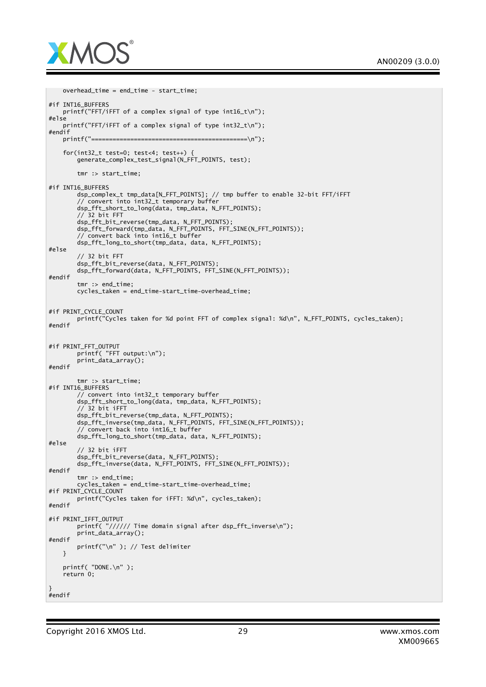

```
overhead_time = end_time - start_time;
#if INT16 BUFFERS
   printf("FFT/iFFT of a complex signal of type int16_t\n");
#else
    printf("FFT/iFFT of a complex signal of type int32_t\n");
#endif
   printf("============================================\n");
    for(int32_t test=0; test<4; test++) {
       generate_complex_test_signal(N_FFT_POINTS, test);
        tmr :> start_time;
#if INT16_BUFFERS
       dsp_complex_t tmp_data[N_FFT_POINTS]; // tmp buffer to enable 32-bit FFT/iFFT
        // convert into int32_t temporary buffer
        dsp_fft_short_to_long(data, tmp_data, N_FFT_POINTS);
        // 32 bit FFT
        dsp_fft_bit_reverse(tmp_data, N_FFT_POINTS);
       dsp_fft_forward(tmp_data, N_FFT_POINTS, FFT_SINE(N_FFT_POINTS));
        // convert back into int16_t buffer
        dsp_fft_long_to_short(tmp_data, data, N_FFT_POINTS);
#else
        // 32 bit FFT
       dsp_fft_bit_reverse(data, N_FFT_POINTS);
       dsp_fft_forward(data, N_FFT_POINTS, FFT_SINE(N_FFT_POINTS));
#endif
        tmr :> end time:
       cycles_taken = end_time-start_time-overhead_time;
#if PRINT_CYCLE_COUNT
       printf("Cycles taken for %d point FFT of complex signal: %d\n", N_FFT_POINTS, cycles_taken);
#endif
#if PRINT_FFT_OUTPUT
       printf( "FFT output:\n");
       print_data_array();
#endif
       tmr :> start time:
#if INT16_BUFFERS
        // convert into int32_t temporary buffer
        dsp_fft_short_to_long(data, tmp_data, N_FFT_POINTS);
        // 32 bit iFFT
        dsp_fft_bit_reverse(tmp_data, N_FFT_POINTS);
        dsp_fft_inverse(tmp_data, N_FFT_POINTS, FFT_SINE(N_FFT_POINTS));
        // convert back into int16_t buffer
       dsp_fft_long_to_short(tmp_data, data, N_FFT_POINTS);
#else
        // 32 bit iFFT
        dsp_fft_bit_reverse(data, N_FFT_POINTS);
        dsp_fft_inverse(data, N_FFT_POINTS, FFT_SINE(N_FFT_POINTS));
#endif
        tmr :> end_time;
        cycles_taken = end_time-start_time-overhead_time;
#if PRINT_CYCLE_COUNT
       printf("Cycles taken for iFFT: %d\n", cycles_taken);
#endif
#if PRINT_IFFT_OUTPUT
        printf( "////// Time domain signal after dsp_fft_inverse\n");
       print_data_array();
#endif
       printf("\n" ); // Test delimiter
    }
    printf( "DONE.\n" );
    return 0;
}
#endif
```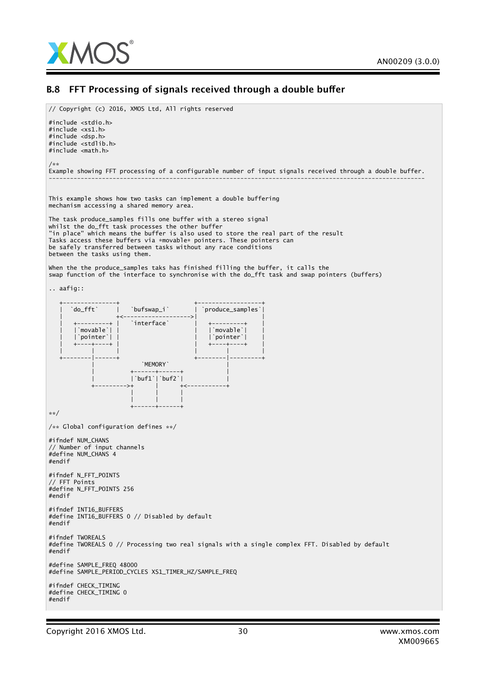

#### B.8 FFT Processing of signals received through a double buffer

// Copyright (c) 2016, XMOS Ltd, All rights reserved

#include <stdio.h> #include <xs1.h> #include <dsp.h> #include <stdlib.h> #include <math.h> /\*\* Example showing FFT processing of a configurable number of input signals received through a double buffer. ---------------------------------------------------------------------------------------------------------- This example shows how two tasks can implement a double buffering mechanism accessing a shared memory area. The task produce\_samples fills one buffer with a stereo signal whilst the do\_fft task processes the other buffer "in place" which means the buffer is also used to store the real part of the result Tasks access these buffers via \*movable\* pointers. These pointers can be safely transferred between tasks without any race conditions between the tasks using them. When the the produce\_samples taks has finished filling the buffer, it calls the swap function of the interface to synchronise with the do\_fft task and swap pointers (buffers) .. aafig:: +---------------+ +------------------+ | `do\_fft` | `bufswap\_i` | `produce\_samples`| | +<------------------->| | ---------+ | `interface`<br>`movable`| | | |`movable`| | | |`movable`| | 'pointer'| | +----+----+ | | +----+----+ | | | | | | | +--------|------+ +--------|---------+ `MEMORY` | +------+------+ |  $\text{buf1'}$   $\text{buf2'}$  | +--------->+ | +<-----------+ | | | | | | +------+------+ \*\*/ /\*\* Global configuration defines \*\*/ #ifndef NUM\_CHANS // Number of input channels #define NUM\_CHANS 4 #endif #ifndef N\_FFT\_POINTS // FFT Points #define N\_FFT\_POINTS 256 #endif #ifndef INT16\_BUFFERS #define INT16\_BUFFERS 0 // Disabled by default #endif #ifndef TWOREALS #define TWOREALS 0 // Processing two real signals with a single complex FFT. Disabled by default #endif #define SAMPLE\_FREQ 48000 #define SAMPLE\_PERIOD\_CYCLES XS1\_TIMER\_HZ/SAMPLE\_FREQ #ifndef CHECK\_TIMING #define CHECK\_TIMING 0 #endif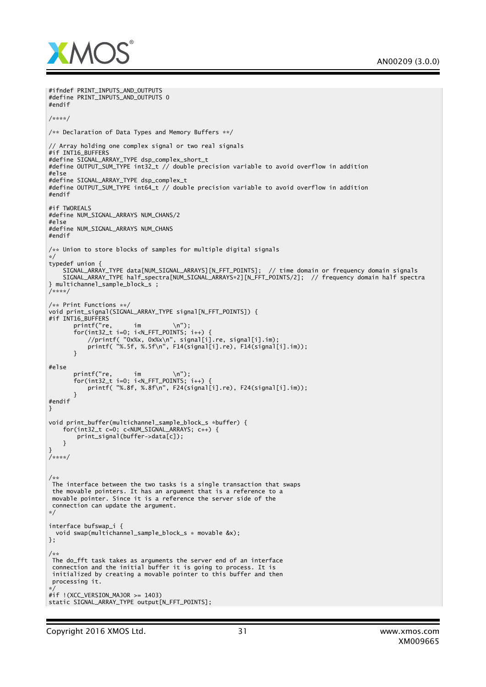

```
SIGNAL_ARRAY_TYPE data[NUM_SIGNAL_ARRAYS][N_FFT_POINTS]; // time domain or frequency domain signals
    SIGNAL_ARRAY_TYPE half_spectra[NUM_SIGNAL_ARRAYS*2][N_FFT_POINTS/2]; // frequency domain half spectra
void print_signal(SIGNAL_ARRAY_TYPE_signal[N_FFT_POINTS]) {
#if INT16_BUFFERS<br>printf("re,
       printf("re, im \n");
       for(int32_t i=0; i<N_FFT_POINTS; i++) {
           //printf( "0x%x, 0x%x\n", signal[i].re, signal[i].im);
           printf( "%.5f, %.5f\n", F14(signal[i].re), F14(signal[i].im));
       }
#else
       printf("re, im \n");
       for(int32_t i=0; i<N_FFT_POINTS; i++) {
           printf( "%.8f, %.8f\n", F24(signal[i].re), F24(signal[i].im));
       }
#endif
}
void print_buffer(multichannel_sample_block_s *buffer) {
for(int32_t c=0; c<NUM_SIGNAL_ARRAYS; c++) {
        print_signal(buffer->data[c]);
    }
}
/****/
/**
The interface between the two tasks is a single transaction that swaps
 the movable pointers. It has an argument that is a reference to a
movable pointer. Since it is a reference the server side of the
connection can update the argument.
*/
interface bufswap_i {
 void swap(multichannel_sample_block_s * movable &x);
};
/**
The do_fft task takes as arguments the server end of an interface
 connection and the initial buffer it is going to process. It is
 initialized by creating a movable pointer to this buffer and then
processing it.
*/
#if !(XCC_VERSION_MAJOR >= 1403)
static SIGNAL_ARRAY_TYPE output[N_FFT_POINTS];
```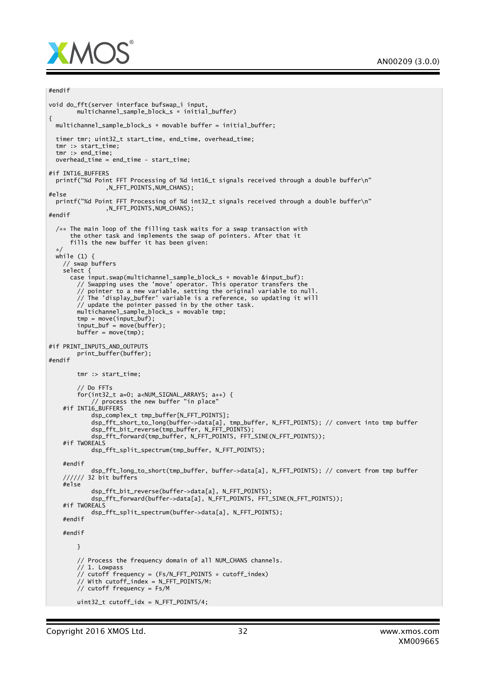

```
#endif
void do_fft(server interface bufswap_i input,
       multichannel_sample_block_s * initial_buffer)
{
 multichannel_sample_block_s * movable buffer = initial_buffer;
 timer tmr; uint32_t start_time, end_time, overhead_time;
 tmr :> start_time;
 tmr :> end_time;
 overhead_time = end_time - start_time;
#if INT16_BUFFERS
 printf("%d Point FFT Processing of %d int16_t signals received through a double buffer\n"
               ,N_FFT_POINTS,NUM_CHANS);
#else
 printf("%d Point FFT Processing of %d int32_t signals received through a double buffer\n"
               ,N_FFT_POINTS,NUM_CHANS);
#endif
 /* The main loop of the filling task waits for a swap transaction with
      the other task and implements the swap of pointers. After that it
      fills the new buffer it has been given:
  */
while (1) {
    // swap buffers
    select {
      case input.swap(multichannel_sample_block_s * movable &input_buf):
        // Swapping uses the 'move' operator. This operator transfers the
        // pointer to a new variable, setting the original variable to null.
        // The 'display_buffer' variable is a reference, so updating it will
        // update the pointer passed in by the other task.
       multichannel_sample_block_s * movable tmp;
        tmp = move(input_buf);
        input_buf = move(buffer);buffer = move(tmp);
#if PRINT INPUTS AND OUTPUTS
       print_buffer(buffer);
#endif
       tmr :> start_time;
        // Do FFTs
        for(int32_t a=0; a<NUM_SIGNAL_ARRAYS; a++) {
            // process the new buffer "in place"
    #if INT16 BUFFFRS
            dsp_complex_t tmp_buffer[N_FFT_POINTS];
            dsp_fft_short_to_long(buffer->data[a], tmp_buffer, N_FFT_POINTS); // convert into tmp buffer
            dsp_fft_bit_reverse(tmp_buffer, N_FFT_POINTS);
            dsp_fft_forward(tmp_buffer, N_FFT_POINTS, FFT_SINE(N_FFT_POINTS));
   #if TWOREALS
            dsp_fft_split_spectrum(tmp_buffer, N_FFT_POINTS);
    #endif
            dsp_fft_long_to_short(tmp_buffer, buffer->data[a], N_FFT_POINTS); // convert from tmp buffer
    ////// 32 bit buffers
    #else
            dsp_fft_bit_reverse(buffer->data[a], N_FFT_POINTS);
            dsp_fft_forward(buffer->data[a], N_FFT_POINTS, FFT_SINE(N_FFT_POINTS));
    #if TWOREALS
           dsp_fft_split_spectrum(buffer->data[a], N_FFT_POINTS);
    #endif
    #endif
       }
        // Process the frequency domain of all NUM_CHANS channels.
        \frac{1}{1}. Lowpass
        \frac{1}{2} cutoff frequency = (Fs/N_FFT_POINTS * cutoff_index)
        // With cutoff_index = N_FFT_POINTS/M:
        \frac{1}{2} cutoff frequency = Fs/M
       uint32_t cutoff_idx = N_FFT_POINTS/4;
```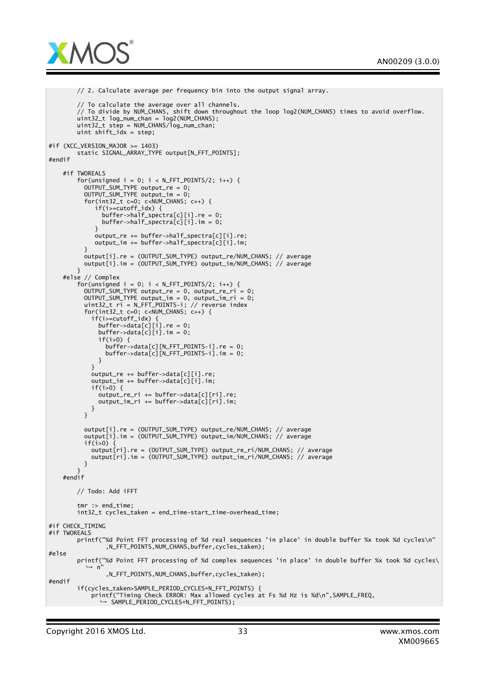

```
// 2. Calculate average per frequency bin into the output signal array.
        // To calculate the average over all channels.
        // To divide by NUM_CHANS, shift down throughout the loop log2(NUM_CHANS) times to avoid overflow.
        uint32_t log_num_chan = log2(NUM_CHANS);
       uint32_t step = NUM_CHANS/log_num_chan;
       uint shift_idx = step;
#if (XCC_VERSION_MAJOR >= 1403)
       static SIGNAL_ARRAY_TYPE output[N_FFT_POINTS];
#endif
   #if TWOREALS
        for(unsigned i = 0; i < N_FFT_P0INTS/2; i++) {
          OUTPUT_SUM_TYPE output_re = 0;
          OUTPUT_SUM_TYPE output_im = 0;
          for(int32_t c=0; c<NUM_CHANS; c++) {
             if(i>=cutoff_idx) {
               buffer->haIf_spectra[c][i].re = 0;buffer->half_spectra[c][i].im = 0;
             }
             output_re += buffer-> half\_spectra[c][i].re;output_im += buffer->half_spectra[c][i].im;
          }
          output[i].re = (OUTPUT_SUM_TYPE) output_re/NUM_CHANS; // average
         output[i].im = (OUTPUT_SUM_TYPE) output_im/NUM_CHANS; // average
        }
    #else // Complex
        for(unsigned i = 0; i < N FFT_POINTS/2; i++) {
          OUTPUT_SUM_TYPE output_re = 0, output_re_ri = 0;
          OUTPUT_SUM_TYPE output_im = 0, output_im_ri = 0;
          uint32_t ri = N_FFT_POINTS-i; // reverse index
          for(int32_t c=0; c<NUM_CHANS; c++) {
            if(i>=cutoff_idx) {
              buffer->data[c][i].re = 0;
              buffer->data[c][i].im = 0;
              if(i>0) {
                buffer->data[c][N_FFT_POINTS-i].re = 0;
                buffer->data[c][N_FFT_POINTS-i].im = 0;
             }
           }
           output_re += buffer - > data[c][i].re;output im += buffer->data[c][i].im;
            if(i>0) {
              output_re_ri += buffer->data[c][ri].re;
              output_im_ri += buffer->data[c][ri].im;
           }
          }
          output[i].re = (OUTPUT_SUM_TYPE) output_re/NUM_CHANS; // average
          output[i].im = (OUTPUT_SUM_TYPE) output_im/NUM_CHANS; // average
          if(i>0)output[ri].re = (OUTPUT_SUM_TYPE) output_re_ri/NUM_CHANS; // average
            output[ri].im = (OUTPUT_SUM_TYPE) output_im_ri/NUM_CHANS; // average
         }
       }
    #endif
        // Todo: Add iFFT
        tmr :> end_time;
        int32_t cycles_taken = end_time-start_time-overhead_time;
#if CHECK TIMING
#if TWOREALS
       printf("%d Point FFT processing of %d real sequences 'in place' in double buffer %x took %d cycles\n"
                ,N_FFT_POINTS,NUM_CHANS,buffer,cycles_taken);
#else
        printf("%d Point FFT processing of %d complex sequences 'in place' in double buffer %x took %d cycles\
          ,→ n"
                ,N_FFT_POINTS,NUM_CHANS,buffer,cycles_taken);
#endif
        if(cycles_taken>SAMPLE_PERIOD_CYCLES*N_FFT_POINTS) {
            printf("Timing Check ERROR: Max allowed cycles at Fs %d Hz is %d\n",SAMPLE_FREQ,
              ,→ SAMPLE_PERIOD_CYCLES*N_FFT_POINTS);
```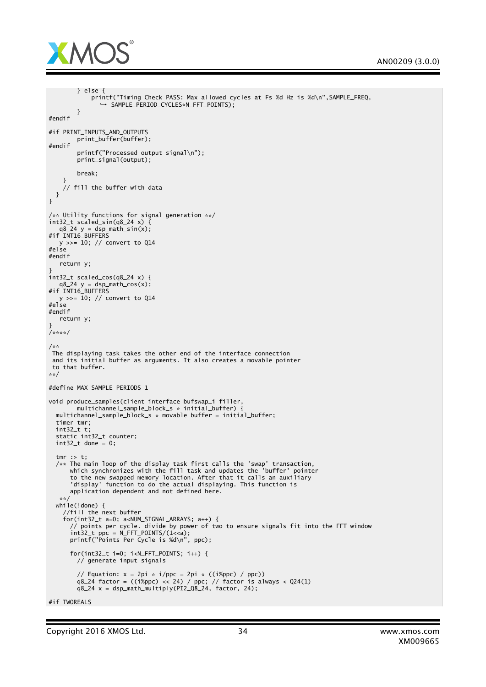

```
} else {
            printf("Timing Check PASS: Max allowed cycles at Fs %d Hz is %d\n",SAMPLE_FREQ,
               ,→ SAMPLE_PERIOD_CYCLES*N_FFT_POINTS);
        }
#endif
#if PRINT_INPUTS_AND_OUTPUTS
        print_buffer(buffer);
#endif
        printf("Processed output signal\n");
        print_signal(output);
        break;
    }
    // fill the buffer with data
 }
}
/** Utility functions for signal generation **/
int32_t scaled_sin(q8_24 x) \{q8_24 y = dsp_math_sin(x);
#if INT16_BUFFERS
  y >>= 10; // convert to Q14
#else
#endif
  return y;
}
int32_t scaled_cos(q8_24 x) {
   q824 y = dsp\_math\_cos(x);
#if INT16_BUFFERS
  y >>= 10; // convert to Q14
#else
#endif
  return y;
}
/****/
/**
 The displaying task takes the other end of the interface connection
 and its initial buffer as arguments. It also creates a movable pointer
to that buffer.
**/
#define MAX_SAMPLE_PERIODS 1
void produce_samples(client interface bufswap_i filler,
        multichannel_sample_block_s * initial_buffer) {
  multichannel_sample_block_s * movable buffer = initial_buffer;
  timer tmr;
  int32_t t;
  static int32_t counter;
  int32_t done = 0;
  tmr :> t;
  /** The main loop of the display task first calls the 'swap' transaction,
which synchronizes with the fill task and updates the 'buffer' pointer
      to the new swapped memory location. After that it calls an auxiliary
      'display' function to do the actual displaying. This function is
      application dependent and not defined here.
   \simwhile(!done) {
    //fill the next buffer
    for(int32_t a=0; a<NUM_SIGNAL_ARRAYS; a++) {
      // points per cycle. divide by power of two to ensure signals fit into the FFT window
      int32_t ppc = N_FFT_POINTS/(1<<a);
      printf("Points Per Cycle is %d\n", ppc);
      for(int32_t i=0; i<N_FFT_POINTS; i++) {
        // generate input signals
         // Equation: x = 2pi * i/ppc = 2pi * ((i%ppc) / ppc))
q8_24 factor = ((i%ppc) << 24) / ppc; // factor is always < Q24(1)
         q8_24 x = dsp_math_multiply(PI2_Q8_24, factor, 24);
#if TWOREALS
```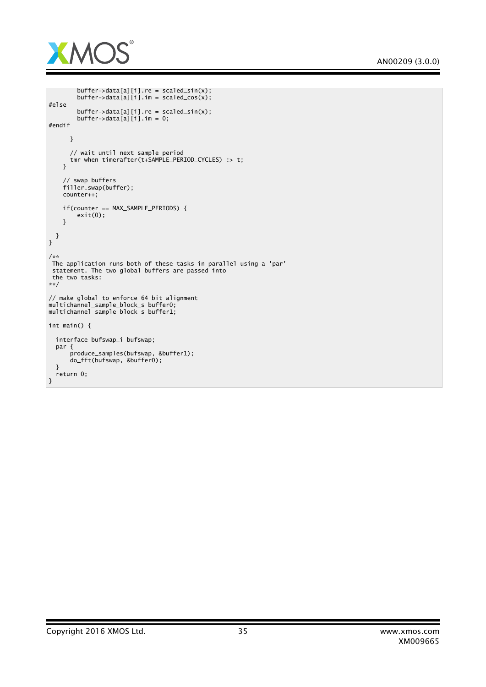

```
buffer->data[a][i].re = scaled_sin(x);
        buffer->data[a][i].im = scaled_cos(x);
#else
        buffer->data[a][i].re = scaled_sin(x);
        buffer->data[a][i].im = 0;
#endif
      }
      // wait until next sample period
      tmr when timerafter(t+SAMPLE_PERIOD_CYCLES) :> t;
   }
    // swap buffers
    filler.swap(buffer);
   counter++;
    if(counter == MAX_SAMPLE_PERIODS) {
        exit(0);
   }
 }
}
/**
^{'}The application runs both of these tasks in parallel using a 'par'
statement. The two global buffers are passed into
the two tasks:
**/
// make global to enforce 64 bit alignment
multichannel_sample_block_s buffer0;
multichannel_sample_block_s buffer1;
int main() {
 interface bufswap_i bufswap;
 par {
      produce_samples(bufswap, &buffer1);
      do_fft(bufswap, &buffer0);
  }
 return 0;
}
```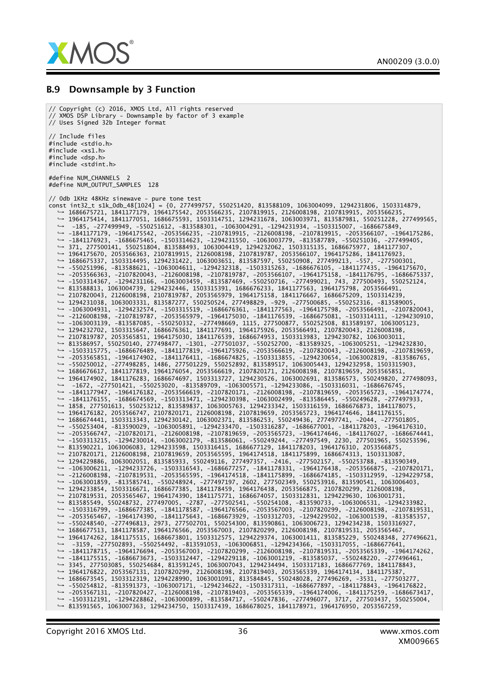

#### B.9 Downsample by 3 Function

// Copyright (c) 2016, XMOS Ltd, All rights reserved // XMOS DSP Library - Downsample by factor of 3 example // Uses Signed 32b Integer format // Include files #include <stdio.h> #include <xs1.h> #include <dsp.h> #include <stdint.h> #define NUM\_CHANNELS 2 #define NUM\_OUTPUT\_SAMPLES 128 // 0db 1KHz 48KHz sinewave - pure tone test const int32\_t s1k\_0db\_48[1024] = {0, 277499757, 550251420, 813588109, 1063004099, 1294231806, 1503314879, *,*→ 1686675721, 1841177179, 1964175542, 2053566235, 2107819915, 2126008198, 2107819915, 2053566235, *,*→ 1964175414, 1841177051, 1686675593, 1503314751, 1294231678, 1063003971, 813587981, 550251228, 277499565, *,*→ -185, -277499949, -550251612, -813588301, -1063004291, -1294231934, -1503315007, -1686675849, *,*→ -1841177179, -1964175542, -2053566235, -2107819915, -2126008198, -2107819915, -2053566107, -1964175286, *,*→ -1841176923, -1686675465, -1503314623, -1294231550, -1063003779, -813587789, -550251036, -277499405, *,*→ 371, 277500141, 550251804, 813588493, 1063004419, 1294232062, 1503315135, 1686675977, 1841177307, *,*→ 1964175670, 2053566363, 2107819915, 2126008198, 2107819787, 2053566107, 1964175286, 1841176923, *,*→ 1686675337, 1503314495, 1294231422, 1063003651, 813587597, 550250908, 277499213, -557, -277500301, *,*→ -550251996, -813588621, -1063004611, -1294232318, -1503315263, -1686676105, -1841177435, -1964175670, *,*→ -2053566363, -2107820043, -2126008198, -2107819787, -2053566107, -1964175158, -1841176795, -1686675337, *,*→ -1503314367, -1294231166, -1063003459, -813587469, -550250716, -277499021, 743, 277500493, 550252124, *,*→ 813588813, 1063004739, 1294232446, 1503315391, 1686676233, 1841177563, 1964175798, 2053566491, *,*→ 2107820043, 2126008198, 2107819787, 2053565979, 1964175158, 1841176667, 1686675209, 1503314239, *,*→ 1294231038, 1063003331, 813587277, 550250524, 277498829, -929, -277500685, -550252316, -813589005, *,*→ -1063004931, -1294232574, -1503315519, -1686676361, -1841177563, -1964175798, -2053566491, -2107820043, *,*→ -2126008198, -2107819787, -2053565979, -1964175030, -1841176539, -1686675081, -1503314111, -1294230910, *,*→ -1063003139, -813587085, -550250332, -277498669, 1115, 277500877, 550252508, 813589197, 1063005123, *,*→ 1294232702, 1503315647, 1686676361, 1841177691, 1964175926, 2053566491, 2107820043, 2126008198, *,*→ 2107819787, 2053565851, 1964175030, 1841176539, 1686674953, 1503313983, 1294230782, 1063003011, *,*→ 813586957, 550250140, 277498477, -1301, -277501037, -550252700, -813589325, -1063005251, -1294232830, *,*→ -1503315775, -1686676489, -1841177819, -1964175926, -2053566619, -2107820043, -2126008198, -2107819659, *,*→ -2053565851, -1964174902, -1841176411, -1686674825, -1503313855, -1294230654, -1063002819, -813586765, *,*→ -550250012, -277498285, 1486, 277501229, 550252892, 813589517, 1063005443, 1294232958, 1503315903, *,*→ 1686676617, 1841177819, 1964176054, 2053566619, 2107820171, 2126008198, 2107819659, 2053565851, *,*→ 1964174902, 1841176283, 1686674697, 1503313727, 1294230526, 1063002691, 813586573, 550249820, 277498093, *,*→ -1672, -277501421, -550253020, -813589709, -1063005571, -1294233086, -1503316031, -1686676745, *,*→ -1841177947, -1964176182, -2053566619, -2107820171, -2126008198, -2107819659, -2053565723, -1964174774, *,*→ -1841176155, -1686674569, -1503313471, -1294230398, -1063002499, -813586445, -550249628, -277497933, *,*→ 1858, 277501613, 550253212, 813589837, 1063005763, 1294233342, 1503316159, 1686676873, 1841178075, *,*→ 1964176182, 2053566747, 2107820171, 2126008198, 2107819659, 2053565723, 1964174646, 1841176155, *,*→ 1686674441, 1503313343, 1294230142, 1063002371, 813586253, 550249436, 277497741, -2044, -277501805, *,*→ -550253404, -813590029, -1063005891, -1294233470, -1503316287, -1686677001, -1841178203, -1964176310, *,*→ -2053566747, -2107820171, -2126008198, -2107819659, -2053565723, -1964174646, -1841176027, -1686674441, *,*→ -1503313215, -1294230014, -1063002179, -813586061, -550249244, -277497549, 2230, 277501965, 550253596, *,*→ 813590221, 1063006083, 1294233598, 1503316415, 1686677129, 1841178203, 1964176310, 2053566875, *,*→ 2107820171, 2126008198, 2107819659, 2053565595, 1964174518, 1841175899, 1686674313, 1503313087, *,*→ 1294229886, 1063002051, 813585933, 550249116, 277497357, -2416, -277502157, -550253788, -813590349, *,*→ -1063006211, -1294233726, -1503316543, -1686677257, -1841178331, -1964176438, -2053566875, -2107820171, *,*→ -2126008198, -2107819531, -2053565595, -1964174518, -1841175899, -1686674185, -1503312959, -1294229758, *,*→ -1063001859, -813585741, -550248924, -277497197, 2602, 277502349, 550253916, 813590541, 1063006403, *,*→ 1294233854, 1503316671, 1686677385, 1841178459, 1964176438, 2053566875, 2107820299, 2126008198, *,*→ 2107819531, 2053565467, 1964174390, 1841175771, 1686674057, 1503312831, 1294229630, 1063001731, *,*→ 813585549, 550248732, 277497005, -2787, -277502541, -550254108, -813590733, -1063006531, -1294233982, *,*→ -1503316799, -1686677385, -1841178587, -1964176566, -2053567003, -2107820299, -2126008198, -2107819531, *,*→ -2053565467, -1964174390, -1841175643, -1686673929, -1503312703, -1294229502, -1063001539, -813585357, *,*→ -550248540, -277496813, 2973, 277502701, 550254300, 813590861, 1063006723, 1294234238, 1503316927, *,*→ 1686677513, 1841178587, 1964176566, 2053567003, 2107820299, 2126008198, 2107819531, 2053565467, *,*→ 1964174262, 1841175515, 1686673801, 1503312575, 1294229374, 1063001411, 813585229, 550248348, 277496621, *,*→ -3159, -277502893, -550254492, -813591053, -1063006851, -1294234366, -1503317055, -1686677641, *,*→ -1841178715, -1964176694, -2053567003, -2107820299, -2126008198, -2107819531, -2053565339, -1964174262, *,*→ -1841175515, -1686673673, -1503312447, -1294229118, -1063001219, -813585037, -550248220, -277496461, *,*→ 3345, 277503085, 550254684, 813591245, 1063007043, 1294234494, 1503317183, 1686677769, 1841178843, *,*→ 1964176822, 2053567131, 2107820299, 2126008198, 2107819403, 2053565339, 1964174134, 1841175387, *,*→ 1686673545, 1503312319, 1294228990, 1063001091, 813584845, 550248028, 277496269, -3531, -277503277, *,*→ -550254812, -813591373, -1063007171, -1294234622, -1503317311, -1686677897, -1841178843, -1964176822, *,*→ -2053567131, -2107820427, -2126008198, -2107819403, -2053565339, -1964174006, -1841175259, -1686673417, *,*→ -1503312191, -1294228862, -1063000899, -813584717, -550247836, -277496077, 3717, 277503437, 550255004, *,*→ 813591565, 1063007363, 1294234750, 1503317439, 1686678025, 1841178971, 1964176950, 2053567259,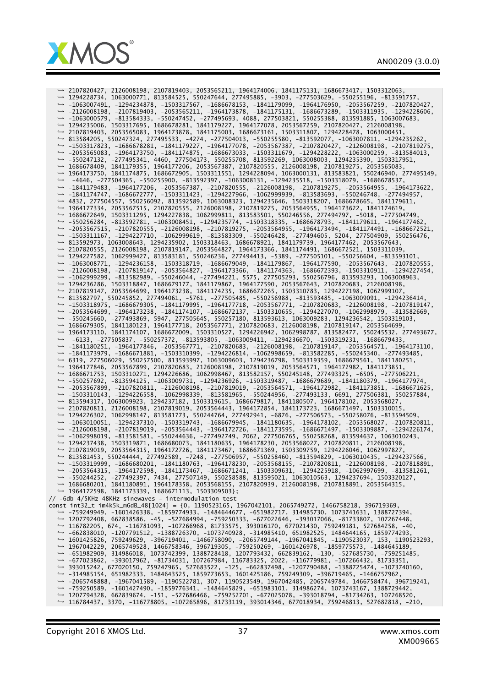



*,*→ 2107820427, 2126008198, 2107819403, 2053565211, 1964174006, 1841175131, 1686673417, 1503312063, *,*→ 1294228734, 1063000771, 813584525, 550247644, 277495885, -3903, -277503629, -550255196, -813591757, *,*→ -1063007491, -1294234878, -1503317567, -1686678153, -1841179099, -1964176950, -2053567259, -2107820427, *,*→ -2126008198, -2107819403, -2053565211, -1964173878, -1841175131, -1686673289, -1503311935, -1294228606, *,*→ -1063000579, -813584333, -550247452, -277495693, 4088, 277503821, 550255388, 813591885, 1063007683, *,*→ 1294235006, 1503317695, 1686678281, 1841179227, 1964177078, 2053567259, 2107820427, 2126008198, *,*→ 2107819403, 2053565083, 1964173878, 1841175003, 1686673161, 1503311807, 1294228478, 1063000451, *,*→ 813584205, 550247324, 277495533, -4274, -277504013, -550255580, -813592077, -1063007811, -1294235262, *,*→ -1503317823, -1686678281, -1841179227, -1964177078, -2053567387, -2107820427, -2126008198, -2107819275, *,*→ -2053565083, -1964173750, -1841174875, -1686673033, -1503311679, -1294228222, -1063000259, -813584013, *,*→ -550247132, -277495341, 4460, 277504173, 550255708, 813592269, 1063008003, 1294235390, 1503317951, *,*→ 1686678409, 1841179355, 1964177206, 2053567387, 2107820555, 2126008198, 2107819275, 2053565083, *,*→ 1964173750, 1841174875, 1686672905, 1503311551, 1294228094, 1063000131, 813583821, 550246940, 277495149, *,*→ -4646, -277504365, -550255900, -813592397, -1063008131, -1294235518, -1503318079, -1686678537, *,*→ -1841179483, -1964177206, -2053567387, -2107820555, -2126008198, -2107819275, -2053564955, -1964173622, *,*→ -1841174747, -1686672777, -1503311423, -1294227966, -1062999939, -813583693, -550246748, -277494957, *,*→ 4832, 277504557, 550256092, 813592589, 1063008323, 1294235646, 1503318207, 1686678665, 1841179611, *,*→ 1964177334, 2053567515, 2107820555, 2126008198, 2107819275, 2053564955, 1964173622, 1841174619, *,*→ 1686672649, 1503311295, 1294227838, 1062999811, 813583501, 550246556, 277494797, -5018, -277504749, *,*→ -550256284, -813592781, -1063008451, -1294235774, -1503318335, -1686678793, -1841179611, -1964177462, *,*→ -2053567515, -2107820555, -2126008198, -2107819275, -2053564955, -1964173494, -1841174491, -1686672521, *,*→ -1503311167, -1294227710, -1062999619, -813583309, -550246428, -277494605, 5204, 277504909, 550256476, *,*→ 813592973, 1063008643, 1294235902, 1503318463, 1686678921, 1841179739, 1964177462, 2053567643, *,*→ 2107820555, 2126008198, 2107819147, 2053564827, 1964173366, 1841174491, 1686672521, 1503311039, *,*→ 1294227582, 1062999427, 813583181, 550246236, 277494413, -5389, -277505101, -550256604, -813593101, *,*→ -1063008771, -1294236158, -1503318719, -1686679049, -1841179867, -1964177590, -2053567643, -2107820555, *,*→ -2126008198, -2107819147, -2053564827, -1964173366, -1841174363, -1686672393, -1503310911, -1294227454, *,*→ -1062999299, -813582989, -550246044, -277494221, 5575, 277505293, 550256796, 813593293, 1063008963, *,*→ 1294236286, 1503318847, 1686679177, 1841179867, 1964177590, 2053567643, 2107820683, 2126008198, *,*→ 2107819147, 2053564699, 1964173238, 1841174235, 1686672265, 1503310783, 1294227198, 1062999107, *,*→ 813582797, 550245852, 277494061, -5761, -277505485, -550256988, -813593485, -1063009091, -1294236414, *,*→ -1503318975, -1686679305, -1841179995, -1964177718, -2053567771, -2107820683, -2126008198, -2107819147, *,*→ -2053564699, -1964173238, -1841174107, -1686672137, -1503310655, -1294227070, -1062998979, -813582669, *,*→ -550245660, -277493869, 5947, 277505645, 550257180, 813593613, 1063009283, 1294236542, 1503319103, *,*→ 1686679305, 1841180123, 1964177718, 2053567771, 2107820683, 2126008198, 2107819147, 2053564699, *,*→ 1964173110, 1841174107, 1686672009, 1503310527, 1294226942, 1062998787, 813582477, 550245532, 277493677, *,*→ -6133, -277505837, -550257372, -813593805, -1063009411, -1294236670, -1503319231, -1686679433, *,*→ -1841180251, -1964177846, -2053567771, -2107820683, -2126008198, -2107819147, -2053564571, -1964173110, *,*→ -1841173979, -1686671881, -1503310399, -1294226814, -1062998659, -813582285, -550245340, -277493485, *,*→ 6319, 277506029, 550257500, 813593997, 1063009603, 1294236798, 1503319359, 1686679561, 1841180251, *,*→ 1964177846, 2053567899, 2107820683, 2126008198, 2107819019, 2053564571, 1964172982, 1841173851, *,*→ 1686671753, 1503310271, 1294226686, 1062998467, 813582157, 550245148, 277493325, -6505, -277506221, *,*→ -550257692, -813594125, -1063009731, -1294236926, -1503319487, -1686679689, -1841180379, -1964177974, *,*→ -2053567899, -2107820811, -2126008198, -2107819019, -2053564571, -1964172982, -1841173851, -1686671625, *,*→ -1503310143, -1294226558, -1062998339, -813581965, -550244956, -277493133, 6691, 277506381, 550257884, *,*→ 813594317, 1063009923, 1294237182, 1503319615, 1686679817, 1841180507, 1964178102, 2053568027, *,*→ 2107820811, 2126008198, 2107819019, 2053564443, 1964172854, 1841173723, 1686671497, 1503310015, *,*→ 1294226302, 1062998147, 813581773, 550244764, 277492941, -6876, -277506573, -550258076, -813594509, *,*→ -1063010051, -1294237310, -1503319743, -1686679945, -1841180635, -1964178102, -2053568027, -2107820811, *,*→ -2126008198, -2107819019, -2053564443, -1964172726, -1841173595, -1686671497, -1503309887, -1294226174, *,*→ -1062998019, -813581581, -550244636, -277492749, 7062, 277506765, 550258268, 813594637, 1063010243, *,*→ 1294237438, 1503319871, 1686680073, 1841180635, 1964178230, 2053568027, 2107820811, 2126008198, *,*→ 2107819019, 2053564315, 1964172726, 1841173467, 1686671369, 1503309759, 1294226046, 1062997827, *,*→ 813581453, 550244444, 277492589, -7248, -277506957, -550258460, -813594829, -1063010435, -1294237566, *,*→ -1503319999, -1686680201, -1841180763, -1964178230, -2053568155, -2107820811, -2126008198, -2107818891, *,*→ -2053564315, -1964172598, -1841173467, -1686671241, -1503309631, -1294225918, -1062997699, -813581261, *,*→ -550244252, -277492397, 7434, 277507149, 550258588, 813595021, 1063010563, 1294237694, 1503320127, *,*→ 1686680201, 1841180891, 1964178358, 2053568155, 2107820939, 2126008198, 2107818891, 2053564315, *,*→ 1964172598, 1841173339, 1686671113, 1503309503}; // -6db 4/5KHz 48KHz sinewaves - intermodulation test const int32\_t im4k5k\_m6dB\_48[1024] = {0, 1190523165, 1967042101, 2065749272, 1466758218, 396719369, *,*→ -759249949, -1601426338, -1859774933, -1484644677, -651982717, 314985730, 1073741631, 1388727394, *,*→ 1207792408, 662838586, -45, -527684994, -759250333, -677022646, -393017066, -81733807, 107267448, *,*→ 116782205, 674, -116781093, -107266968, 81733575, 393016170, 677021430, 759249181, 527684258, -40, *,*→ -662838010, -1207791512, -1388726370, -1073740928, -314985410, 651982525, 1484644165, 1859774293, *,*→ 1601425826, 759249629, -396719401, -1466758090, -2065749144, -1967041845, -1190523037, 153, 1190523293, *,*→ 1967042229, 2065749528, 1466758346, 396719305, -759250269, -1601426978, -1859775573, -1484645189, *,*→ -651982909, 314986018, 1073742399, 1388728418, 1207793432, 662839162, -130, -527685730, -759251485, *,*→ -677023862, -393017962, -81734031, 107267984, 116783325, 2022, -116779981, -107266432, 81733351, *,*→ 393015242, 677020150, 759247965, 527683522, -125, -662837498, -1207790488, -1388725474, -1073740160, *,*→ -314985154, 651982333, 1484643525, 1859773653, 1601425186, 759249309, -396719465, -1466757962, *,*→ -2065748888, -1967041589, -1190522781, 307, 1190523549, 1967042485, 2065749784, 1466758474, 396719241, *,*→ -759250589, -1601427490, -1859776341, -1484645829, -651983101, 314986274, 1073743167, 1388729442, *,*→ 1207794328, 662839674, -151, -527686466, -759252701, -677025078, -393018794, -81734263, 107268520, *,*→ 116784437, 3370, -116778805, -107265896, 81733119, 393014346, 677018934, 759246813, 527682818, -210,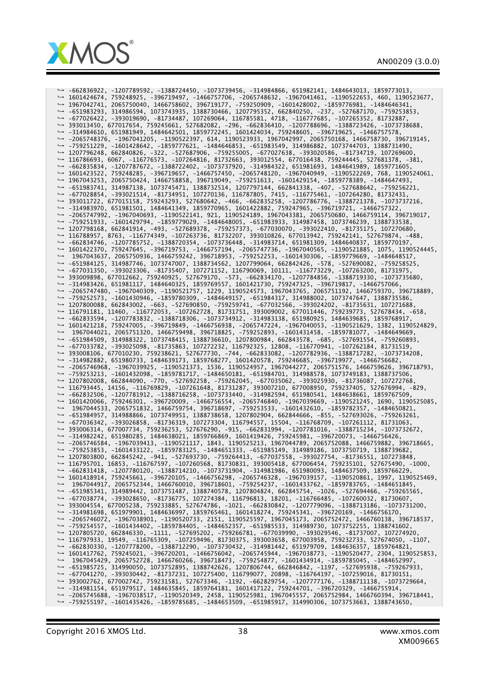

*,*→ -662836922, -1207789592, -1388724450, -1073739456, -314984866, 651982141, 1484643013, 1859773013, *,*→ 1601424674, 759248925, -396719497, -1466757706, -2065748632, -1967041461, -1190522653, 460, 1190523677, *,*→ 1967042741, 2065750040, 1466758602, 396719177, -759250909, -1601428002, -1859776981, -1484646341, *,*→ -651983293, 314986594, 1073743935, 1388730466, 1207795352, 662840250, -237, -527687170, -759253853, *,*→ -677026422, -393019690, -81734487, 107269064, 116785581, 4718, -116777685, -107265352, 81732887, *,*→ 393013450, 677017654, 759245661, 527682082, -296, -662836410, -1207788696, -1388723426, -1073738688, *,*→ -314984610, 651981949, 1484642501, 1859772245, 1601424034, 759248605, -396719625, -1466757578, *,*→ -2065748376, -1967041205, -1190522397, 614, 1190523933, 1967042997, 2065750168, 1466758730, 396719145, *,*→ -759251229, -1601428642, -1859777621, -1484646853, -651983549, 314986882, 1073744703, 1388731490, *,*→ 1207796248, 662840826, -322, -527687906, -759255005, -677027638, -393020586, -81734719, 107269600, *,*→ 116786693, 6067, -116776573, -107264816, 81732663, 393012554, 677016438, 759244445, 527681378, -381, *,*→ -662835834, -1207787672, -1388722402, -1073737920, -314984322, 651981693, 1484641989, 1859771605, *,*→ 1601423522, 759248285, -396719657, -1466757450, -2065748120, -1967040949, -1190522269, 768, 1190524061, *,*→ 1967043253, 2065750424, 1466758858, 396719049, -759251613, -1601429154, -1859778389, -1484647493, *,*→ -651983741, 314987138, 1073745471, 1388732514, 1207797144, 662841338, -407, -527688642, -759256221, *,*→ -677028854, -393021514, -81734951, 107270136, 116787805, 7415, -116775461, -107264280, 81732431, *,*→ 393011722, 677015158, 759243293, 527680642, -466, -662835258, -1207786776, -1388721378, -1073737216, *,*→ -314983970, 651981501, 1484641349, 1859770965, 1601422882, 759247965, -396719721, -1466757322, *,*→ -2065747992, -1967040693, -1190522141, 921, 1190524189, 1967043381, 2065750680, 1466759114, 396719017, *,*→ -759251933, -1601429794, -1859779029, -1484648005, -651983933, 314987458, 1073746239, 1388733538, *,*→ 1207798168, 662841914, -493, -527689378, -759257373, -677030070, -393022410, -81735175, 107270680, *,*→ 116788957, 8763, -116774349, -107263736, 81732207, 393010826, 677013942, 759242141, 527679874, -488, *,*→ -662834746, -1207785752, -1388720354, -1073736448, -314983714, 651981309, 1484640837, 1859770197, *,*→ 1601422370, 759247645, -396719753, -1466757194, -2065747736, -1967040565, -1190521885, 1075, 1190524445, *,*→ 1967043637, 2065750936, 1466759242, 396718953, -759252253, -1601430306, -1859779669, -1484648517, *,*→ -651984125, 314987746, 1073747007, 1388734562, 1207799064, 662842426, -578, -527690082, -759258525, *,*→ -677031350, -393023306, -81735407, 107271152, 116790069, 10111, -116773229, -107263200, 81731975, *,*→ 393009898, 677012662, 759240925, 527679170, -573, -662834170, -1207784856, -1388719330, -1073735680, *,*→ -314983426, 651981117, 1484640325, 1859769557, 1601421730, 759247325, -396719817, -1466757066, *,*→ -2065747480, -1967040309, -1190521757, 1229, 1190524573, 1967043765, 2065751192, 1466759370, 396718889, *,*→ -759252573, -1601430946, -1859780309, -1484649157, -651984317, 314988002, 1073747647, 1388735586, *,*→ 1207800088, 662843002, -663, -527690850, -759259741, -677032566, -393024202, -81735631, 107271688, *,*→ 116791181, 11460, -116772053, -107262728, 81731751, 393009002, 677011446, 759239773, 527678434, -658, *,*→ -662833594, -1207783832, -1388718306, -1073734912, -314983138, 651980925, 1484639685, 1859768917, *,*→ 1601421218, 759247005, -396719849, -1466756938, -2065747224, -1967040053, -1190521629, 1382, 1190524829, *,*→ 1967044021, 2065751320, 1466759498, 396718825, -759252893, -1601431458, -1859781077, -1484649669, *,*→ -651984509, 314988322, 1073748415, 1388736610, 1207800984, 662843578, -685, -527691554, -759260893, *,*→ -677033782, -393025098, -81735863, 107272232, 116792325, 12808, -116770941, -107262184, 81731519, *,*→ 393008106, 677010230, 759238621, 527677730, -744, -662833082, -1207782936, -1388717282, -1073734208, *,*→ -314982882, 651980733, 1484639173, 1859768277, 1601420578, 759246685, -396719977, -1466756682, *,*→ -2065746968, -1967039925, -1190521373, 1536, 1190524957, 1967044277, 2065751576, 1466759626, 396718793, *,*→ -759253213, -1601432098, -1859781717, -1484650181, -651984701, 314988578, 1073749183, 1388737506, *,*→ 1207802008, 662844090, -770, -527692258, -759262045, -677035062, -393025930, -81736087, 107272768, *,*→ 116793445, 14156, -116769829, -107261648, 81731287, 393007210, 677008950, 759237405, 527676994, -829, *,*→ -662832506, -1207781912, -1388716258, -1073733440, -314982594, 651980541, 1484638661, 1859767509, *,*→ 1601420066, 759246301, -396720009, -1466756554, -2065746840, -1967039669, -1190521245, 1690, 1190525085, *,*→ 1967044533, 2065751832, 1466759754, 396718697, -759253533, -1601432610, -1859782357, -1484650821, *,*→ -651984957, 314988866, 1073749951, 1388738658, 1207802904, 662844666, -855, -527693026, -759263261, *,*→ -677036342, -393026858, -81736319, 107273304, 116794557, 15504, -116768709, -107261112, 81731063, *,*→ 393006314, 677007734, 759236253, 527676290, -915, -662831994, -1207781016, -1388715234, -1073732672, *,*→ -314982242, 651980285, 1484638021, 1859766869, 1601419426, 759245981, -396720073, -1466756426, *,*→ -2065746584, -1967039413, -1190521117, 1843, 1190525213, 1967044789, 2065752088, 1466759882, 396718665, *,*→ -759253853, -1601433122, -1859783125, -1484651333, -651985149, 314989186, 1073750719, 1388739682, *,*→ 1207803800, 662845242, -941, -527693730, -759264413, -677037558, -393027754, -81736551, 107273848, *,*→ 116795701, 16853, -116767597, -107260568, 81730831, 393005418, 677006454, 759235101, 527675490, -1000, *,*→ -662831418, -1207780120, -1388714210, -1073731904, -314981986, 651980093, 1484637509, 1859766229, *,*→ 1601418914, 759245661, -396720105, -1466756298, -2065746328, -1967039157, -1190520861, 1997, 1190525469, *,*→ 1967044917, 2065752344, 1466760010, 396718601, -759254237, -1601433762, -1859783765, -1484651845, *,*→ -651985341, 314989442, 1073751487, 1388740578, 1207804824, 662845754, -1026, -527694466, -759265565, *,*→ -677038774, -393028650, -81736775, 107274384, 116796813, 18201, -116766485, -107260032, 81730607, *,*→ 393004554, 677005238, 759233885, 527674786, -1021, -662830842, -1207779096, -1388713186, -1073731200, *,*→ -314981698, 651979901, 1484636997, 1859765461, 1601418274, 759245341, -396720169, -1466756170, *,*→ -2065746072, -1967038901, -1190520733, 2151, 1190525597, 1967045173, 2065752472, 1466760138, 396718537, *,*→ -759254557, -1601434402, -1859784405, -1484652357, -651985533, 314989730, 1073752255, 1388741602, *,*→ 1207805720, 662846330, -1111, -527695202, -759266781, -677039990, -393029546, -81737007, 107274920, *,*→ 116797933, 19549, -116765309, -107259496, 81730375, 393003658, 677003958, 759232733, 527674050, -1107, *,*→ -662830330, -1207778200, -1388712290, -1073730432, -314981442, 651979709, 1484636357, 1859764821, *,*→ 1601417762, 759245021, -396720201, -1466756042, -2065745944, -1967038773, -1190520477, 2304, 1190525853, *,*→ 1967045429, 2065752728, 1466760266, 396718473, -759254877, -1601434914, -1859785045, -1484652997, *,*→ -651985725, 314990050, 1073752895, 1388742626, 1207806744, 662846842, -1197, -527695938, -759267933, *,*→ -677041270, -393030442, -81737231, 107275400, 116799077, 20898, -116764197, -107259016, 81730151, *,*→ 393002762, 677002742, 759231581, 527673346, -1192, -662829754, -1207777176, -1388711138, -1073729664, *,*→ -314981154, 651979517, 1484635845, 1859764181, 1601417122, 759244701, -396720329, -1466755914, *,*→ -2065745688, -1967038517, -1190520349, 2458, 1190525981, 1967045557, 2065752984, 1466760394, 396718441, *,*→ -759255197, -1601435426, -1859785685, -1484653509, -651985917, 314990306, 1073753663, 1388743650,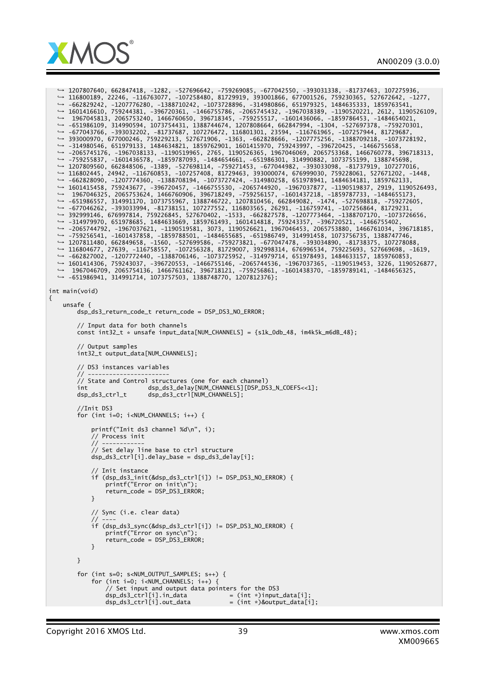

*,*→ 1207807640, 662847418, -1282, -527696642, -759269085, -677042550, -393031338, -81737463, 107275936, *,*→ 116800189, 22246, -116763077, -107258480, 81729919, 393001866, 677001526, 759230365, 527672642, -1277, *,*→ -662829242, -1207776280, -1388710242, -1073728896, -314980866, 651979325, 1484635333, 1859763541, *,*→ 1601416610, 759244381, -396720361, -1466755786, -2065745432, -1967038389, -1190520221, 2612, 1190526109, *,*→ 1967045813, 2065753240, 1466760650, 396718345, -759255517, -1601436066, -1859786453, -1484654021, *,*→ -651986109, 314990594, 1073754431, 1388744674, 1207808664, 662847994, -1304, -527697378, -759270301, *,*→ -677043766, -393032202, -81737687, 107276472, 116801301, 23594, -116761965, -107257944, 81729687, *,*→ 393000970, 677000246, 759229213, 527671906, -1363, -662828666, -1207775256, -1388709218, -1073728192, *,*→ -314980546, 651979133, 1484634821, 1859762901, 1601415970, 759243997, -396720425, -1466755658, *,*→ -2065745176, -1967038133, -1190519965, 2765, 1190526365, 1967046069, 2065753368, 1466760778, 396718313, *,*→ -759255837, -1601436578, -1859787093, -1484654661, -651986301, 314990882, 1073755199, 1388745698, *,*→ 1207809560, 662848506, -1389, -527698114, -759271453, -677044982, -393033098, -81737919, 107277016, *,*→ 116802445, 24942, -116760853, -107257408, 81729463, 393000074, 676999030, 759228061, 527671202, -1448, *,*→ -662828090, -1207774360, -1388708194, -1073727424, -314980258, 651978941, 1484634181, 1859762133, *,*→ 1601415458, 759243677, -396720457, -1466755530, -2065744920, -1967037877, -1190519837, 2919, 1190526493, *,*→ 1967046325, 2065753624, 1466760906, 396718249, -759256157, -1601437218, -1859787733, -1484655173, *,*→ -651986557, 314991170, 1073755967, 1388746722, 1207810456, 662849082, -1474, -527698818, -759272605, *,*→ -677046262, -393033994, -81738151, 107277552, 116803565, 26291, -116759741, -107256864, 81729231, *,*→ 392999146, 676997814, 759226845, 527670402, -1533, -662827578, -1207773464, -1388707170, -1073726656, *,*→ -314979970, 651978685, 1484633669, 1859761493, 1601414818, 759243357, -396720521, -1466755402, *,*→ -2065744792, -1967037621, -1190519581, 3073, 1190526621, 1967046453, 2065753880, 1466761034, 396718185, *,*→ -759256541, -1601437858, -1859788501, -1484655685, -651986749, 314991458, 1073756735, 1388747746, *,*→ 1207811480, 662849658, -1560, -527699586, -759273821, -677047478, -393034890, -81738375, 107278088, *,*→ 116804677, 27639, -116758557, -107256328, 81729007, 392998314, 676996534, 759225693, 527669698, -1619, *,*→ -662827002, -1207772440, -1388706146, -1073725952, -314979714, 651978493, 1484633157, 1859760853, *,*→ 1601414306, 759243037, -396720553, -1466755146, -2065744536, -1967037365, -1190519453, 3226, 1190526877, *,*→ 1967046709, 2065754136, 1466761162, 396718121, -759256861, -1601438370, -1859789141, -1484656325, *,*→ -651986941, 314991714, 1073757503, 1388748770, 1207812376}; int main(void) { unsafe { dsp\_ds3\_return\_code\_t return\_code = DSP\_DS3\_NO\_ERROR; // Input data for both channels  $const$  int32\_t  $*$  unsafe input\_data[NUM\_CHANNELS] =  ${s1k_0db_48}$ , im4k5k\_m6dB\_48}; // Output samples int32\_t output\_data[NUM\_CHANNELS]; // DS3 instances variables // ----------------------- // State and Control structures (one for each channel) int dsp\_ds3\_delay[NUM\_CHANNELS][DSP\_DS3\_N\_COEFS<<1]; dsp\_ds3\_ctrl\_t dsp\_ds3\_ctrl[NUM\_CHANNELS]; //Init DS3 for (int i=0;  $i$ <NUM\_CHANNELS;  $i+1$ ) { printf("Init ds3 channel %d\n", i); // Process init // ------------ // Set delay line base to ctrl structure dsp\_ds3\_ctrl[i].delay\_base = dsp\_ds3\_delay[i]; // Init instance if (dsp\_ds3\_init(&dsp\_ds3\_ctrl[i]) != DSP\_DS3\_NO\_ERROR) { printf("Error on init\n"); return\_code = DSP\_DS3\_ERROR; } // Sync (i.e. clear data) // --- if (dsp\_ds3\_sync(&dsp\_ds3\_ctrl[i]) != DSP\_DS3\_NO\_ERROR) { printf("Error on sync\n"); return\_code = DSP\_DS3\_ERROR; } } for (int s=0; s<NUM\_OUTPUT\_SAMPLES; s++) { for (int i=0; i<NUM\_CHANNELS; i++) { // Set input and output data pointers for the DS3<br>dsp\_ds3\_ctrl[i].in\_data = (int \*)input dsp\_ds3\_ctrl[i].in\_data  $dsp_dds$  = (int \*)input\_data[i];<br>dsp\_ds3\_ctrl[i].out\_data = (int \*)&output\_data[i  $=$  (int \*)&output\_data[i];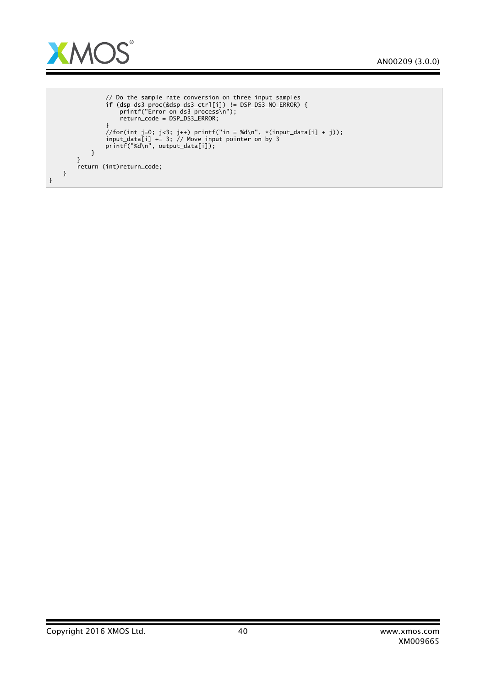

```
// Do the sample rate conversion on three input samples
                   if (dsp_ds3_proc(&dsp_ds3_ctrl[i]) != DSP_DS3_NO_ERROR) {
                        printf("Error on ds3 process\n");
                        return_code = DSP_DS3_ERROR;
                   }
                   //for(int j=0; j<3; j++) printf("in = %d\n", *(input_data[i] + j));
input_data[i] += 3; // Move input pointer on by 3
                   printf("%d\n", output_data[i]);
              }
         }
         return (int)return_code;
    }
}
```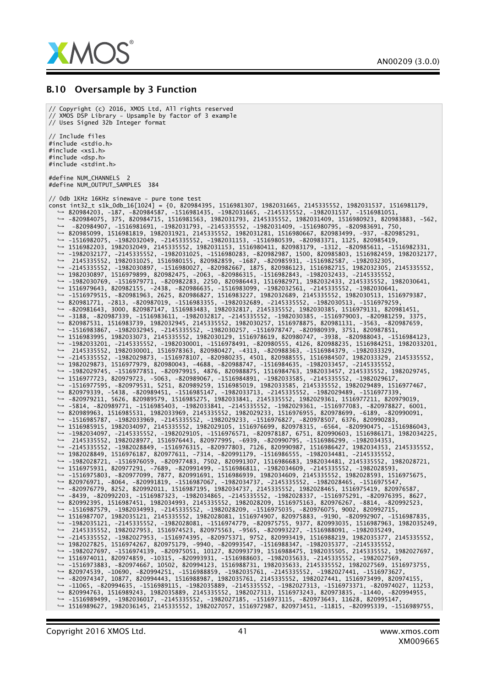

#### B.10 Oversample by 3 Function

// Copyright (c) 2016, XMOS Ltd, All rights reserved // XMOS DSP Library - Upsample by factor of 3 example // Uses Signed 32b Integer format // Include files #include <stdio.h> #include <xs1.h> #include <dsp.h> #include <stdint.h> #define NUM\_CHANNELS 2 #define NUM\_OUTPUT\_SAMPLES 384 // 0db 1KHz 16KHz sinewave - pure tone test const int32\_t s1k\_0db\_16[1024] = {0, 820984395, 1516981307, 1982031665, 2145335552, 1982031537, 1516981179,<br>→ 820984203, -187, -820984587, -1516981435, -1982031665, -2145335552, -1982031537, -1516981051, *,*→ -820984075, 375, 820984715, 1516981563, 1982031793, 2145335552, 1982031409, 1516980923, 820983883, -562, *,*→ -820984907, -1516981691, -1982031793, -2145335552, -1982031409, -1516980795, -820983691, 750, *,*→ 820985099, 1516981819, 1982031921, 2145335552, 1982031281, 1516980667, 820983499, -937, -820985291, *,*→ -1516982075, -1982032049, -2145335552, -1982031153, -1516980539, -820983371, 1125, 820985419, *,*→ 1516982203, 1982032049, 2145335552, 1982031153, 1516980411, 820983179, -1312, -820985611, -1516982331, *,*→ -1982032177, -2145335552, -1982031025, -1516980283, -820982987, 1500, 820985803, 1516982459, 1982032177, *,*→ 2145335552, 1982031025, 1516980155, 820982859, -1687, -820985931, -1516982587, -1982032305, *,*→ -2145335552, -1982030897, -1516980027, -820982667, 1875, 820986123, 1516982715, 1982032305, 2145335552, *,*→ 1982030897, 1516979899, 820982475, -2063, -820986315, -1516982843, -1982032433, -2145335552, *,*→ -1982030769, -1516979771, -820982283, 2250, 820986443, 1516982971, 1982032433, 2145335552, 1982030641, *,*→ 1516979643, 820982155, -2438, -820986635, -1516983099, -1982032561, -2145335552, -1982030641, *,*→ -1516979515, -820981963, 2625, 820986827, 1516983227, 1982032689, 2145335552, 1982030513, 1516979387, *,*→ 820981771, -2813, -820987019, -1516983355, -1982032689, -2145335552, -1982030513, -1516979259, *,*→ -820981643, 3000, 820987147, 1516983483, 1982032817, 2145335552, 1982030385, 1516979131, 820981451, *,*→ -3188, -820987339, -1516983611, -1982032817, -2145335552, -1982030385, -1516979003, -820981259, 3375, *,*→ 820987531, 1516983739, 1982032945, 2145335552, 1982030257, 1516978875, 820981131, -3563, -820987659, *,*→ -1516983867, -1982032945, -2145335552, -1982030257, -1516978747, -820980939, 3751, 820987851, *,*→ 1516983995, 1982033073, 2145335552, 1982030129, 1516978619, 820980747, -3938, -820988043, -1516984123, *,*→ -1982033201, -2145335552, -1982030001, -1516978491, -820980555, 4126, 820988235, 1516984251, 1982033201, *,*→ 2145335552, 1982030001, 1516978363, 820980427, -4313, -820988363, -1516984379, -1982033329, *,*→ -2145335552, -1982029873, -1516978107, -820980235, 4501, 820988555, 1516984507, 1982033329, 2145335552, *,*→ 1982029873, 1516977979, 820980043, -4688, -820988747, -1516984635, -1982033457, -2145335552, *,*→ -1982029745, -1516977851, -820979915, 4876, 820988875, 1516984763, 1982033457, 2145335552, 1982029745, *,*→ 1516977723, 820979723, -5063, -820989067, -1516984891, -1982033585, -2145335552, -1982029617, *,*→ -1516977595, -820979531, 5251, 820989259, 1516985019, 1982033585, 2145335552, 1982029489, 1516977467, *,*→ 820979339, -5438, -820989451, -1516985147, -1982033713, -2145335552, -1982029489, -1516977339, *,*→ -820979211, 5626, 820989579, 1516985275, 1982033841, 2145335552, 1982029361, 1516977211, 820979019, *,*→ -5814, -820989771, -1516985403, -1982033841, -2145335552, -1982029361, -1516977083, -820978827, 6001, *,*→ 820989963, 1516985531, 1982033969, 2145335552, 1982029233, 1516976955, 820978699, -6189, -820990091, *,*→ -1516985787, -1982033969, -2145335552, -1982029233, -1516976827, -820978507, 6376, 820990283, *,*→ 1516985915, 1982034097, 2145335552, 1982029105, 1516976699, 820978315, -6564, -820990475, -1516986043, *,*→ -1982034097, -2145335552, -1982029105, -1516976571, -820978187, 6751, 820990603, 1516986171, 1982034225, *,*→ 2145335552, 1982028977, 1516976443, 820977995, -6939, -820990795, -1516986299, -1982034353, *,*→ -2145335552, -1982028849, -1516976315, -820977803, 7126, 820990987, 1516986427, 1982034353, 2145335552, *,*→ 1982028849, 1516976187, 820977611, -7314, -820991179, -1516986555, -1982034481, -2145335552, *,*→ -1982028721, -1516976059, -820977483, 7502, 820991307, 1516986683, 1982034481, 2145335552, 1982028721, *,*→ 1516975931, 820977291, -7689, -820991499, -1516986811, -1982034609, -2145335552, -1982028593, *,*→ -1516975803, -820977099, 7877, 820991691, 1516986939, 1982034609, 2145335552, 1982028593, 1516975675, *,*→ 820976971, -8064, -820991819, -1516987067, -1982034737, -2145335552, -1982028465, -1516975547, *,*→ -820976779, 8252, 820992011, 1516987195, 1982034737, 2145335552, 1982028465, 1516975419, 820976587, *,*→ -8439, -820992203, -1516987323, -1982034865, -2145335552, -1982028337, -1516975291, -820976395, 8627, *,*→ 820992395, 1516987451, 1982034993, 2145335552, 1982028209, 1516975163, 820976267, -8814, -820992523, *,*→ -1516987579, -1982034993, -2145335552, -1982028209, -1516975035, -820976075, 9002, 820992715, *,*→ 1516987707, 1982035121, 2145335552, 1982028081, 1516974907, 820975883, -9190, -820992907, -1516987835, *,*→ -1982035121, -2145335552, -1982028081, -1516974779, -820975755, 9377, 820993035, 1516987963, 1982035249, *,*→ 2145335552, 1982027953, 1516974523, 820975563, -9565, -820993227, -1516988091, -1982035249, *,*→ -2145335552, -1982027953, -1516974395, -820975371, 9752, 820993419, 1516988219, 1982035377, 2145335552, *,*→ 1982027825, 1516974267, 820975179, -9940, -820993547, -1516988347, -1982035377, -2145335552, *,*→ -1982027697, -1516974139, -820975051, 10127, 820993739, 1516988475, 1982035505, 2145335552, 1982027697, *,*→ 1516974011, 820974859, -10315, -820993931, -1516988603, -1982035633, -2145335552, -1982027569, *,*→ -1516973883, -820974667, 10502, 820994123, 1516988731, 1982035633, 2145335552, 1982027569, 1516973755, *,*→ 820974539, -10690, -820994251, -1516988859, -1982035761, -2145335552, -1982027441, -1516973627, *,*→ -820974347, 10877, 820994443, 1516988987, 1982035761, 2145335552, 1982027441, 1516973499, 820974155, *,*→ -11065, -820994635, -1516989115, -1982035889, -2145335552, -1982027313, -1516973371, -820974027, 11253, *,*→ 820994763, 1516989243, 1982035889, 2145335552, 1982027313, 1516973243, 820973835, -11440, -820994955, *,*→ -1516989499, -1982036017, -2145335552, -1982027185, -1516973115, -820973643, 11628, 820995147, *,*→ 1516989627, 1982036145, 2145335552, 1982027057, 1516972987, 820973451, -11815, -820995339, -1516989755,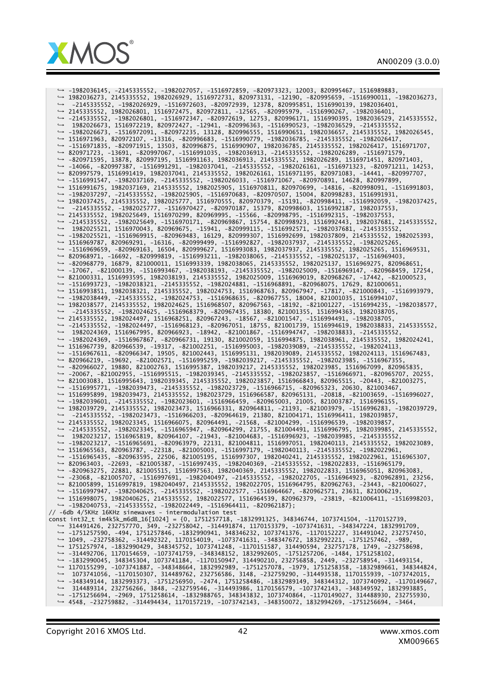

*,*→ -1982036145, -2145335552, -1982027057, -1516972859, -820973323, 12003, 820995467, 1516989883, *,*→ 1982036273, 2145335552, 1982026929, 1516972731, 820973131, -12190, -820995659, -1516990011, -1982036273, *,*→ -2145335552, -1982026929, -1516972603, -820972939, 12378, 820995851, 1516990139, 1982036401, *,*→ 2145335552, 1982026801, 1516972475, 820972811, -12565, -820995979, -1516990267, -1982036401, *,*→ -2145335552, -1982026801, -1516972347, -820972619, 12753, 820996171, 1516990395, 1982036529, 2145335552, *,*→ 1982026673, 1516972219, 820972427, -12941, -820996363, -1516990523, -1982036529, -2145335552, *,*→ -1982026673, -1516972091, -820972235, 13128, 820996555, 1516990651, 1982036657, 2145335552, 1982026545, *,*→ 1516971963, 820972107, -13316, -820996683, -1516990779, -1982036785, -2145335552, -1982026417, *,*→ -1516971835, -820971915, 13503, 820996875, 1516990907, 1982036785, 2145335552, 1982026417, 1516971707, *,*→ 820971723, -13691, -820997067, -1516991035, -1982036913, -2145335552, -1982026289, -1516971579, *,*→ -820971595, 13878, 820997195, 1516991163, 1982036913, 2145335552, 1982026289, 1516971451, 820971403, *,*→ -14066, -820997387, -1516991291, -1982037041, -2145335552, -1982026161, -1516971323, -820971211, 14253, *,*→ 820997579, 1516991419, 1982037041, 2145335552, 1982026161, 1516971195, 820971083, -14441, -820997707, *,*→ -1516991547, -1982037169, -2145335552, -1982026033, -1516971067, -820970891, 14628, 820997899, *,*→ 1516991675, 1982037169, 2145335552, 1982025905, 1516970811, 820970699, -14816, -820998091, -1516991803, *,*→ -1982037297, -2145335552, -1982025905, -1516970683, -820970507, 15004, 820998283, 1516991931, *,*→ 1982037425, 2145335552, 1982025777, 1516970555, 820970379, -15191, -820998411, -1516992059, -1982037425, *,*→ -2145335552, -1982025777, -1516970427, -820970187, 15379, 820998603, 1516992187, 1982037553, *,*→ 2145335552, 1982025649, 1516970299, 820969995, -15566, -820998795, -1516992315, -1982037553, *,*→ -2145335552, -1982025649, -1516970171, -820969867, 15754, 820998923, 1516992443, 1982037681, 2145335552, *,*→ 1982025521, 1516970043, 820969675, -15941, -820999115, -1516992571, -1982037681, -2145335552, *,*→ -1982025521, -1516969915, -820969483, 16129, 820999307, 1516992699, 1982037809, 2145335552, 1982025393, *,*→ 1516969787, 820969291, -16316, -820999499, -1516992827, -1982037937, -2145335552, -1982025265, *,*→ -1516969659, -820969163, 16504, 820999627, 1516993083, 1982037937, 2145335552, 1982025265, 1516969531, *,*→ 820968971, -16692, -820999819, -1516993211, -1982038065, -2145335552, -1982025137, -1516969403, *,*→ -820968779, 16879, 821000011, 1516993339, 1982038065, 2145335552, 1982025137, 1516969275, 820968651, *,*→ -17067, -821000139, -1516993467, -1982038193, -2145335552, -1982025009, -1516969147, -820968459, 17254, *,*→ 821000331, 1516993595, 1982038193, 2145335552, 1982025009, 1516969019, 820968267, -17442, -821000523, *,*→ -1516993723, -1982038321, -2145335552, -1982024881, -1516968891, -820968075, 17629, 821000651, *,*→ 1516993851, 1982038321, 2145335552, 1982024753, 1516968763, 820967947, -17817, -821000843, -1516993979, *,*→ -1982038449, -2145335552, -1982024753, -1516968635, -820967755, 18004, 821001035, 1516994107, *,*→ 1982038577, 2145335552, 1982024625, 1516968507, 820967563, -18192, -821001227, -1516994235, -1982038577, *,*→ -2145335552, -1982024625, -1516968379, -820967435, 18380, 821001355, 1516994363, 1982038705, *,*→ 2145335552, 1982024497, 1516968251, 820967243, -18567, -821001547, -1516994491, -1982038705, *,*→ -2145335552, -1982024497, -1516968123, -820967051, 18755, 821001739, 1516994619, 1982038833, 2145335552, *,*→ 1982024369, 1516967995, 820966923, -18942, -821001867, -1516994747, -1982038833, -2145335552, *,*→ -1982024369, -1516967867, -820966731, 19130, 821002059, 1516994875, 1982038961, 2145335552, 1982024241, *,*→ 1516967739, 820966539, -19317, -821002251, -1516995003, -1982039089, -2145335552, -1982024113, *,*→ -1516967611, -820966347, 19505, 821002443, 1516995131, 1982039089, 2145335552, 1982024113, 1516967483, *,*→ 820966219, -19692, -821002571, -1516995259, -1982039217, -2145335552, -1982023985, -1516967355, *,*→ -820966027, 19880, 821002763, 1516995387, 1982039217, 2145335552, 1982023985, 1516967099, 820965835, *,*→ -20067, -821002955, -1516995515, -1982039345, -2145335552, -1982023857, -1516966971, -820965707, 20255, *,*→ 821003083, 1516995643, 1982039345, 2145335552, 1982023857, 1516966843, 820965515, -20443, -821003275, *,*→ -1516995771, -1982039473, -2145335552, -1982023729, -1516966715, -820965323, 20630, 821003467, *,*→ 1516995899, 1982039473, 2145335552, 1982023729, 1516966587, 820965131, -20818, -821003659, -1516996027, *,*→ -1982039601, -2145335552, -1982023601, -1516966459, -820965003, 21005, 821003787, 1516996155, *,*→ 1982039729, 2145335552, 1982023473, 1516966331, 820964811, -21193, -821003979, -1516996283, -1982039729, *,*→ -2145335552, -1982023473, -1516966203, -820964619, 21380, 821004171, 1516996411, 1982039857, *,*→ 2145335552, 1982023345, 1516966075, 820964491, -21568, -821004299, -1516996539, -1982039857, *,*→ -2145335552, -1982023345, -1516965947, -820964299, 21755, 821004491, 1516996795, 1982039985, 2145335552, *,*→ 1982023217, 1516965819, 820964107, -21943, -821004683, -1516996923, -1982039985, -2145335552, *,*→ -1982023217, -1516965691, -820963979, 22131, 821004811, 1516997051, 1982040113, 2145335552, 1982023089, *,*→ 1516965563, 820963787, -22318, -821005003, -1516997179, -1982040113, -2145335552, -1982022961, *,*→ -1516965435, -820963595, 22506, 821005195, 1516997307, 1982040241, 2145335552, 1982022961, 1516965307, *,*→ 820963403, -22693, -821005387, -1516997435, -1982040369, -2145335552, -1982022833, -1516965179, *,*→ -820963275, 22881, 821005515, 1516997563, 1982040369, 2145335552, 1982022833, 1516965051, 820963083, *,*→ -23068, -821005707, -1516997691, -1982040497, -2145335552, -1982022705, -1516964923, -820962891, 23256, *,*→ 821005899, 1516997819, 1982040497, 2145335552, 1982022705, 1516964795, 820962763, -23443, -821006027, *,*→ -1516997947, -1982040625, -2145335552, -1982022577, -1516964667, -820962571, 23631, 821006219, *,*→ 1516998075, 1982040625, 2145335552, 1982022577, 1516964539, 820962379, -23819, -821006411, -1516998203, → -1982040753, -2145335552, -1982022449, -1516964411, -820962187};<br>// -6db 4/5KHz 16KHz sinewaves - intermodulation test const int32\_t im4k5k\_m6dB\_16[1024] = {0, 1751257718, -1832991325, 348346744, 1073741504, -1170152739, *,*→ 314491426, 232757770, 349, -232758042, -314491874, 1170153379, -1073741631, -348347224, 1832991709, *,*→ -1751257590, -494, 1751257846, -1832990941, 348346232, 1073741376, -1170152227, 314491042, 232757450, *,*→ 1049, -232758362, -314492322, 1170154019, -1073741631, -348347672, 1832992221, -1751257462, -989, *,*→ 1751257974, -1832990429, 348345752, 1073741248, -1170151587, 314490594, 232757178, 1749, -232758698, *,*→ -314492706, 1170154659, -1073741759, -348348152, 1832992605, -1751257206, -1484, 1751258102, *,*→ -1832990045, 348345304, 1073741184, -1170150947, 314490210, 232756858, 2449, -232758954, -314493154, *,*→ 1170155299, -1073741887, -348348664, 1832992989, -1751257078, -1979, 1751258358, -1832989661, 348344824, *,*→ 1073741056, -1170150307, 314489762, 232756586, 3148, -232759290, -314493538, 1170155939, -1073742015, *,*→ -348349144, 1832993373, -1751256950, -2474, 1751258486, -1832989149, 348344312, 1073740992, -1170149667, *,*→ 314489314, 232756266, 3848, -232759546, -314493986, 1170156579, -1073742143, -348349592, 1832993885, *,*→ -1751256694, -2969, 1751258614, -1832988765, 348343832, 1073740864, -1170149027, 314488930, 232755930, *,*→ 4548, -232759882, -314494434, 1170157219, -1073742143, -348350072, 1832994269, -1751256694, -3464,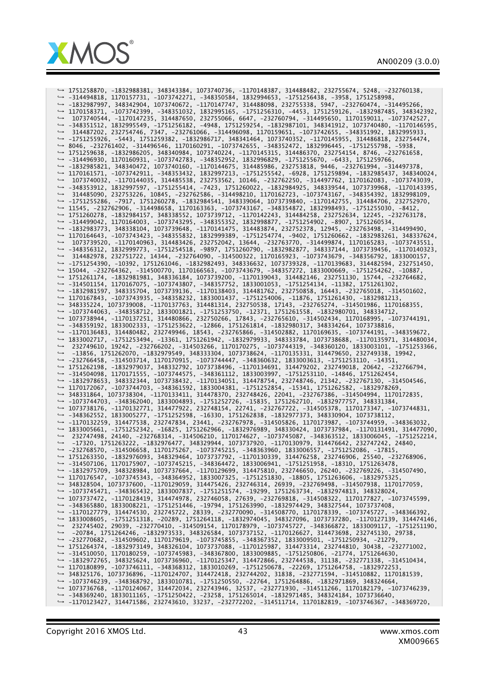

*,*→ 1751258870, -1832988381, 348343384, 1073740736, -1170148387, 314488482, 232755674, 5248, -232760138, *,*→ -314494818, 1170157731, -1073742271, -348350584, 1832994653, -1751256438, -3958, 1751258998, *,*→ -1832987997, 348342904, 1073740672, -1170147747, 314488098, 232755338, 5947, -232760474, -314495266, *,*→ 1170158371, -1073742399, -348351032, 1832995165, -1751256310, -4453, 1751259126, -1832987485, 348342392, *,*→ 1073740544, -1170147235, 314487650, 232755066, 6647, -232760794, -314495650, 1170159011, -1073742527, *,*→ -348351512, 1832995549, -1751256182, -4948, 1751259254, -1832987101, 348341912, 1073740480, -1170146595, *,*→ 314487202, 232754746, 7347, -232761066, -314496098, 1170159651, -1073742655, -348351992, 1832995933, *,*→ -1751255926, -5443, 1751259382, -1832986717, 348341464, 1073740352, -1170145955, 314486818, 232754474, *,*→ 8046, -232761402, -314496546, 1170160291, -1073742655, -348352472, 1832996445, -1751255798, -5938, *,*→ 1751259638, -1832986205, 348340984, 1073740224, -1170145315, 314486370, 232754154, 8746, -232761658, *,*→ -314496930, 1170160931, -1073742783, -348352952, 1832996829, -1751255670, -6433, 1751259766, *,*→ -1832985821, 348340472, 1073740160, -1170144675, 314485986, 232753818, 9446, -232761994, -314497378, *,*→ 1170161571, -1073742911, -348353432, 1832997213, -1751255542, -6928, 1751259894, -1832985437, 348340024, *,*→ 1073740032, -1170144035, 314485538, 232753562, 10146, -232762250, -314497762, 1170162083, -1073743039, *,*→ -348353912, 1832997597, -1751255414, -7423, 1751260022, -1832984925, 348339544, 1073739968, -1170143395, *,*→ 314485090, 232753226, 10845, -232762586, -314498210, 1170162723, -1073743167, -348354392, 1832998109, *,*→ -1751255286, -7917, 1751260278, -1832984541, 348339064, 1073739840, -1170142755, 314484706, 232752970, *,*→ 11545, -232762906, -314498658, 1170163363, -1073743167, -348354872, 1832998493, -1751255030, -8412, *,*→ 1751260278, -1832984157, 348338552, 1073739712, -1170142243, 314484258, 232752634, 12245, -232763178, *,*→ -314499042, 1170164003, -1073743295, -348355352, 1832998877, -1751254902, -8907, 1751260534, *,*→ -1832983773, 348338104, 1073739648, -1170141475, 314483874, 232752378, 12945, -232763498, -314499490, *,*→ 1170164643, -1073743423, -348355832, 1832999389, -1751254774, -9402, 1751260662, -1832983261, 348337624, *,*→ 1073739520, -1170140963, 314483426, 232752042, 13644, -232763770, -314499874, 1170165283, -1073743551, *,*→ -348356312, 1832999773, -1751254518, -9897, 1751260790, -1832982877, 348337144, 1073739456, -1170140323, *,*→ 314482978, 232751722, 14344, -232764090, -314500322, 1170165923, -1073743679, -348356792, 1833000157, *,*→ -1751254390, -10392, 1751261046, -1832982493, 348336632, 1073739328, -1170139683, 314482594, 232751450, *,*→ 15044, -232764362, -314500770, 1170166563, -1073743679, -348357272, 1833000669, -1751254262, -10887, *,*→ 1751261174, -1832981981, 348336184, 1073739200, -1170139043, 314482146, 232751130, 15744, -232764682, *,*→ -314501154, 1170167075, -1073743807, -348357752, 1833001053, -1751254134, -11382, 1751261302, *,*→ -1832981597, 348335704, 1073739136, -1170138403, 314481762, 232750858, 16443, -232765018, -314501602, *,*→ 1170167843, -1073743935, -348358232, 1833001437, -1751254006, -11876, 1751261430, -1832981213, *,*→ 348335224, 1073739008, -1170137763, 314481314, 232750538, 17143, -232765274, -314501986, 1170168355, *,*→ -1073744063, -348358712, 1833001821, -1751253750, -12371, 1751261558, -1832980701, 348334712, *,*→ 1073738944, -1170137251, 314480866, 232750266, 17843, -232765610, -314502434, 1170168995, -1073744191, *,*→ -348359192, 1833002333, -1751253622, -12866, 1751261814, -1832980317, 348334264, 1073738816, *,*→ -1170136483, 314480482, 232749946, 18543, -232765866, -314502882, 1170169635, -1073744191, -348359672, *,*→ 1833002717, -1751253494, -13361, 1751261942, -1832979933, 348333784, 1073738688, -1170135971, 314480034, *,*→ 232749610, 19242, -232766202, -314503266, 1170170275, -1073744319, -348360120, 1833003101, -1751253366, *,*→ -13856, 1751262070, -1832979549, 348333304, 1073738624, -1170135331, 314479650, 232749338, 19942, *,*→ -232766458, -314503714, 1170170915, -1073744447, -348360632, 1833003613, -1751253110, -14351, *,*→ 1751262198, -1832979037, 348332792, 1073738496, -1170134691, 314479202, 232749018, 20642, -232766794, *,*→ -314504098, 1170171555, -1073744575, -348361112, 1833003997, -1751253110, -14846, 1751262454, *,*→ -1832978653, 348332344, 1073738432, -1170134051, 314478754, 232748746, 21342, -232767130, -314504546, *,*→ 1170172067, -1073744703, -348361592, 1833004381, -1751252854, -15341, 1751262582, -1832978269, *,*→ 348331864, 1073738304, -1170133411, 314478370, 232748426, 22041, -232767386, -314504994, 1170172835, *,*→ -1073744703, -348362040, 1833004893, -1751252726, -15835, 1751262710, -1832977757, 348331384, *,*→ 1073738176, -1170132771, 314477922, 232748154, 22741, -232767722, -314505378, 1170173347, -1073744831, *,*→ -348362552, 1833005277, -1751252598, -16330, 1751262838, -1832977373, 348330904, 1073738112, *,*→ -1170132259, 314477538, 232747834, 23441, -232767978, -314505826, 1170173987, -1073744959, -348363032, *,*→ 1833005661, -1751252342, -16825, 1751262966, -1832976989, 348330424, 1073737984, -1170131491, 314477090, *,*→ 232747498, 24140, -232768314, -314506210, 1170174627, -1073745087, -348363512, 1833006045, -1751252214, *,*→ -17320, 1751263222, -1832976477, 348329944, 1073737920, -1170130979, 314476642, 232747242, 24840, *,*→ -232768570, -314506658, 1170175267, -1073745215, -348363960, 1833006557, -1751252086, -17815, *,*→ 1751263350, -1832976093, 348329464, 1073737792, -1170130339, 314476258, 232746906, 25540, -232768906, *,*→ -314507106, 1170175907, -1073745215, -348364472, 1833006941, -1751251958, -18310, 1751263478, *,*→ -1832975709, 348328984, 1073737664, -1170129699, 314475810, 232746650, 26240, -232769226, -314507490, *,*→ 1170176547, -1073745343, -348364952, 1833007325, -1751251830, -18805, 1751263606, -1832975325, *,*→ 348328504, 1073737600, -1170129059, 314475426, 232746314, 26939, -232769498, -314507938, 1170177059, *,*→ -1073745471, -348365432, 1833007837, -1751251574, -19299, 1751263734, -1832974813, 348328024, *,*→ 1073737472, -1170128419, 314474978, 232746058, 27639, -232769818, -314508322, 1170177827, -1073745599, → -348365880, 1833008221, -1751251446, -19794, 1751263990, -1832974429, 348327544, 1073737408,<br>→ -1170127779, 314474530, 232745722, 28339, -232770090, -314508770, 1170178339, -1073745727, -348366392 → -1170127779, 314474530, 232745722, 28339, -232770090, -314508770, 1170178339, -1073745727, *,*→ 1833008605, -1751251318, -20289, 1751264118, -1832974045, 348327096, 1073737280, -1170127139, 314474146, *,*→ 232745402, 29039, -232770410, -314509154, 1170178979, -1073745727, -348366872, 1833009117, -1751251190, *,*→ -20784, 1751264246, -1832973533, 348326584, 1073737152, -1170126627, 314473698, 232745130, 29738, *,*→ -232770682, -314509602, 1170179619, -1073745855, -348367352, 1833009501, -1751250934, -21279, *,*→ 1751264374, -1832973149, 348326104, 1073737088, -1170125987, 314473314, 232744810, 30438, -232771002, *,*→ -314510050, 1170180259, -1073745983, -348367800, 1833009885, -1751250806, -21774, 1751264630, *,*→ -1832972765, 348325624, 1073736960, -1170125347, 314472866, 232744538, 31138, -232771338, -314510434, *,*→ 1170180899, -1073746111, -348368312, 1833010269, -1751250678, -22269, 1751264758, -1832972253, *,*→ 348325176, 1073736896, -1170124707, 314472418, 232744202, 31838, -232771594, -314510882, 1170181539, *,*→ -1073746239, -348368792, 1833010781, -1751250550, -22764, 1751264886, -1832971869, 348324664, *,*→ 1073736768, -1170124067, 314472034, 232743946, 32537, -232771930, -314511266, 1170182179, -1073746239, *,*→ -348369240, 1833011165, -1751250422, -23258, 1751265014, -1832971485, 348324184, 1073736640, *,*→ -1170123427, 314471586, 232743610, 33237, -232772202, -314511714, 1170182819, -1073746367, -348369720,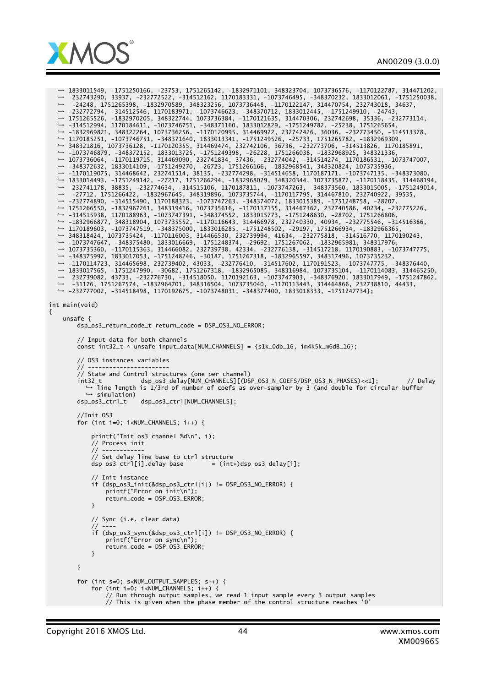



*,*→ 1833011549, -1751250166, -23753, 1751265142, -1832971101, 348323704, 1073736576, -1170122787, 314471202, *,*→ 232743290, 33937, -232772522, -314512162, 1170183331, -1073746495, -348370232, 1833012061, -1751250038, *,*→ -24248, 1751265398, -1832970589, 348323256, 1073736448, -1170122147, 314470754, 232743018, 34637, *,*→ -232772794, -314512546, 1170183971, -1073746623, -348370712, 1833012445, -1751249910, -24743, *,*→ 1751265526, -1832970205, 348322744, 1073736384, -1170121635, 314470306, 232742698, 35336, -232773114, *,*→ -314512994, 1170184611, -1073746751, -348371160, 1833012829, -1751249782, -25238, 1751265654, *,*→ -1832969821, 348322264, 1073736256, -1170120995, 314469922, 232742426, 36036, -232773450, -314513378, *,*→ 1170185251, -1073746751, -348371640, 1833013341, -1751249526, -25733, 1751265782, -1832969309, *,*→ 348321816, 1073736128, -1170120355, 314469474, 232742106, 36736, -232773706, -314513826, 1170185891, *,*→ -1073746879, -348372152, 1833013725, -1751249398, -26228, 1751266038, -1832968925, 348321336, *,*→ 1073736064, -1170119715, 314469090, 232741834, 37436, -232774042, -314514274, 1170186531, -1073747007, *,*→ -348372632, 1833014109, -1751249270, -26723, 1751266166, -1832968541, 348320824, 1073735936, *,*→ -1170119075, 314468642, 232741514, 38135, -232774298, -314514658, 1170187171, -1073747135, -348373080, *,*→ 1833014493, -1751249142, -27217, 1751266294, -1832968029, 348320344, 1073735872, -1170118435, 314468194, *,*→ 232741178, 38835, -232774634, -314515106, 1170187811, -1073747263, -348373560, 1833015005, -1751249014, *,*→ -27712, 1751266422, -1832967645, 348319896, 1073735744, -1170117795, 314467810, 232740922, 39535, *,*→ -232774890, -314515490, 1170188323, -1073747263, -348374072, 1833015389, -1751248758, -28207, *,*→ 1751266550, -1832967261, 348319416, 1073735616, -1170117155, 314467362, 232740586, 40234, -232775226, *,*→ -314515938, 1170188963, -1073747391, -348374552, 1833015773, -1751248630, -28702, 1751266806, *,*→ -1832966877, 348318904, 1073735552, -1170116643, 314466978, 232740330, 40934, -232775546, -314516386, *,*→ 1170189603, -1073747519, -348375000, 1833016285, -1751248502, -29197, 1751266934, -1832966365, *,*→ 348318424, 1073735424, -1170116003, 314466530, 232739994, 41634, -232775818, -314516770, 1170190243, *,*→ -1073747647, -348375480, 1833016669, -1751248374, -29692, 1751267062, -1832965981, 348317976, *,*→ 1073735360, -1170115363, 314466082, 232739738, 42334, -232776138, -314517218, 1170190883, -1073747775, *,*→ -348375992, 1833017053, -1751248246, -30187, 1751267318, -1832965597, 348317496, 1073735232, *,*→ -1170114723, 314465698, 232739402, 43033, -232776410, -314517602, 1170191523, -1073747775, -348376440, *,*→ 1833017565, -1751247990, -30682, 1751267318, -1832965085, 348316984, 1073735104, -1170114083, 314465250, *,*→ 232739082, 43733, -232776730, -314518050, 1170192163, -1073747903, -348376920, 1833017949, -1751247862, *,*→ -31176, 1751267574, -1832964701, 348316504, 1073735040, -1170113443, 314464866, 232738810, 44433, *,*→ -232777002, -314518498, 1170192675, -1073748031, -348377400, 1833018333, -1751247734}; int main(void) { unsafe { dsp\_os3\_return\_code\_t return\_code = DSP\_OS3\_NO\_ERROR; // Input data for both channels const int32\_t \* unsafe input\_data[NUM\_CHANNELS] =  ${s1k\_Odb\_16}$ , im4k5k\_m6dB\_16}; // OS3 instances variables // ----------------------- // State and Control structures (one per channel) int32\_t dsp\_os3\_delay[NUM\_CHANNELS][(DSP\_OS3\_N\_COEFS/DSP\_OS3\_N\_PHASES)<<1]; // Delay *,*→ line length is 1/3rd of number of coefs as over-sampler by 3 (and double for circular buffer → simulation) dsp\_os3\_ctrl\_t dsp\_os3\_ctrl[NUM\_CHANNELS]; //Init OS3 for (int i=0; i<NUM\_CHANNELS; i++) { printf("Init os3 channel %d\n", i); // Process init  $1/ - -$ // Set delay line base to ctrl structure<br>dsp\_os3\_ctrl[i].delay\_base = (int  $=$  (int\*)dsp\_os3\_delay[i]; // Init instance if (dsp\_os3\_init(&dsp\_os3\_ctrl[i]) != DSP\_OS3\_NO\_ERROR) { printf("Error on init\n"); return\_code = DSP\_OS3\_ERROR; } // Sync (i.e. clear data) // --- if (dsp\_os3\_sync(&dsp\_os3\_ctrl[i]) != DSP\_OS3\_NO\_ERROR) { printf("Error on sync\n"); return\_code = DSP\_OS3\_ERROR; } } for (int s=0; s<NUM\_OUTPUT\_SAMPLES; s++) { for (int  $i=0$ ;  $i$ <NUM\_CHANNELS;  $i+1$ ) { // Run through output samples, we read 1 input sample every 3 output samples // This is given when the phase member of the control structure reaches '0'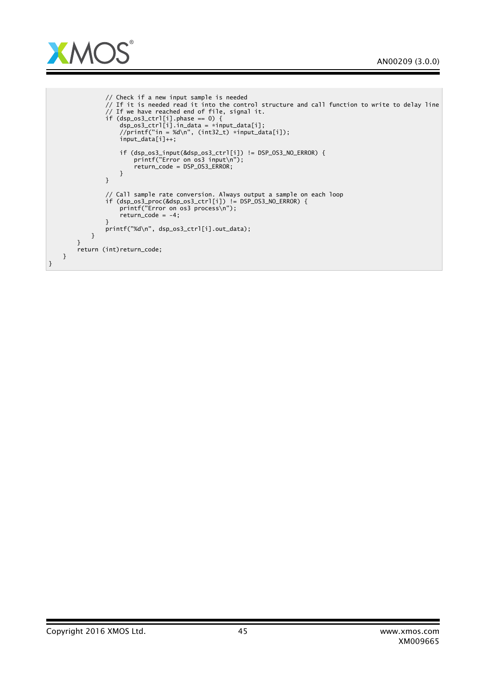

```
// Check if a new input sample is needed
                 // If it is needed read it into the control structure and call function to write to delay line
                 // If we have reached end of file, signal it.
                 if (dsp_os3_ctrl[i].phase == 0) {
                     dsp_os3_ctrl[i].in_data = *input_data[i];
                     //printf("in = %d\n", (int32_t) *input_data[i]);
input_data[i]++;
                     if (dsp_os3_input(&dsp_os3_ctrl[i]) != DSP_OS3_NO_ERROR) {
                         printf("Error on os3 input\n");
                         return_code = DSP_OS3_ERROR;
                     }
                }
                 // Call sample rate conversion. Always output a sample on each loop
                 if (dsp_os3_proc(&dsp_os3_ctrl[i]) != DSP_OS3_NO_ERROR) {
                     printf("Error on os3 process\n");
                     return\_code = -4;}
                printf("%d\n", dsp_os3_ctrl[i].out_data);
            }
        }
        return (int)return_code;
   }
}
```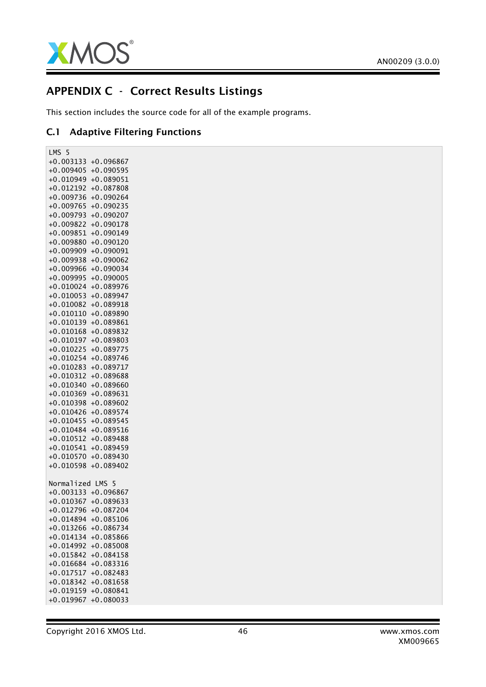

## APPENDIX C - Correct Results Listings

This section includes the source code for all of the example programs.

### C.1 Adaptive Filtering Functions

LMS 5 +0.003133 +0.096867 +0.009405 +0.090595 +0.010949 +0.089051 +0.012192 +0.087808 +0.009736 +0.090264 +0.009765 +0.090235 +0.009793 +0.090207 +0.009822 +0.090178 +0.009851 +0.090149 +0.009880 +0.090120 +0.009909 +0.090091 +0.009938 +0.090062 +0.009966 +0.090034 +0.009995 +0.090005 +0.010024 +0.089976 +0.010053 +0.089947 +0.010082 +0.089918 +0.010110 +0.089890 +0.010139 +0.089861 +0.010168 +0.089832 +0.010197 +0.089803 +0.010225 +0.089775 +0.010254 +0.089746 +0.010283 +0.089717 +0.010312 +0.089688 +0.010340 +0.089660 +0.010369 +0.089631 +0.010398 +0.089602 +0.010426 +0.089574 +0.010455 +0.089545 +0.010484 +0.089516 +0.010512 +0.089488 +0.010541 +0.089459 +0.010570 +0.089430 +0.010598 +0.089402 Normalized LMS 5 +0.003133 +0.096867 +0.010367 +0.089633 +0.012796 +0.087204 +0.014894 +0.085106 +0.013266 +0.086734 +0.014134 +0.085866 +0.014992 +0.085008 +0.015842 +0.084158 +0.016684 +0.083316 +0.017517 +0.082483 +0.018342 +0.081658 +0.019159 +0.080841 +0.019967 +0.080033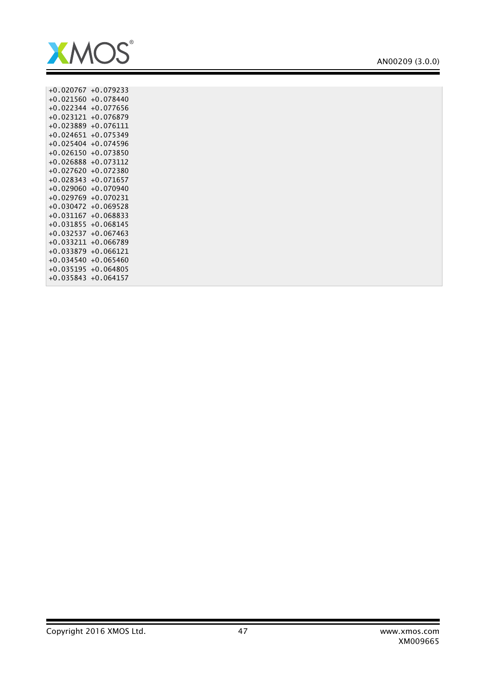

| $+0.020767$ | $+0.079233$ |
|-------------|-------------|
| $+0.021560$ | $+0.078440$ |
| $+0.022344$ | $+0.077656$ |
| $+0.023121$ | $+0.076879$ |
| $+0.023889$ | $+0.076111$ |
| $+0.024651$ | $+0.075349$ |
| $+0.025404$ | $+0.074596$ |
| $+0.026150$ | $+0.073850$ |
| $+0.026888$ | $+0.073112$ |
| $+0.027620$ | $+0.072380$ |
| $+0.028343$ | $+0.071657$ |
| $+0.029060$ | $+0.070940$ |
| $+0.029769$ | $+0.070231$ |
| $+0.030472$ | $+0.069528$ |
| $+0.031167$ | $+0.068833$ |
| $+0.031855$ | $+0.068145$ |
| $+0.032537$ | $+0.067463$ |
| $+0.033211$ | $+0.066789$ |
| $+0.033879$ | $+0.066121$ |
| $+0.034540$ | $+0.065460$ |
| $+0.035195$ | $+0.064805$ |
| $+0.035843$ | $+0.064157$ |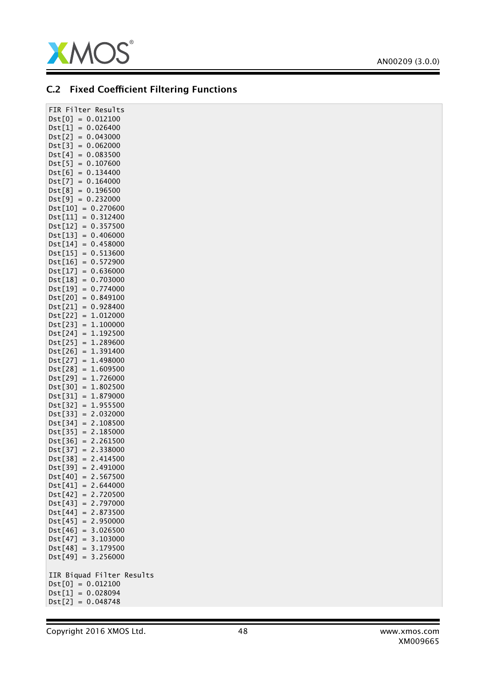

## C.2 Fixed Coefficient Filtering Functions

| Dst[0]<br>$=$<br>0.012100<br>Dst[1]<br>0.026400<br>$=$<br>Dst[2]<br>0.043000<br>$=$<br>Dist[3]<br>0.062000<br>$=$<br>Dst[4]<br>0.083500<br>$=$<br>$=$<br>0.107600<br>Dist[5]<br>0.134400<br>Dst[6]<br>$=$<br>$=$<br>Dst[7]<br>0.164000<br>$=$<br>Dst[8]<br>0.196500<br>Dist[9]<br>$= 0.232000$<br>0.270600<br>$Dist[10] =$<br>0.312400<br>Dst[11]<br>$=$<br>Dst[12]<br>0.357500<br>$\,=\,$<br>Dst[13]<br>0.406000<br>$\qquad \qquad =$<br>Dst[14]<br>0.458000<br>$=$<br>Dst[15]<br>0.513600<br>$=$<br>Dst[16]<br>0.572900<br>$=$<br>Dst[17]<br>0.636000<br>$=$<br>0.703000<br>Dst[18]<br>$=$<br>Dst[19]<br>0.774000<br>$=$<br>Dst[20]<br>0.849100<br>$=$<br>0.928400<br>Dst[21]<br>$=$<br>1.012000<br>Dst[22]<br>$=$<br>1.100000<br>Dst[23]<br>$=$<br>Dst[24]<br>1.192500<br>$=$<br>Dst[25]<br>1.289600<br>$=$<br>Dst[26]<br>1.391400<br>$=$<br>Dst[27]<br>1.498000<br>$=$<br>1.609500<br>Dst[28]<br>$=$<br>1.726000<br>Dst[29]<br>$=$<br>Dst[30]<br>1.802500<br>$=$<br>Dst[31]<br>$=$<br>1.879000<br>Dst[32]<br>1.955500<br>$=$<br>Dst[33]<br>2.032000<br>$=$<br>2.108500<br>Dst[34]<br>$=$<br>Dist[35]<br>2.185000<br>$=$<br>Dist[36]<br>2.261500<br>$=$<br>Dst[37]<br>$= 2.338000$<br>Dst[38]<br>2.414500<br>$=$<br>Dst[39]<br>2.491000<br>$=$<br>2.567500<br>Dst[40]<br>$=$ $\,$<br>2.644000<br>Dst[41]<br>$=$ $\,$<br>$Dist[42] = 2.720500$<br>$Dist[43] = 2.797000$<br>$Dst[44] = 2.873500$<br>Dst[45] = 2.950000<br>Dst[46] = 3.026500<br>$Dist[47] = 3.103000$<br>$Dist[48] = 3.179500$<br>$= 3.256000$<br>Dst[49]<br>IIR Biquad Filter Results<br>Dst[O] = 0.012100<br>$Dist[1] = 0.028094$<br>$Dist[2] = 0.048748$ | FIR Filter Results |
|------------------------------------------------------------------------------------------------------------------------------------------------------------------------------------------------------------------------------------------------------------------------------------------------------------------------------------------------------------------------------------------------------------------------------------------------------------------------------------------------------------------------------------------------------------------------------------------------------------------------------------------------------------------------------------------------------------------------------------------------------------------------------------------------------------------------------------------------------------------------------------------------------------------------------------------------------------------------------------------------------------------------------------------------------------------------------------------------------------------------------------------------------------------------------------------------------------------------------------------------------------------------------------------------------------------------------------------------------------------------------------------------------------------------------------------------------------------------------------------------------------------------------------------------------------------------------------------------------------------------------|--------------------|
|                                                                                                                                                                                                                                                                                                                                                                                                                                                                                                                                                                                                                                                                                                                                                                                                                                                                                                                                                                                                                                                                                                                                                                                                                                                                                                                                                                                                                                                                                                                                                                                                                              |                    |
|                                                                                                                                                                                                                                                                                                                                                                                                                                                                                                                                                                                                                                                                                                                                                                                                                                                                                                                                                                                                                                                                                                                                                                                                                                                                                                                                                                                                                                                                                                                                                                                                                              |                    |
|                                                                                                                                                                                                                                                                                                                                                                                                                                                                                                                                                                                                                                                                                                                                                                                                                                                                                                                                                                                                                                                                                                                                                                                                                                                                                                                                                                                                                                                                                                                                                                                                                              |                    |
|                                                                                                                                                                                                                                                                                                                                                                                                                                                                                                                                                                                                                                                                                                                                                                                                                                                                                                                                                                                                                                                                                                                                                                                                                                                                                                                                                                                                                                                                                                                                                                                                                              |                    |
|                                                                                                                                                                                                                                                                                                                                                                                                                                                                                                                                                                                                                                                                                                                                                                                                                                                                                                                                                                                                                                                                                                                                                                                                                                                                                                                                                                                                                                                                                                                                                                                                                              |                    |
|                                                                                                                                                                                                                                                                                                                                                                                                                                                                                                                                                                                                                                                                                                                                                                                                                                                                                                                                                                                                                                                                                                                                                                                                                                                                                                                                                                                                                                                                                                                                                                                                                              |                    |
|                                                                                                                                                                                                                                                                                                                                                                                                                                                                                                                                                                                                                                                                                                                                                                                                                                                                                                                                                                                                                                                                                                                                                                                                                                                                                                                                                                                                                                                                                                                                                                                                                              |                    |
|                                                                                                                                                                                                                                                                                                                                                                                                                                                                                                                                                                                                                                                                                                                                                                                                                                                                                                                                                                                                                                                                                                                                                                                                                                                                                                                                                                                                                                                                                                                                                                                                                              |                    |
|                                                                                                                                                                                                                                                                                                                                                                                                                                                                                                                                                                                                                                                                                                                                                                                                                                                                                                                                                                                                                                                                                                                                                                                                                                                                                                                                                                                                                                                                                                                                                                                                                              |                    |
|                                                                                                                                                                                                                                                                                                                                                                                                                                                                                                                                                                                                                                                                                                                                                                                                                                                                                                                                                                                                                                                                                                                                                                                                                                                                                                                                                                                                                                                                                                                                                                                                                              |                    |
|                                                                                                                                                                                                                                                                                                                                                                                                                                                                                                                                                                                                                                                                                                                                                                                                                                                                                                                                                                                                                                                                                                                                                                                                                                                                                                                                                                                                                                                                                                                                                                                                                              |                    |
|                                                                                                                                                                                                                                                                                                                                                                                                                                                                                                                                                                                                                                                                                                                                                                                                                                                                                                                                                                                                                                                                                                                                                                                                                                                                                                                                                                                                                                                                                                                                                                                                                              |                    |
|                                                                                                                                                                                                                                                                                                                                                                                                                                                                                                                                                                                                                                                                                                                                                                                                                                                                                                                                                                                                                                                                                                                                                                                                                                                                                                                                                                                                                                                                                                                                                                                                                              |                    |
|                                                                                                                                                                                                                                                                                                                                                                                                                                                                                                                                                                                                                                                                                                                                                                                                                                                                                                                                                                                                                                                                                                                                                                                                                                                                                                                                                                                                                                                                                                                                                                                                                              |                    |
|                                                                                                                                                                                                                                                                                                                                                                                                                                                                                                                                                                                                                                                                                                                                                                                                                                                                                                                                                                                                                                                                                                                                                                                                                                                                                                                                                                                                                                                                                                                                                                                                                              |                    |
|                                                                                                                                                                                                                                                                                                                                                                                                                                                                                                                                                                                                                                                                                                                                                                                                                                                                                                                                                                                                                                                                                                                                                                                                                                                                                                                                                                                                                                                                                                                                                                                                                              |                    |
|                                                                                                                                                                                                                                                                                                                                                                                                                                                                                                                                                                                                                                                                                                                                                                                                                                                                                                                                                                                                                                                                                                                                                                                                                                                                                                                                                                                                                                                                                                                                                                                                                              |                    |
|                                                                                                                                                                                                                                                                                                                                                                                                                                                                                                                                                                                                                                                                                                                                                                                                                                                                                                                                                                                                                                                                                                                                                                                                                                                                                                                                                                                                                                                                                                                                                                                                                              |                    |
|                                                                                                                                                                                                                                                                                                                                                                                                                                                                                                                                                                                                                                                                                                                                                                                                                                                                                                                                                                                                                                                                                                                                                                                                                                                                                                                                                                                                                                                                                                                                                                                                                              |                    |
|                                                                                                                                                                                                                                                                                                                                                                                                                                                                                                                                                                                                                                                                                                                                                                                                                                                                                                                                                                                                                                                                                                                                                                                                                                                                                                                                                                                                                                                                                                                                                                                                                              |                    |
|                                                                                                                                                                                                                                                                                                                                                                                                                                                                                                                                                                                                                                                                                                                                                                                                                                                                                                                                                                                                                                                                                                                                                                                                                                                                                                                                                                                                                                                                                                                                                                                                                              |                    |
|                                                                                                                                                                                                                                                                                                                                                                                                                                                                                                                                                                                                                                                                                                                                                                                                                                                                                                                                                                                                                                                                                                                                                                                                                                                                                                                                                                                                                                                                                                                                                                                                                              |                    |
|                                                                                                                                                                                                                                                                                                                                                                                                                                                                                                                                                                                                                                                                                                                                                                                                                                                                                                                                                                                                                                                                                                                                                                                                                                                                                                                                                                                                                                                                                                                                                                                                                              |                    |
|                                                                                                                                                                                                                                                                                                                                                                                                                                                                                                                                                                                                                                                                                                                                                                                                                                                                                                                                                                                                                                                                                                                                                                                                                                                                                                                                                                                                                                                                                                                                                                                                                              |                    |
|                                                                                                                                                                                                                                                                                                                                                                                                                                                                                                                                                                                                                                                                                                                                                                                                                                                                                                                                                                                                                                                                                                                                                                                                                                                                                                                                                                                                                                                                                                                                                                                                                              |                    |
|                                                                                                                                                                                                                                                                                                                                                                                                                                                                                                                                                                                                                                                                                                                                                                                                                                                                                                                                                                                                                                                                                                                                                                                                                                                                                                                                                                                                                                                                                                                                                                                                                              |                    |
|                                                                                                                                                                                                                                                                                                                                                                                                                                                                                                                                                                                                                                                                                                                                                                                                                                                                                                                                                                                                                                                                                                                                                                                                                                                                                                                                                                                                                                                                                                                                                                                                                              |                    |
|                                                                                                                                                                                                                                                                                                                                                                                                                                                                                                                                                                                                                                                                                                                                                                                                                                                                                                                                                                                                                                                                                                                                                                                                                                                                                                                                                                                                                                                                                                                                                                                                                              |                    |
|                                                                                                                                                                                                                                                                                                                                                                                                                                                                                                                                                                                                                                                                                                                                                                                                                                                                                                                                                                                                                                                                                                                                                                                                                                                                                                                                                                                                                                                                                                                                                                                                                              |                    |
|                                                                                                                                                                                                                                                                                                                                                                                                                                                                                                                                                                                                                                                                                                                                                                                                                                                                                                                                                                                                                                                                                                                                                                                                                                                                                                                                                                                                                                                                                                                                                                                                                              |                    |
|                                                                                                                                                                                                                                                                                                                                                                                                                                                                                                                                                                                                                                                                                                                                                                                                                                                                                                                                                                                                                                                                                                                                                                                                                                                                                                                                                                                                                                                                                                                                                                                                                              |                    |
|                                                                                                                                                                                                                                                                                                                                                                                                                                                                                                                                                                                                                                                                                                                                                                                                                                                                                                                                                                                                                                                                                                                                                                                                                                                                                                                                                                                                                                                                                                                                                                                                                              |                    |
|                                                                                                                                                                                                                                                                                                                                                                                                                                                                                                                                                                                                                                                                                                                                                                                                                                                                                                                                                                                                                                                                                                                                                                                                                                                                                                                                                                                                                                                                                                                                                                                                                              |                    |
|                                                                                                                                                                                                                                                                                                                                                                                                                                                                                                                                                                                                                                                                                                                                                                                                                                                                                                                                                                                                                                                                                                                                                                                                                                                                                                                                                                                                                                                                                                                                                                                                                              |                    |
|                                                                                                                                                                                                                                                                                                                                                                                                                                                                                                                                                                                                                                                                                                                                                                                                                                                                                                                                                                                                                                                                                                                                                                                                                                                                                                                                                                                                                                                                                                                                                                                                                              |                    |
|                                                                                                                                                                                                                                                                                                                                                                                                                                                                                                                                                                                                                                                                                                                                                                                                                                                                                                                                                                                                                                                                                                                                                                                                                                                                                                                                                                                                                                                                                                                                                                                                                              |                    |
|                                                                                                                                                                                                                                                                                                                                                                                                                                                                                                                                                                                                                                                                                                                                                                                                                                                                                                                                                                                                                                                                                                                                                                                                                                                                                                                                                                                                                                                                                                                                                                                                                              |                    |
|                                                                                                                                                                                                                                                                                                                                                                                                                                                                                                                                                                                                                                                                                                                                                                                                                                                                                                                                                                                                                                                                                                                                                                                                                                                                                                                                                                                                                                                                                                                                                                                                                              |                    |
|                                                                                                                                                                                                                                                                                                                                                                                                                                                                                                                                                                                                                                                                                                                                                                                                                                                                                                                                                                                                                                                                                                                                                                                                                                                                                                                                                                                                                                                                                                                                                                                                                              |                    |
|                                                                                                                                                                                                                                                                                                                                                                                                                                                                                                                                                                                                                                                                                                                                                                                                                                                                                                                                                                                                                                                                                                                                                                                                                                                                                                                                                                                                                                                                                                                                                                                                                              |                    |
|                                                                                                                                                                                                                                                                                                                                                                                                                                                                                                                                                                                                                                                                                                                                                                                                                                                                                                                                                                                                                                                                                                                                                                                                                                                                                                                                                                                                                                                                                                                                                                                                                              |                    |
|                                                                                                                                                                                                                                                                                                                                                                                                                                                                                                                                                                                                                                                                                                                                                                                                                                                                                                                                                                                                                                                                                                                                                                                                                                                                                                                                                                                                                                                                                                                                                                                                                              |                    |
|                                                                                                                                                                                                                                                                                                                                                                                                                                                                                                                                                                                                                                                                                                                                                                                                                                                                                                                                                                                                                                                                                                                                                                                                                                                                                                                                                                                                                                                                                                                                                                                                                              |                    |
|                                                                                                                                                                                                                                                                                                                                                                                                                                                                                                                                                                                                                                                                                                                                                                                                                                                                                                                                                                                                                                                                                                                                                                                                                                                                                                                                                                                                                                                                                                                                                                                                                              |                    |
|                                                                                                                                                                                                                                                                                                                                                                                                                                                                                                                                                                                                                                                                                                                                                                                                                                                                                                                                                                                                                                                                                                                                                                                                                                                                                                                                                                                                                                                                                                                                                                                                                              |                    |
|                                                                                                                                                                                                                                                                                                                                                                                                                                                                                                                                                                                                                                                                                                                                                                                                                                                                                                                                                                                                                                                                                                                                                                                                                                                                                                                                                                                                                                                                                                                                                                                                                              |                    |
|                                                                                                                                                                                                                                                                                                                                                                                                                                                                                                                                                                                                                                                                                                                                                                                                                                                                                                                                                                                                                                                                                                                                                                                                                                                                                                                                                                                                                                                                                                                                                                                                                              |                    |
|                                                                                                                                                                                                                                                                                                                                                                                                                                                                                                                                                                                                                                                                                                                                                                                                                                                                                                                                                                                                                                                                                                                                                                                                                                                                                                                                                                                                                                                                                                                                                                                                                              |                    |
|                                                                                                                                                                                                                                                                                                                                                                                                                                                                                                                                                                                                                                                                                                                                                                                                                                                                                                                                                                                                                                                                                                                                                                                                                                                                                                                                                                                                                                                                                                                                                                                                                              |                    |
|                                                                                                                                                                                                                                                                                                                                                                                                                                                                                                                                                                                                                                                                                                                                                                                                                                                                                                                                                                                                                                                                                                                                                                                                                                                                                                                                                                                                                                                                                                                                                                                                                              |                    |
|                                                                                                                                                                                                                                                                                                                                                                                                                                                                                                                                                                                                                                                                                                                                                                                                                                                                                                                                                                                                                                                                                                                                                                                                                                                                                                                                                                                                                                                                                                                                                                                                                              |                    |
|                                                                                                                                                                                                                                                                                                                                                                                                                                                                                                                                                                                                                                                                                                                                                                                                                                                                                                                                                                                                                                                                                                                                                                                                                                                                                                                                                                                                                                                                                                                                                                                                                              |                    |
|                                                                                                                                                                                                                                                                                                                                                                                                                                                                                                                                                                                                                                                                                                                                                                                                                                                                                                                                                                                                                                                                                                                                                                                                                                                                                                                                                                                                                                                                                                                                                                                                                              |                    |
|                                                                                                                                                                                                                                                                                                                                                                                                                                                                                                                                                                                                                                                                                                                                                                                                                                                                                                                                                                                                                                                                                                                                                                                                                                                                                                                                                                                                                                                                                                                                                                                                                              |                    |
|                                                                                                                                                                                                                                                                                                                                                                                                                                                                                                                                                                                                                                                                                                                                                                                                                                                                                                                                                                                                                                                                                                                                                                                                                                                                                                                                                                                                                                                                                                                                                                                                                              |                    |
|                                                                                                                                                                                                                                                                                                                                                                                                                                                                                                                                                                                                                                                                                                                                                                                                                                                                                                                                                                                                                                                                                                                                                                                                                                                                                                                                                                                                                                                                                                                                                                                                                              |                    |
|                                                                                                                                                                                                                                                                                                                                                                                                                                                                                                                                                                                                                                                                                                                                                                                                                                                                                                                                                                                                                                                                                                                                                                                                                                                                                                                                                                                                                                                                                                                                                                                                                              |                    |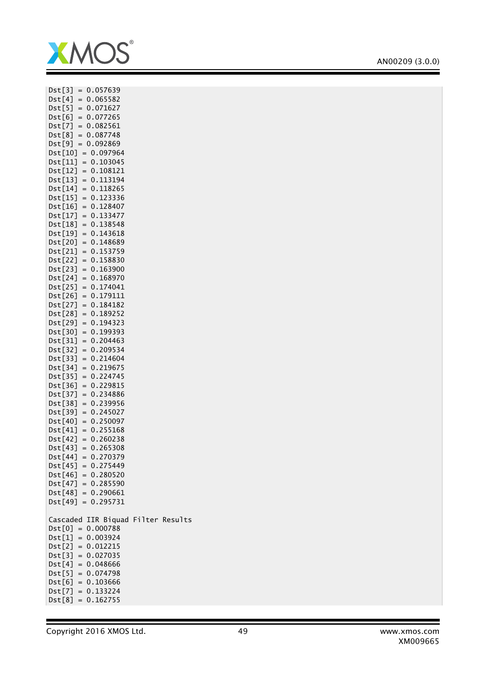

| $Dist[3] =$<br>0.057639                      |
|----------------------------------------------|
| $Dist[4] =$<br>0.065582                      |
| $Dist[5] = 0.071627$                         |
| $Dst[6] = 0.077265$                          |
| $Dist[7] = 0.082561$                         |
| $= 0.087748$                                 |
| Dst[8]                                       |
| Dst[9]<br>$= 0.092869$                       |
| Dst[10]<br>$= 0.097964$                      |
| $= 0.103045$<br>Dst[11]                      |
| $Dist[12] = 0.108121$                        |
| $Dist[13] = 0.113194$                        |
| $Dst[14] = 0.118265$                         |
| $Dist[15] = 0.123336$                        |
| $= 0.128407$<br>Dst[16]                      |
| $Dist[17] = 0.133477$                        |
| 0.138548<br>$Dist[18] =$                     |
|                                              |
| Dst[19]<br>$=$<br>0.143618                   |
| Dst[20]<br>0.148689<br>$=$                   |
| 0.153759<br>Dst[21]<br>$=$                   |
| 0.158830<br>Dst[22]<br>$=$                   |
| Dst[23]<br>$=$<br>0.163900                   |
| Dst[24]<br>$= 0.168970$                      |
| Dst[25]<br>0.174041<br>$=$                   |
| Dst[26]<br>$= 0.179111$                      |
| Dst[27]<br>$= 0.184182$                      |
| Dst[28]<br>0.189252<br>$=$                   |
| Dst[29]<br>$=$<br>0.194323                   |
| $=$<br>0.199393<br>Dst[30]                   |
| Dst[31]<br>0.204463<br>$=$                   |
|                                              |
| 0.209534<br>Dst[32]<br>$=$                   |
| 0.214604<br>Dst[33]<br>$=$                   |
| 0.219675<br>Dst[34]<br>$=$                   |
| 0.224745<br>Dst[35]<br>$=$                   |
| Dst[36]<br>$= 0.229815$                      |
| $= 0.234886$<br>Dst[37]                      |
| $= 0.239956$<br>Dst[38]                      |
| Dst[39]<br>$= 0.245027$                      |
| $= 0.250097$<br>Dst[40]                      |
| $Dst[41] = 0.255168$                         |
| $=$<br>0.260238<br>Dst[42]                   |
| 0.265308<br>Dst[43]<br>$=$                   |
| $Dst[44] = 0.270379$                         |
|                                              |
| $Dst[45] = 0.275449$                         |
| $Dst[46] = 0.280520$<br>$Dst[47] = 0.285590$ |
|                                              |
| $Dist[48] = 0.290661$                        |
| $Dist[49] = 0.295731$                        |
|                                              |
| Cascaded IIR Biquad Filter Results           |
| $Dst[0] = 0.000788$                          |
| $Dst[1] = 0.003924$                          |
| $Dist[2] = 0.012215$                         |
| $Dist[3] = 0.027035$                         |
| $Dst[4] = 0.048666$                          |
|                                              |
| $Dist[5] = 0.074798$<br>$Dist[6] = 0.103666$ |
|                                              |
| $Dist[7] = 0.133224$                         |
| $Dist[8] = 0.162755$                         |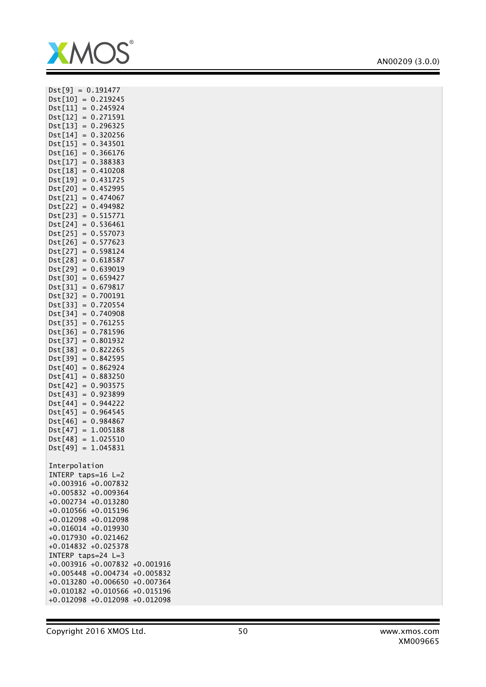

| $= 0.191477$<br>Dst[9]     |             |
|----------------------------|-------------|
| $Dist[10] =$<br>0.219245   |             |
| 0.245924<br>Dst[11]<br>$=$ |             |
|                            |             |
| Dst[12]<br>0.271591<br>$=$ |             |
| Dst[13]<br>0.296325<br>$=$ |             |
| 0.320256<br>Dst[14]<br>$=$ |             |
| 0.343501<br>Dst[15]<br>$=$ |             |
| Dst[16]<br>0.366176<br>$=$ |             |
| 0.388383<br>Dst[17]<br>$=$ |             |
| 0.410208<br>Dst[18]<br>$=$ |             |
| $=$<br>0.431725<br>Dst[19] |             |
| 0.452995<br>Dst[20]<br>$=$ |             |
| Dst[21]<br>0.474067<br>$=$ |             |
| Dst[22]<br>0.494982<br>$=$ |             |
| 0.515771<br>Dst[23]<br>$=$ |             |
| $=$                        |             |
| Dst[24]<br>0.536461        |             |
| 0.557073<br>Dst[25]<br>$=$ |             |
| 0.577623<br>Dst[26]<br>$=$ |             |
| 0.598124<br>Dst[27]<br>$=$ |             |
| 0.618587<br>Dst[28]<br>$=$ |             |
| $=$<br>Dst[29]<br>0.639019 |             |
| Dst[30]<br>0.659427<br>$=$ |             |
| 0.679817<br>Dst[31]<br>$=$ |             |
| 0.700191<br>Dst[32]<br>$=$ |             |
| 0.720554<br>Dst[33]<br>$=$ |             |
| 0.740908<br>Dst[34]<br>$=$ |             |
| Dst[35]<br>0.761255<br>$=$ |             |
| Dst[36]<br>0.781596<br>$=$ |             |
| Dst[37]<br>$=$<br>0.801932 |             |
| Dst[38]<br>0.822265<br>$=$ |             |
| 0.842595<br>Dst[39]<br>$=$ |             |
| Dst[40]<br>0.862924<br>$=$ |             |
|                            |             |
| 0.883250<br>Dst[41]<br>$=$ |             |
| Dst[42]<br>0.903575<br>$=$ |             |
| Dst[43]<br>$=$<br>0.923899 |             |
| 0.944222<br>Dst[44]<br>$=$ |             |
| 0.964545<br>Dst[45]<br>$=$ |             |
| Dst[46]<br>0.984867<br>$=$ |             |
| Dst[47]<br>1.005188<br>$=$ |             |
| $=$<br>Dst[48]<br>1.025510 |             |
| 1.045831<br>Dst[49]<br>$=$ |             |
|                            |             |
| Interpolation              |             |
| INTERP taps=16 L=2         |             |
| +0.003916 +0.007832        |             |
| +0.005832 +0.009364        |             |
| $+0.002734$<br>$+0.013280$ |             |
| $+0.010566$<br>$+0.015196$ |             |
| $+0.012098$<br>$+0.012098$ |             |
| $+0.016014$<br>$+0.019930$ |             |
|                            |             |
| $+0.017930$<br>$+0.021462$ |             |
| $+0.025378$<br>$+0.014832$ |             |
| INTERP taps=24 L=3         |             |
| $+0.003916$<br>$+0.007832$ | $+0.001916$ |
| $+0.005448$<br>$+0.004734$ | $+0.005832$ |
| $+0.013280$<br>$+0.006650$ | $+0.007364$ |
| $+0.010566$<br>$+0.010182$ | $+0.015196$ |
| $+0.012098$<br>$+0.012098$ | $+0.012098$ |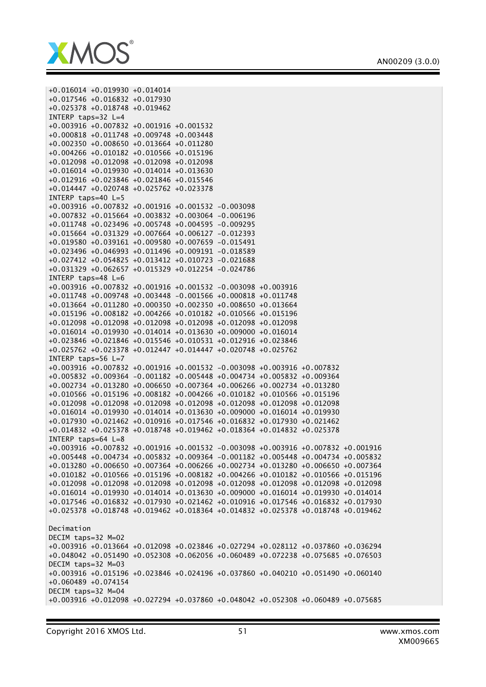

+0.016014 +0.019930 +0.014014 +0.017546 +0.016832 +0.017930 +0.025378 +0.018748 +0.019462 INTERP taps=32 L=4 +0.003916 +0.007832 +0.001916 +0.001532 +0.000818 +0.011748 +0.009748 +0.003448 +0.002350 +0.008650 +0.013664 +0.011280 +0.004266 +0.010182 +0.010566 +0.015196 +0.012098 +0.012098 +0.012098 +0.012098 +0.016014 +0.019930 +0.014014 +0.013630 +0.012916 +0.023846 +0.021846 +0.015546 +0.014447 +0.020748 +0.025762 +0.023378 INTERP taps=40 L=5 +0.003916 +0.007832 +0.001916 +0.001532 -0.003098 +0.007832 +0.015664 +0.003832 +0.003064 -0.006196 +0.011748 +0.023496 +0.005748 +0.004595 -0.009295 +0.015664 +0.031329 +0.007664 +0.006127 -0.012393 +0.019580 +0.039161 +0.009580 +0.007659 -0.015491 +0.023496 +0.046993 +0.011496 +0.009191 -0.018589 +0.027412 +0.054825 +0.013412 +0.010723 -0.021688 +0.031329 +0.062657 +0.015329 +0.012254 -0.024786 INTERP taps=48 L=6 +0.003916 +0.007832 +0.001916 +0.001532 -0.003098 +0.003916 +0.011748 +0.009748 +0.003448 -0.001566 +0.000818 +0.011748 +0.013664 +0.011280 +0.000350 +0.002350 +0.008650 +0.013664 +0.015196 +0.008182 +0.004266 +0.010182 +0.010566 +0.015196 +0.012098 +0.012098 +0.012098 +0.012098 +0.012098 +0.012098 +0.016014 +0.019930 +0.014014 +0.013630 +0.009000 +0.016014 +0.023846 +0.021846 +0.015546 +0.010531 +0.012916 +0.023846 +0.025762 +0.023378 +0.012447 +0.014447 +0.020748 +0.025762 INTERP taps=56 L=7 +0.003916 +0.007832 +0.001916 +0.001532 -0.003098 +0.003916 +0.007832 +0.005832 +0.009364 -0.001182 +0.005448 +0.004734 +0.005832 +0.009364 +0.002734 +0.013280 +0.006650 +0.007364 +0.006266 +0.002734 +0.013280 +0.010566 +0.015196 +0.008182 +0.004266 +0.010182 +0.010566 +0.015196 +0.012098 +0.012098 +0.012098 +0.012098 +0.012098 +0.012098 +0.012098 +0.016014 +0.019930 +0.014014 +0.013630 +0.009000 +0.016014 +0.019930 +0.017930 +0.021462 +0.010916 +0.017546 +0.016832 +0.017930 +0.021462 +0.014832 +0.025378 +0.018748 +0.019462 +0.018364 +0.014832 +0.025378 INTERP taps=64 L=8 +0.003916 +0.007832 +0.001916 +0.001532 -0.003098 +0.003916 +0.007832 +0.001916 +0.005448 +0.004734 +0.005832 +0.009364 -0.001182 +0.005448 +0.004734 +0.005832 +0.013280 +0.006650 +0.007364 +0.006266 +0.002734 +0.013280 +0.006650 +0.007364 +0.010182 +0.010566 +0.015196 +0.008182 +0.004266 +0.010182 +0.010566 +0.015196 +0.012098 +0.012098 +0.012098 +0.012098 +0.012098 +0.012098 +0.012098 +0.012098 +0.016014 +0.019930 +0.014014 +0.013630 +0.009000 +0.016014 +0.019930 +0.014014 +0.017546 +0.016832 +0.017930 +0.021462 +0.010916 +0.017546 +0.016832 +0.017930 +0.025378 +0.018748 +0.019462 +0.018364 +0.014832 +0.025378 +0.018748 +0.019462 Decimation DECIM taps=32 M=02 +0.003916 +0.013664 +0.012098 +0.023846 +0.027294 +0.028112 +0.037860 +0.036294 +0.048042 +0.051490 +0.052308 +0.062056 +0.060489 +0.072238 +0.075685 +0.076503 DECIM taps=32 M=03 +0.003916 +0.015196 +0.023846 +0.024196 +0.037860 +0.040210 +0.051490 +0.060140 +0.060489 +0.074154 DECIM taps=32 M=04 +0.003916 +0.012098 +0.027294 +0.037860 +0.048042 +0.052308 +0.060489 +0.075685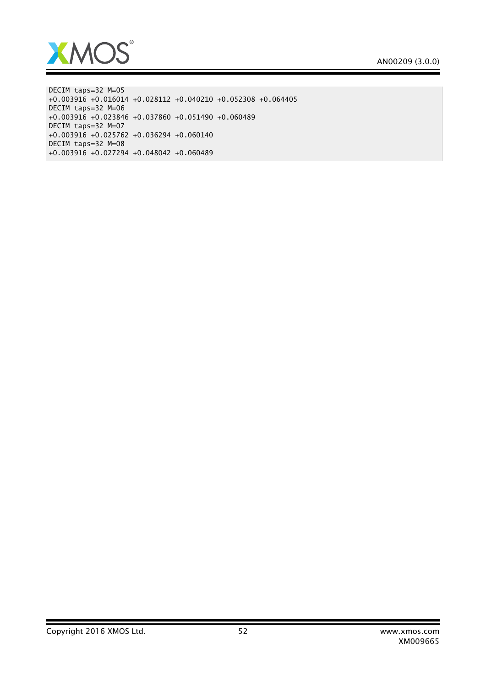

DECIM taps=32 M=05 +0.003916 +0.016014 +0.028112 +0.040210 +0.052308 +0.064405 DECIM taps=32 M=06 +0.003916 +0.023846 +0.037860 +0.051490 +0.060489 DECIM taps=32 M=07 +0.003916 +0.025762 +0.036294 +0.060140 DECIM taps=32 M=08 +0.003916 +0.027294 +0.048042 +0.060489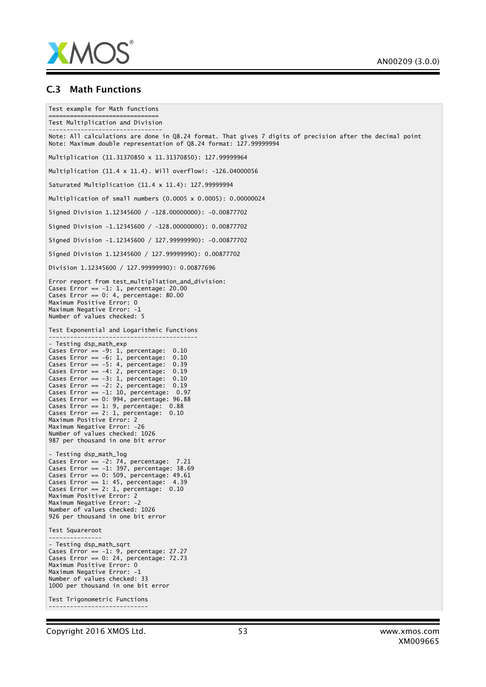

#### C.3 Math Functions

```
Test example for Math functions
===============================
Test Multiplication and Division
--------------------------------
Note: All calculations are done in Q8.24 format. That gives 7 digits of precision after the decimal point
Note: Maximum double representation of Q8.24 format: 127.99999994
Multiplication (11.31370850 x 11.31370850): 127.99999964
Multiplication (11.4 x 11.4). Will overflow!: -126.04000056
Saturated Multiplication (11.4 x 11.4): 127.99999994
Multiplication of small numbers (0.0005 x 0.0005): 0.00000024
Signed Division 1.12345600 / -128.00000000): -0.00877702
Signed Division -1.12345600 / -128.00000000): 0.00877702
Signed Division -1.12345600 / 127.99999990): -0.00877702
Signed Division 1.12345600 / 127.99999990): 0.00877702
Division 1.12345600 / 127.99999990): 0.00877696
Error report from test_multipliation_and_division:
Cases Error == -1: 1, percentage: 20.00
Cases Error == 0: 4, percentage: 80.00Maximum Positive Error: 0
Maximum Negative Error: -1
Number of values checked: 5
Test Exponential and Logarithmic Functions
------------------------------------------
- Testing dsp_math_exp
Cases Error == -9: 1, percentage: 0.10Cases Error == -6: 1, percentage: 0.10
Cases Error == -5: 4, percentage: 0.39
Cases Error == -4: 2, percentage: 0.19
Cases Error == -3: 1, percentage: 0.10
Cases Error == -2: 2, percentage: 0.19
Cases Error == -1: 10, percentage: 0.97
Cases Error == 0: 994, percentage: 96.88
Cases Error == 1: 9, percentage: 0.88
Cases Error == 2: 1, percentage: 0.10Maximum Positive Error: 2
Maximum Negative Error: -26
Number of values checked: 1026
987 per thousand in one bit error
- Testing dsp_math_log
Cases Error == -2: 74, percentage: 7.21
Cases Error == -1: 397, percentage: 38.69
Cases Error == 0: 509, percentage: 49.61
Cases Error == 1: 45, percentage: 4.39
Cases Error == 2: 1, percentage: 0.10
Maximum Positive Error: 2
Maximum Negative Error: -2
Number of values checked: 1026
926 per thousand in one bit error
Test Squareroot
---------------
- Testing dsp_math_sqrt
Cases Error == -1: 9, percentage: 27.27
Cases Error == 0: 24, percentage: 72.73
Maximum Positive Error: 0
Maximum Negative Error: -1
Number of values checked: 33
1000 per thousand in one bit error
Test Trigonometric Functions
----------------------------
```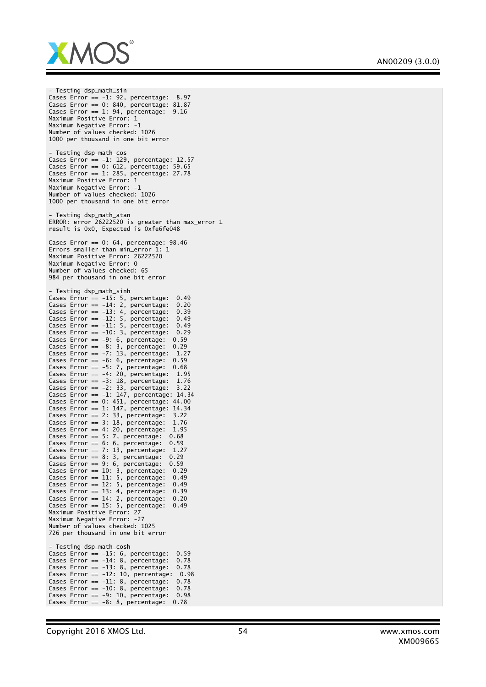

- Testing dsp\_math\_sin Cases Error == -1: 92, percentage: 8.97 Cases Error == 0: 840, percentage: 81.87 Cases Error ==  $1: 94$ , percentage:  $9.16$ Maximum Positive Error: 1 Maximum Negative Error: -1 Number of values checked: 1026 1000 per thousand in one bit error - Testing dsp\_math\_cos Cases Error == -1: 129, percentage: 12.57 Cases Error == 0: 612, percentage: 59.65 Cases Error == 1: 285, percentage: 27.78 Maximum Positive Error: 1 Maximum Negative Error: -1 Number of values checked: 1026 1000 per thousand in one bit error Testing dsp\_math\_atan ERROR: error 26222520 is greater than max\_error 1 result is 0x0, Expected is 0xfe6fe048 Cases Error ==  $0: 64$ , percentage:  $98.46$ Errors smaller than min\_error 1: 1 Maximum Positive Error: 26222520 Maximum Negative Error: 0 Number of values checked: 65 984 per thousand in one bit error - Testing dsp\_math\_sinh Cases Error == -15: 5, percentage: 0.49 Cases Error == -14: 2, percentage: 0.20 Cases Error == -13: 4, percentage: 0.39 Cases Error == -12: 5, percentage: 0.49 Cases Error == -11: 5, percentage: 0.49 Cases Error == -10: 3, percentage: 0.29 Cases Error == -9: 6, percentage: 0.59 Cases Error == -8: 3, percentage: 0.29 Cases Error == -7: 13, percentage: 1.27 Cases Error == -6: 6, percentage: 0.59 Cases Error == -5: 7, percentage: 0.68 Cases Error == -4: 20, percentage: 1.95 Cases Error == -3: 18, percentage: 1.76 Cases Error == -2: 33, percentage: 3.22 Cases Error == -1: 147, percentage: 14.34 Cases Error == 0: 451, percentage: 44.00 Cases Error == 1: 147, percentage: 14.34 Cases Error == 2: 33, percentage: 3.22 Cases Error == 3: 18, percentage: 1.76 Cases Error == 4: 20, percentage: 1.95 Cases Error == 5: 7, percentage: 0.68 Cases Error == 6: 6, percentage: 0.59 Cases Error == 7: 13, percentage: 1.27 Cases Error == 8: 3, percentage: 0.29 Cases Error ==  $9: 6$ , percentage:  $0.59$ Cases Error == 10: 3, percentage: 0.29 Cases Error == 11: 5, percentage: 0.49 Cases Error ==  $12: 5$ , percentage:  $0.49$ Cases Error == 13: 4, percentage: 0.39 Cases Error == 14: 2, percentage: 0.20 Cases Error == 15: 5, percentage: 0.49 Maximum Positive Error: 27 Maximum Negative Error: -27 Number of values checked: 1025 726 per thousand in one bit error - Testing dsp\_math\_cosh Cases Error  $== -15: 6$ , percentage:  $0.59$ Cases Error == -14: 8, percentage: 0.78 Cases Error == -13: 8, percentage: 0.78 Cases Error ==  $-12: 10$ , percentage:  $0.98$ Cases Error ==  $-11: 8$ , percentage:  $0.78$ Cases Error == -10: 8, percentage: 0.78 Cases Error == -9: 10, percentage: 0.98 Cases Error ==  $-8: 8$ , percentage: 0.78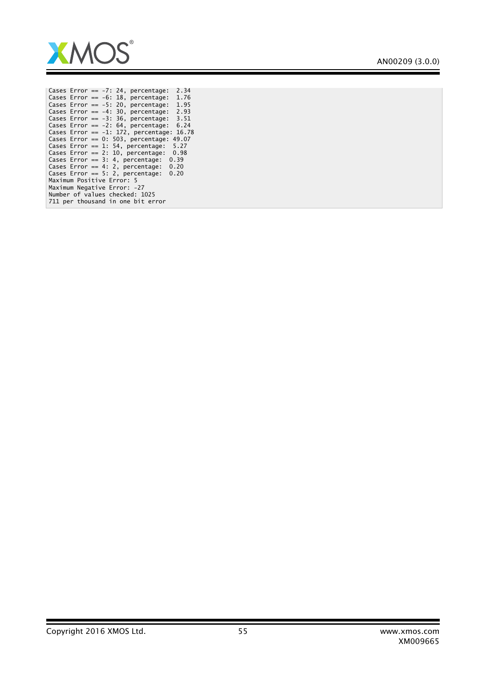

|  | Cases Error == $-7:24$ ,               |  | percentage: |      | 2.34  |
|--|----------------------------------------|--|-------------|------|-------|
|  | Cases Error == $-6:18$ ,               |  | percentage: |      | 1.76  |
|  | Cases Error == $-5:20$ , percentage:   |  |             |      | 1.95  |
|  | Cases Error == $-4:30$ , percentage:   |  |             |      | 2.93  |
|  | Cases Error == $-3:36$ , percentage:   |  |             |      | 3.51  |
|  | Cases Error == $-2:64$ .               |  | percentage: |      | 6.24  |
|  | Cases Error == $-1: 172$ , percentage: |  |             |      | 16.78 |
|  | Cases Error == $0: 503$ , percentage:  |  |             |      | 49.07 |
|  | Cases Error == $1: 54$ , percentage:   |  |             | 5.27 |       |
|  | Cases Error == $2: 10$ , percentage:   |  |             | 0.98 |       |
|  | Cases Error == $3: 4$ , percentage:    |  |             | 0.39 |       |
|  | Cases Error == $4:2$ , percentage:     |  |             | 0.20 |       |
|  | Cases Error == $5: 2$ , percentage:    |  |             | 0.20 |       |
|  | Maximum Positive Error: 5              |  |             |      |       |
|  | Maximum Negative Error: -27            |  |             |      |       |
|  | Number of values checked: 1025         |  |             |      |       |
|  | 711 per thousand in one bit error      |  |             |      |       |
|  |                                        |  |             |      |       |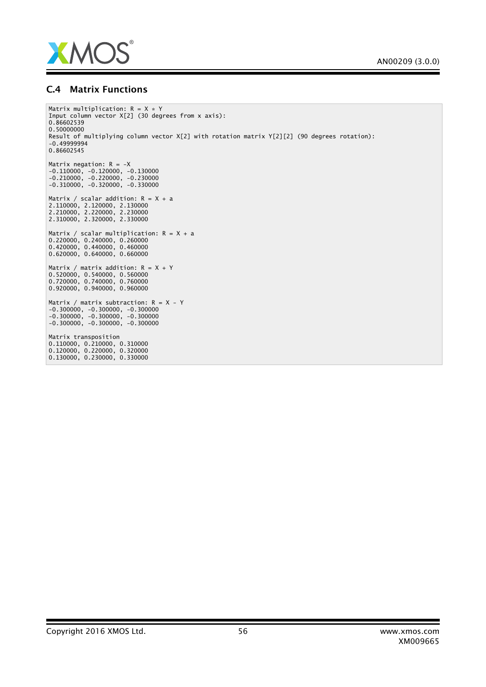

### C.4 Matrix Functions

```
Matrix multiplication: R = X * YInput column vector X[2] (30 degrees from x axis):
0.86602539
0.50000000
Result of multiplying column vector X[2] with rotation matrix Y[2][2] (90 degrees rotation):
-0.49999994
0.86602545
Matrix negation: R = -X-0.110000, -0.120000, -0.130000
-0.210000, -0.220000, -0.230000
-0.310000, -0.320000, -0.330000
Matrix / scalar addition: R = X + a2.110000, 2.120000, 2.130000
2.210000, 2.220000, 2.230000
2.310000, 2.320000, 2.330000
Matrix / scalar multiplication: R = X + a
0.220000, 0.240000, 0.260000
0.420000, 0.440000, 0.460000
0.620000, 0.640000, 0.660000
Matrix / matrix addition: R = X + Y0.520000, 0.540000, 0.560000
0.720000, 0.740000, 0.760000
0.920000, 0.940000, 0.960000
Matrix / matrix subtraction: R = X - Y-0.300000, -0.300000, -0.300000
-0.300000, -0.300000, -0.300000
-0.300000, -0.300000, -0.300000Matrix transposition
0.110000, 0.210000, 0.310000
0.120000, 0.220000, 0.320000
0.130000, 0.230000, 0.330000
```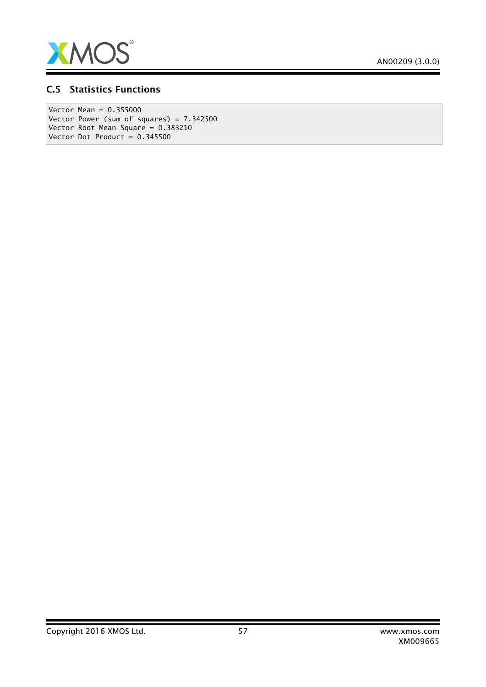

### C.5 Statistics Functions

Vector Mean = 0.355000 Vector Power (sum of squares) = 7.342500 Vector Root Mean Square = 0.383210 Vector Dot Product =  $0.345500$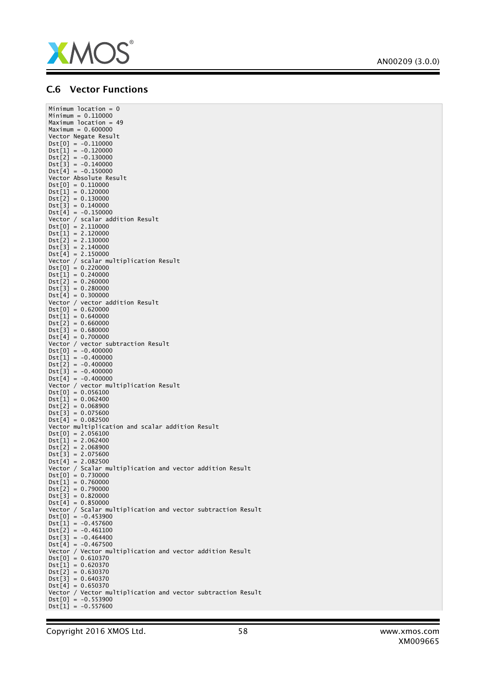

## AN00209 (3.0.0)

Ξ

## C.6 Vector Functions

| Minimum location = $0$                                       |
|--------------------------------------------------------------|
| $Minimum = 0.110000$                                         |
| Maximum location = $49$<br>$Maximum = 0.600000$              |
| Vector Negate Result                                         |
| $Dist[0] = -0.110000$                                        |
| $Dst[1] = -0.120000$                                         |
| $Dist[2] = -0.130000$                                        |
| $Dist[3] = -0.140000$                                        |
| $Dist[4] = -0.150000$                                        |
| Vector Absolute Result                                       |
| $Dst[0] = 0.110000$                                          |
| $Dst[1] = 0.120000$                                          |
| $Dist[2] = 0.130000$                                         |
| $Dst[3] = 0.140000$                                          |
| $Dist[4] = -0.150000$                                        |
| Vector / scalar addition Result                              |
| $Dist[0] = 2.110000$                                         |
| $Dst[1] = 2.120000$                                          |
| $Dist[2] = 2.130000$                                         |
| $Dist[3] = 2.140000$                                         |
| $Dst[4] = 2.150000$                                          |
| Vector / scalar multiplication Result                        |
| $Dist[0] = 0.220000$<br>$Dist[1] = 0.240000$                 |
|                                                              |
| $Dst[2] = 0.260000$<br>$Dist[3] = 0.280000$                  |
| $Dst[4] = 0.300000$                                          |
| Vector / vector addition Result                              |
| $Dst[0] = 0.620000$                                          |
| $Dst[1] = 0.640000$                                          |
| $Dst[2] = 0.660000$                                          |
| $Dist[3] = 0.680000$                                         |
| $Dst[4] = 0.700000$                                          |
| Vector / vector subtraction Result                           |
| $Dist[0] = -0.400000$                                        |
| $Dist[1] = -0.400000$                                        |
| $Dist[2] = -0.400000$                                        |
| $Dist[3] = -0.400000$                                        |
| $Dst[4] = -0.400000$                                         |
| Vector / vector multiplication Result                        |
| $Dist[0] = 0.056100$                                         |
| $Dst[1] = 0.062400$                                          |
| $Dst[2] = 0.068900$<br>$Dst[3] = 0.075600$                   |
| $Dst[4] = 0.082500$                                          |
| Vector multiplication and scalar addition Result             |
| $Dist[0] = 2.056100$                                         |
| $Dst[1] = 2.062400$                                          |
| $Dst[2] = 2.068900$                                          |
| $Dst[3] = 2.075600$                                          |
| $Dst[4] = 2.082500$                                          |
| Vector / Scalar multiplication and vector addition Result    |
| $Dist[0] = 0.730000$                                         |
| $Dst[1] = 0.760000$                                          |
| $Dst[2] = 0.790000$                                          |
| $Dist[3] = 0.820000$                                         |
| $Dst[4] = 0.850000$                                          |
| Vector / Scalar multiplication and vector subtraction Result |
| $Dist[0] = -0.453900$                                        |
| $Dist[1] = -0.457600$                                        |
| $Dist[2] = -0.461100$                                        |
| $Dist[3] = -0.464400$<br>$Dst[4] = -0.467500$                |
| Vector / Vector multiplication and vector addition Result    |
| $Dst[0] = 0.610370$                                          |
| $Dst[1] = 0.620370$                                          |
| $Dst[2] = 0.630370$                                          |
| $Dist[3] = 0.640370$                                         |
| $Dst[4] = 0.650370$                                          |
| Vector / Vector multiplication and vector subtraction Result |
| $Dist[0] = -0.553900$                                        |
| $Dist[1] = -0.557600$                                        |
|                                                              |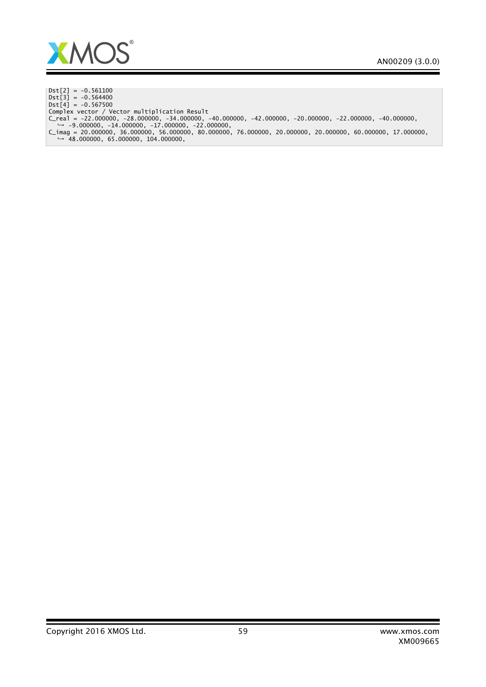

 $Dist[2] = -0.561100$  $Dist[3] = -0.564400$  $Dst[4] = -0.567500$ Complex vector / Vector multiplication Result C\_real = -22.000000, -28.000000, -34.000000, -40.000000, -42.000000, -20.000000, -22.000000, -40.000000,<br>→ -9.000000, -14.000000, -17.000000, -22.000000,<br>C\_imag = 20.000000, 36.000000, 56.000000, 80.000000, 76.000000, 20.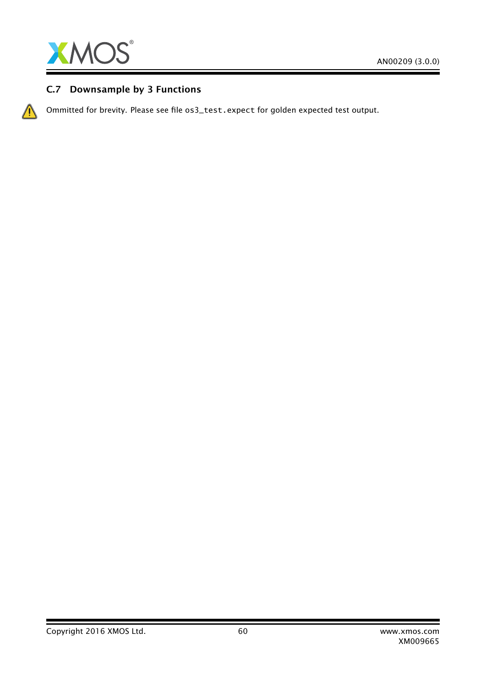

## C.7 Downsample by 3 Functions

Ommitted for brevity. Please see file os3\_test.expect for golden expected test output.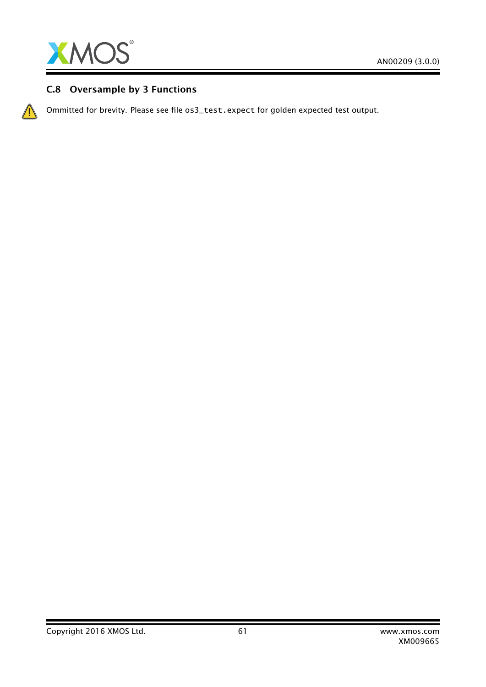

## C.8 Oversample by 3 Functions

Ommitted for brevity. Please see file os3\_test.expect for golden expected test output.